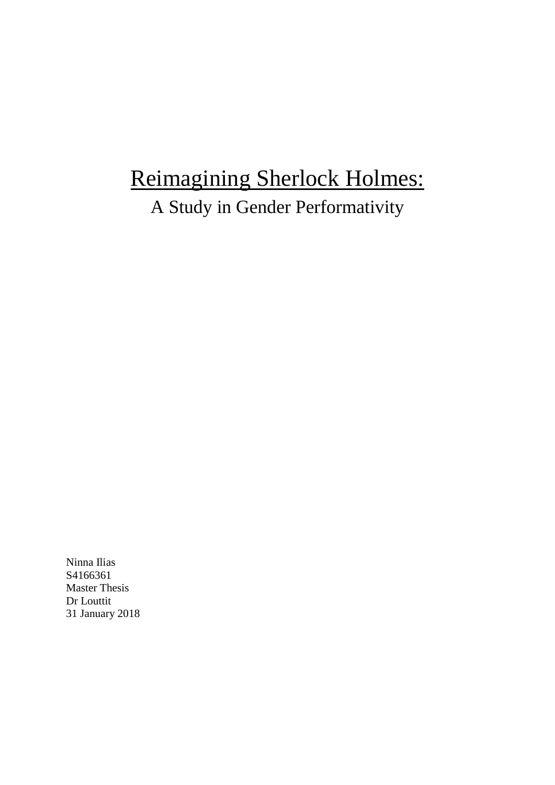# Reimagining Sherlock Holmes:

A Study in Gender Performativity

Ninna Ilias S4166361 Master Thesis Dr Louttit 31 January 2018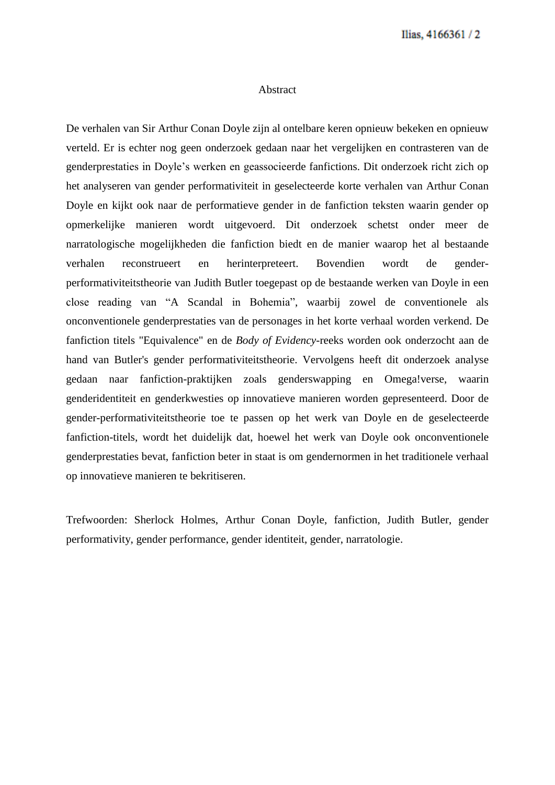#### Abstract

De verhalen van Sir Arthur Conan Doyle zijn al ontelbare keren opnieuw bekeken en opnieuw verteld. Er is echter nog geen onderzoek gedaan naar het vergelijken en contrasteren van de genderprestaties in Doyle's werken en geassocieerde fanfictions. Dit onderzoek richt zich op het analyseren van gender performativiteit in geselecteerde korte verhalen van Arthur Conan Doyle en kijkt ook naar de performatieve gender in de fanfiction teksten waarin gender op opmerkelijke manieren wordt uitgevoerd. Dit onderzoek schetst onder meer de narratologische mogelijkheden die fanfiction biedt en de manier waarop het al bestaande verhalen reconstrueert en herinterpreteert. Bovendien wordt de genderperformativiteitstheorie van Judith Butler toegepast op de bestaande werken van Doyle in een close reading van "A Scandal in Bohemia", waarbij zowel de conventionele als onconventionele genderprestaties van de personages in het korte verhaal worden verkend. De fanfiction titels "Equivalence" en de *Body of Evidency*-reeks worden ook onderzocht aan de hand van Butler's gender performativiteitstheorie. Vervolgens heeft dit onderzoek analyse gedaan naar fanfiction-praktijken zoals genderswapping en Omega!verse, waarin genderidentiteit en genderkwesties op innovatieve manieren worden gepresenteerd. Door de gender-performativiteitstheorie toe te passen op het werk van Doyle en de geselecteerde fanfiction-titels, wordt het duidelijk dat, hoewel het werk van Doyle ook onconventionele genderprestaties bevat, fanfiction beter in staat is om gendernormen in het traditionele verhaal op innovatieve manieren te bekritiseren.

Trefwoorden: Sherlock Holmes, Arthur Conan Doyle, fanfiction, Judith Butler, gender performativity, gender performance, gender identiteit, gender, narratologie.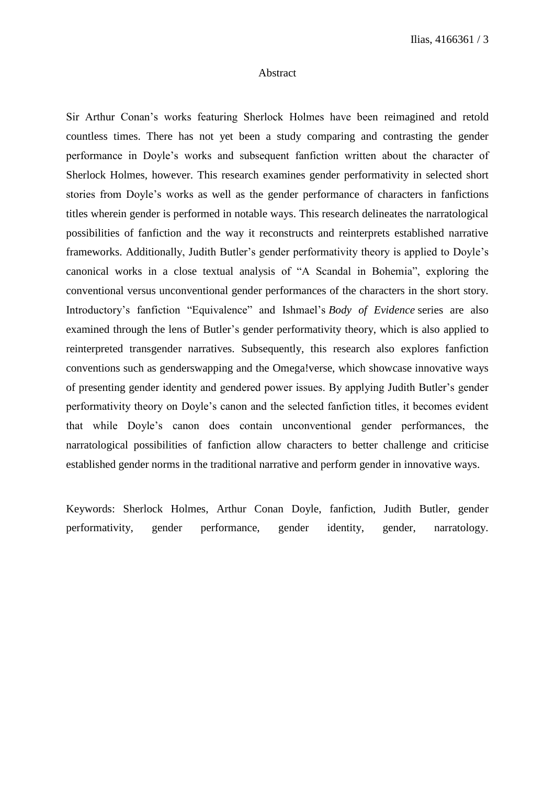#### Abstract

Sir Arthur Conan's works featuring Sherlock Holmes have been reimagined and retold countless times. There has not yet been a study comparing and contrasting the gender performance in Doyle's works and subsequent fanfiction written about the character of Sherlock Holmes, however. This research examines gender performativity in selected short stories from Doyle's works as well as the gender performance of characters in fanfictions titles wherein gender is performed in notable ways. This research delineates the narratological possibilities of fanfiction and the way it reconstructs and reinterprets established narrative frameworks. Additionally, Judith Butler's gender performativity theory is applied to Doyle's canonical works in a close textual analysis of "A Scandal in Bohemia", exploring the conventional versus unconventional gender performances of the characters in the short story. Introductory's fanfiction "Equivalence" and Ishmael's *Body of Evidence* series are also examined through the lens of Butler's gender performativity theory, which is also applied to reinterpreted transgender narratives. Subsequently, this research also explores fanfiction conventions such as genderswapping and the Omega!verse, which showcase innovative ways of presenting gender identity and gendered power issues. By applying Judith Butler's gender performativity theory on Doyle's canon and the selected fanfiction titles, it becomes evident that while Doyle's canon does contain unconventional gender performances, the narratological possibilities of fanfiction allow characters to better challenge and criticise established gender norms in the traditional narrative and perform gender in innovative ways.

Keywords: Sherlock Holmes, Arthur Conan Doyle, fanfiction, Judith Butler, gender performativity, gender performance, gender identity, gender, narratology.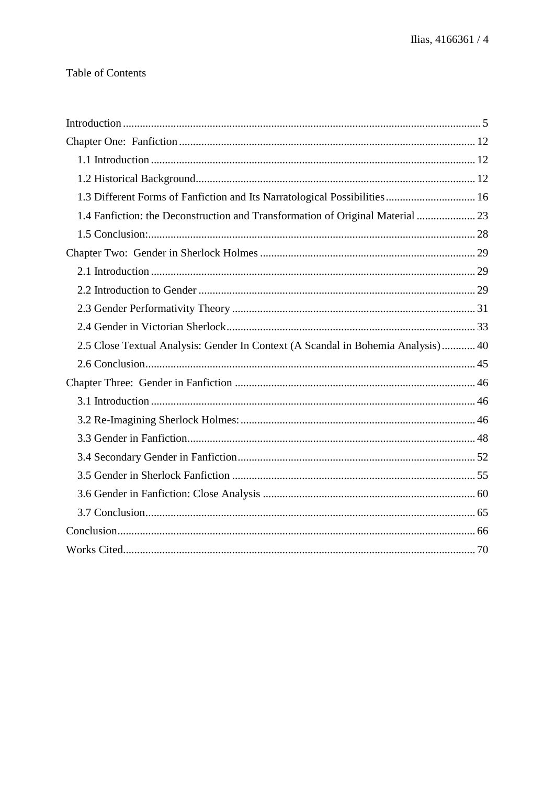# **Table of Contents**

| 1.3 Different Forms of Fanfiction and Its Narratological Possibilities 16        |
|----------------------------------------------------------------------------------|
| 1.4 Fanfiction: the Deconstruction and Transformation of Original Material  23   |
|                                                                                  |
|                                                                                  |
|                                                                                  |
|                                                                                  |
|                                                                                  |
|                                                                                  |
| 2.5 Close Textual Analysis: Gender In Context (A Scandal in Bohemia Analysis) 40 |
|                                                                                  |
|                                                                                  |
|                                                                                  |
|                                                                                  |
|                                                                                  |
|                                                                                  |
|                                                                                  |
|                                                                                  |
|                                                                                  |
|                                                                                  |
|                                                                                  |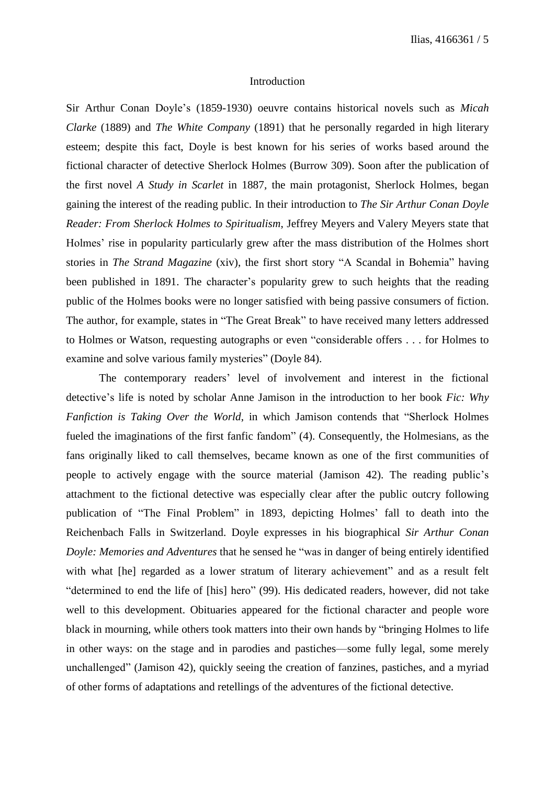#### Introduction

Sir Arthur Conan Doyle's (1859-1930) oeuvre contains historical novels such as *Micah Clarke* (1889) and *The White Company* (1891) that he personally regarded in high literary esteem; despite this fact, Doyle is best known for his series of works based around the fictional character of detective Sherlock Holmes (Burrow 309). Soon after the publication of the first novel *A Study in Scarlet* in 1887*,* the main protagonist, Sherlock Holmes, began gaining the interest of the reading public. In their introduction to *The Sir Arthur Conan Doyle Reader: From Sherlock Holmes to Spiritualism*, Jeffrey Meyers and Valery Meyers state that Holmes' rise in popularity particularly grew after the mass distribution of the Holmes short stories in *The Strand Magazine* (xiv), the first short story "A Scandal in Bohemia" having been published in 1891. The character's popularity grew to such heights that the reading public of the Holmes books were no longer satisfied with being passive consumers of fiction. The author, for example, states in "The Great Break" to have received many letters addressed to Holmes or Watson, requesting autographs or even "considerable offers . . . for Holmes to examine and solve various family mysteries" (Doyle 84).

The contemporary readers' level of involvement and interest in the fictional detective's life is noted by scholar Anne Jamison in the introduction to her book *Fic: Why Fanfiction is Taking Over the World*, in which Jamison contends that "Sherlock Holmes fueled the imaginations of the first fanfic fandom" (4). Consequently, the Holmesians, as the fans originally liked to call themselves, became known as one of the first communities of people to actively engage with the source material (Jamison 42). The reading public's attachment to the fictional detective was especially clear after the public outcry following publication of "The Final Problem" in 1893, depicting Holmes' fall to death into the Reichenbach Falls in Switzerland. Doyle expresses in his biographical *Sir Arthur Conan Doyle: Memories and Adventures* that he sensed he "was in danger of being entirely identified with what [he] regarded as a lower stratum of literary achievement" and as a result felt "determined to end the life of [his] hero" (99). His dedicated readers, however, did not take well to this development. Obituaries appeared for the fictional character and people wore black in mourning, while others took matters into their own hands by "bringing Holmes to life in other ways: on the stage and in parodies and pastiches—some fully legal, some merely unchallenged" (Jamison 42), quickly seeing the creation of fanzines, pastiches, and a myriad of other forms of adaptations and retellings of the adventures of the fictional detective.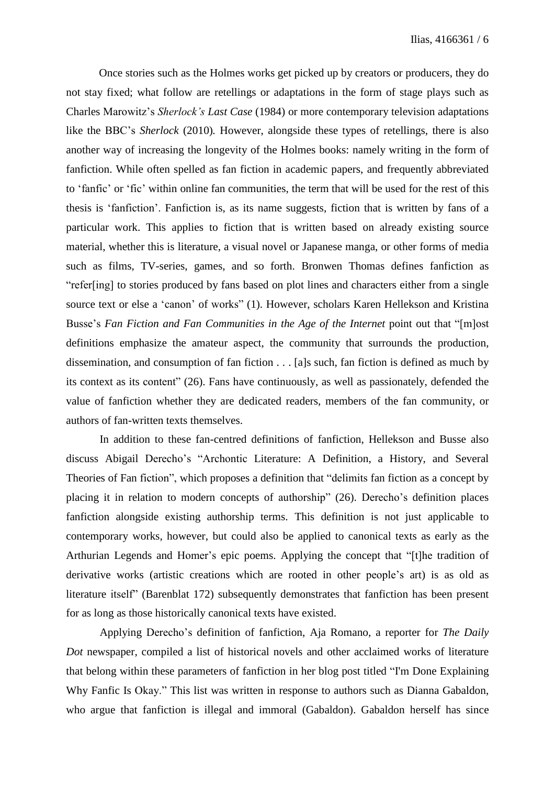Once stories such as the Holmes works get picked up by creators or producers, they do not stay fixed; what follow are retellings or adaptations in the form of stage plays such as Charles Marowitz's *Sherlock's Last Case* (1984) or more contemporary television adaptations like the BBC's *Sherlock* (2010)*.* However, alongside these types of retellings, there is also another way of increasing the longevity of the Holmes books: namely writing in the form of fanfiction. While often spelled as fan fiction in academic papers, and frequently abbreviated to 'fanfic' or 'fic' within online fan communities, the term that will be used for the rest of this thesis is 'fanfiction'. Fanfiction is, as its name suggests, fiction that is written by fans of a particular work. This applies to fiction that is written based on already existing source material, whether this is literature, a visual novel or Japanese manga, or other forms of media such as films, TV-series, games, and so forth. Bronwen Thomas defines fanfiction as "refer[ing] to stories produced by fans based on plot lines and characters either from a single source text or else a 'canon' of works" (1). However, scholars Karen Hellekson and Kristina Busse's *Fan Fiction and Fan Communities in the Age of the Internet* point out that "[m]ost definitions emphasize the amateur aspect, the community that surrounds the production, dissemination, and consumption of fan fiction . . . [a]s such, fan fiction is defined as much by its context as its content" (26). Fans have continuously, as well as passionately, defended the value of fanfiction whether they are dedicated readers, members of the fan community, or authors of fan-written texts themselves.

In addition to these fan-centred definitions of fanfiction, Hellekson and Busse also discuss Abigail Derecho's "Archontic Literature: A Definition, a History, and Several Theories of Fan fiction", which proposes a definition that "delimits fan fiction as a concept by placing it in relation to modern concepts of authorship" (26). Derecho's definition places fanfiction alongside existing authorship terms. This definition is not just applicable to contemporary works, however, but could also be applied to canonical texts as early as the Arthurian Legends and Homer's epic poems. Applying the concept that "[t]he tradition of derivative works (artistic creations which are rooted in other people's art) is as old as literature itself" (Barenblat 172) subsequently demonstrates that fanfiction has been present for as long as those historically canonical texts have existed.

Applying Derecho's definition of fanfiction, Aja Romano, a reporter for *The Daily Dot* newspaper, compiled a list of historical novels and other acclaimed works of literature that belong within these parameters of fanfiction in her blog post titled "I'm Done Explaining Why Fanfic Is Okay." This list was written in response to authors such as Dianna Gabaldon, who argue that fanfiction is illegal and immoral (Gabaldon). Gabaldon herself has since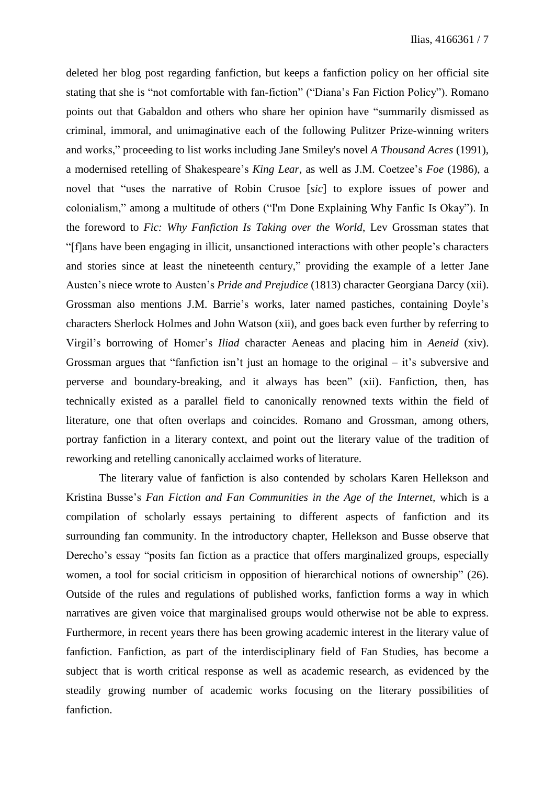deleted her blog post regarding fanfiction, but keeps a fanfiction policy on her official site stating that she is "not comfortable with fan-fiction" ("Diana's Fan Fiction Policy"). Romano points out that Gabaldon and others who share her opinion have "summarily dismissed as criminal, immoral, and unimaginative each of the following Pulitzer Prize-winning writers and works," proceeding to list works including Jane Smiley's novel *A Thousand Acres* (1991)*,* a modernised retelling of Shakespeare's *King Lear*, as well as J.M. Coetzee's *Foe* (1986), a novel that "uses the narrative of Robin Crusoe [*sic*] to explore issues of power and colonialism," among a multitude of others ("I'm Done Explaining Why Fanfic Is Okay"). In the foreword to *Fic: Why Fanfiction Is Taking over the World*, Lev Grossman states that "[f]ans have been engaging in illicit, unsanctioned interactions with other people's characters and stories since at least the nineteenth century," providing the example of a letter Jane Austen's niece wrote to Austen's *Pride and Prejudice* (1813) character Georgiana Darcy (xii). Grossman also mentions J.M. Barrie's works, later named pastiches, containing Doyle's characters Sherlock Holmes and John Watson (xii), and goes back even further by referring to Virgil's borrowing of Homer's *Iliad* character Aeneas and placing him in *Aeneid* (xiv). Grossman argues that "fanfiction isn't just an homage to the original – it's subversive and perverse and boundary-breaking, and it always has been" (xii). Fanfiction, then, has technically existed as a parallel field to canonically renowned texts within the field of literature, one that often overlaps and coincides. Romano and Grossman, among others, portray fanfiction in a literary context, and point out the literary value of the tradition of reworking and retelling canonically acclaimed works of literature.

The literary value of fanfiction is also contended by scholars Karen Hellekson and Kristina Busse's *Fan Fiction and Fan Communities in the Age of the Internet,* which is a compilation of scholarly essays pertaining to different aspects of fanfiction and its surrounding fan community. In the introductory chapter, Hellekson and Busse observe that Derecho's essay "posits fan fiction as a practice that offers marginalized groups, especially women, a tool for social criticism in opposition of hierarchical notions of ownership" (26). Outside of the rules and regulations of published works, fanfiction forms a way in which narratives are given voice that marginalised groups would otherwise not be able to express. Furthermore, in recent years there has been growing academic interest in the literary value of fanfiction. Fanfiction, as part of the interdisciplinary field of Fan Studies, has become a subject that is worth critical response as well as academic research, as evidenced by the steadily growing number of academic works focusing on the literary possibilities of fanfiction.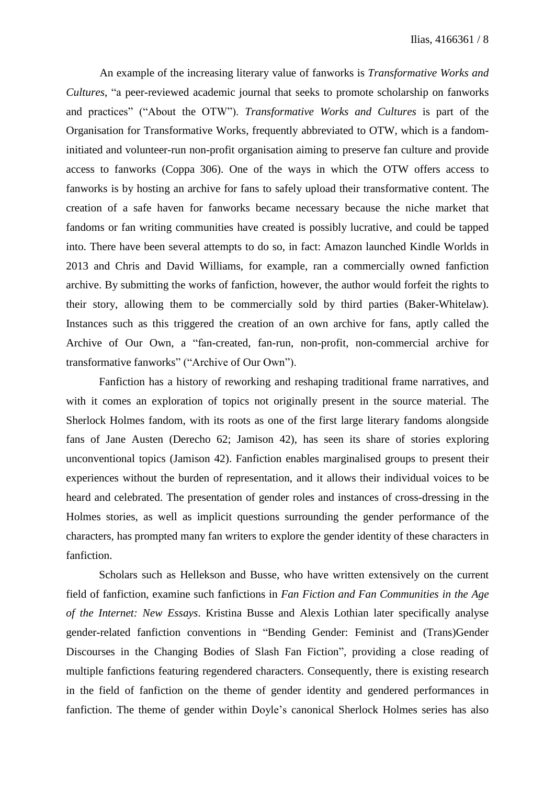An example of the increasing literary value of fanworks is *Transformative Works and Cultures*, "a peer-reviewed academic journal that seeks to promote scholarship on fanworks and practices" ("About the OTW"). *Transformative Works and Cultures* is part of the Organisation for Transformative Works, frequently abbreviated to OTW, which is a fandominitiated and volunteer-run non-profit organisation aiming to preserve fan culture and provide access to fanworks (Coppa 306). One of the ways in which the OTW offers access to fanworks is by hosting an archive for fans to safely upload their transformative content. The creation of a safe haven for fanworks became necessary because the niche market that fandoms or fan writing communities have created is possibly lucrative, and could be tapped into. There have been several attempts to do so, in fact: Amazon launched Kindle Worlds in 2013 and Chris and David Williams, for example, ran a commercially owned fanfiction archive. By submitting the works of fanfiction, however, the author would forfeit the rights to their story, allowing them to be commercially sold by third parties (Baker-Whitelaw). Instances such as this triggered the creation of an own archive for fans, aptly called the Archive of Our Own, a "fan-created, fan-run, non-profit, non-commercial archive for transformative fanworks" ("Archive of Our Own").

Fanfiction has a history of reworking and reshaping traditional frame narratives, and with it comes an exploration of topics not originally present in the source material. The Sherlock Holmes fandom, with its roots as one of the first large literary fandoms alongside fans of Jane Austen (Derecho 62; Jamison 42), has seen its share of stories exploring unconventional topics (Jamison 42). Fanfiction enables marginalised groups to present their experiences without the burden of representation, and it allows their individual voices to be heard and celebrated. The presentation of gender roles and instances of cross-dressing in the Holmes stories, as well as implicit questions surrounding the gender performance of the characters, has prompted many fan writers to explore the gender identity of these characters in fanfiction.

Scholars such as Hellekson and Busse, who have written extensively on the current field of fanfiction, examine such fanfictions in *Fan Fiction and Fan Communities in the Age of the Internet: New Essays*. Kristina Busse and Alexis Lothian later specifically analyse gender-related fanfiction conventions in "Bending Gender: Feminist and (Trans)Gender Discourses in the Changing Bodies of Slash Fan Fiction", providing a close reading of multiple fanfictions featuring regendered characters. Consequently, there is existing research in the field of fanfiction on the theme of gender identity and gendered performances in fanfiction. The theme of gender within Doyle's canonical Sherlock Holmes series has also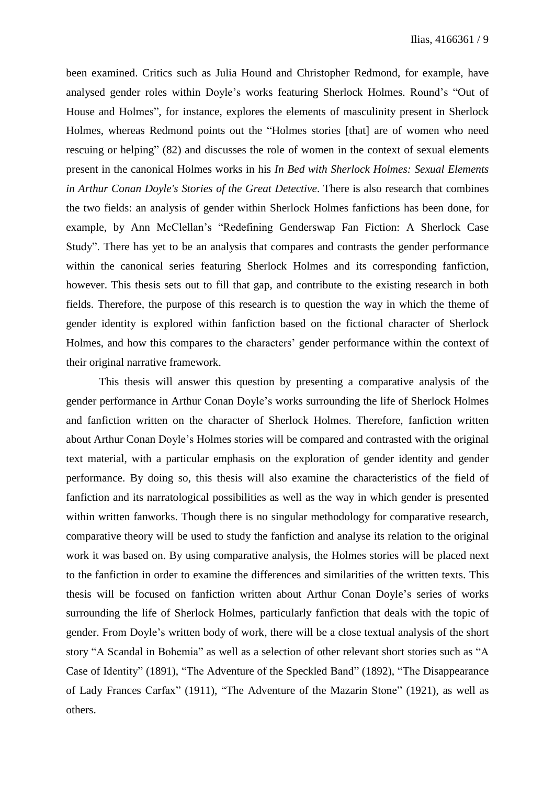been examined. Critics such as Julia Hound and Christopher Redmond, for example, have analysed gender roles within Doyle's works featuring Sherlock Holmes. Round's "Out of House and Holmes", for instance, explores the elements of masculinity present in Sherlock Holmes, whereas Redmond points out the "Holmes stories [that] are of women who need rescuing or helping" (82) and discusses the role of women in the context of sexual elements present in the canonical Holmes works in his *In Bed with Sherlock Holmes: Sexual Elements in Arthur Conan Doyle's Stories of the Great Detective*. There is also research that combines the two fields: an analysis of gender within Sherlock Holmes fanfictions has been done, for example, by Ann McClellan's "Redefining Genderswap Fan Fiction: A Sherlock Case Study". There has yet to be an analysis that compares and contrasts the gender performance within the canonical series featuring Sherlock Holmes and its corresponding fanfiction, however. This thesis sets out to fill that gap, and contribute to the existing research in both fields. Therefore, the purpose of this research is to question the way in which the theme of gender identity is explored within fanfiction based on the fictional character of Sherlock Holmes, and how this compares to the characters' gender performance within the context of their original narrative framework.

This thesis will answer this question by presenting a comparative analysis of the gender performance in Arthur Conan Doyle's works surrounding the life of Sherlock Holmes and fanfiction written on the character of Sherlock Holmes. Therefore, fanfiction written about Arthur Conan Doyle's Holmes stories will be compared and contrasted with the original text material, with a particular emphasis on the exploration of gender identity and gender performance. By doing so, this thesis will also examine the characteristics of the field of fanfiction and its narratological possibilities as well as the way in which gender is presented within written fanworks. Though there is no singular methodology for comparative research, comparative theory will be used to study the fanfiction and analyse its relation to the original work it was based on. By using comparative analysis, the Holmes stories will be placed next to the fanfiction in order to examine the differences and similarities of the written texts. This thesis will be focused on fanfiction written about Arthur Conan Doyle's series of works surrounding the life of Sherlock Holmes, particularly fanfiction that deals with the topic of gender. From Doyle's written body of work, there will be a close textual analysis of the short story "A Scandal in Bohemia" as well as a selection of other relevant short stories such as "A Case of Identity" (1891), "The Adventure of the Speckled Band" (1892), "The Disappearance of Lady Frances Carfax" (1911), "The Adventure of the Mazarin Stone" (1921), as well as others.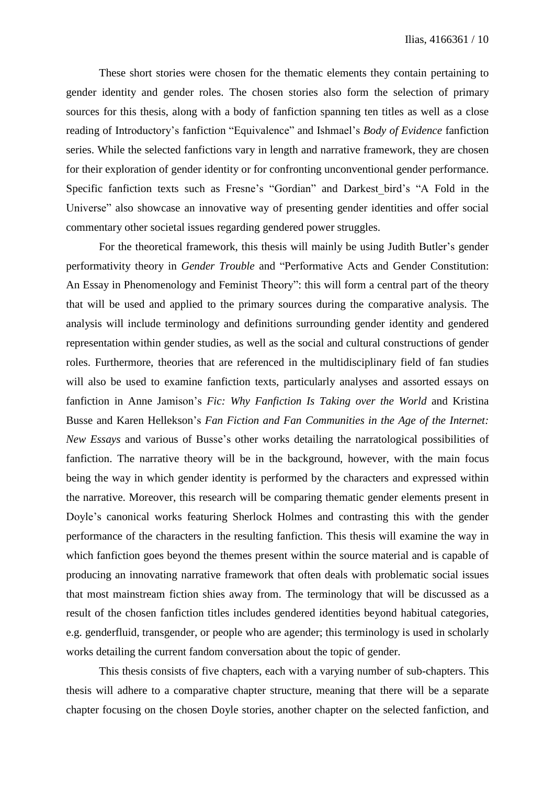These short stories were chosen for the thematic elements they contain pertaining to gender identity and gender roles. The chosen stories also form the selection of primary sources for this thesis, along with a body of fanfiction spanning ten titles as well as a close reading of Introductory's fanfiction "Equivalence" and Ishmael's *Body of Evidence* fanfiction series. While the selected fanfictions vary in length and narrative framework, they are chosen for their exploration of gender identity or for confronting unconventional gender performance. Specific fanfiction texts such as Fresne's "Gordian" and Darkest\_bird's "A Fold in the Universe" also showcase an innovative way of presenting gender identities and offer social commentary other societal issues regarding gendered power struggles.

For the theoretical framework, this thesis will mainly be using Judith Butler's gender performativity theory in *Gender Trouble* and "Performative Acts and Gender Constitution: An Essay in Phenomenology and Feminist Theory": this will form a central part of the theory that will be used and applied to the primary sources during the comparative analysis. The analysis will include terminology and definitions surrounding gender identity and gendered representation within gender studies, as well as the social and cultural constructions of gender roles. Furthermore, theories that are referenced in the multidisciplinary field of fan studies will also be used to examine fanfiction texts, particularly analyses and assorted essays on fanfiction in Anne Jamison's *Fic: Why Fanfiction Is Taking over the World* and Kristina Busse and Karen Hellekson's *Fan Fiction and Fan Communities in the Age of the Internet: New Essays* and various of Busse's other works detailing the narratological possibilities of fanfiction. The narrative theory will be in the background, however, with the main focus being the way in which gender identity is performed by the characters and expressed within the narrative. Moreover, this research will be comparing thematic gender elements present in Doyle's canonical works featuring Sherlock Holmes and contrasting this with the gender performance of the characters in the resulting fanfiction. This thesis will examine the way in which fanfiction goes beyond the themes present within the source material and is capable of producing an innovating narrative framework that often deals with problematic social issues that most mainstream fiction shies away from. The terminology that will be discussed as a result of the chosen fanfiction titles includes gendered identities beyond habitual categories, e.g. genderfluid, transgender, or people who are agender; this terminology is used in scholarly works detailing the current fandom conversation about the topic of gender.

This thesis consists of five chapters, each with a varying number of sub-chapters. This thesis will adhere to a comparative chapter structure, meaning that there will be a separate chapter focusing on the chosen Doyle stories, another chapter on the selected fanfiction, and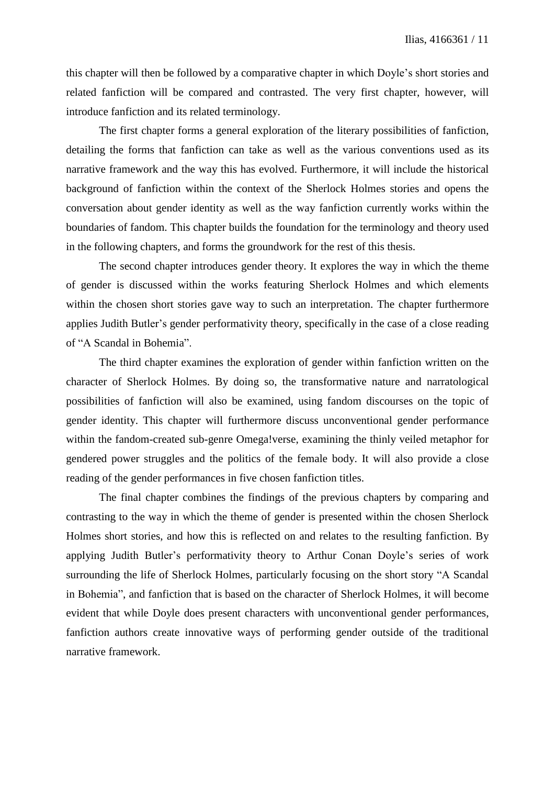this chapter will then be followed by a comparative chapter in which Doyle's short stories and related fanfiction will be compared and contrasted. The very first chapter, however, will introduce fanfiction and its related terminology.

The first chapter forms a general exploration of the literary possibilities of fanfiction, detailing the forms that fanfiction can take as well as the various conventions used as its narrative framework and the way this has evolved. Furthermore, it will include the historical background of fanfiction within the context of the Sherlock Holmes stories and opens the conversation about gender identity as well as the way fanfiction currently works within the boundaries of fandom. This chapter builds the foundation for the terminology and theory used in the following chapters, and forms the groundwork for the rest of this thesis.

The second chapter introduces gender theory. It explores the way in which the theme of gender is discussed within the works featuring Sherlock Holmes and which elements within the chosen short stories gave way to such an interpretation. The chapter furthermore applies Judith Butler's gender performativity theory, specifically in the case of a close reading of "A Scandal in Bohemia".

The third chapter examines the exploration of gender within fanfiction written on the character of Sherlock Holmes. By doing so, the transformative nature and narratological possibilities of fanfiction will also be examined, using fandom discourses on the topic of gender identity. This chapter will furthermore discuss unconventional gender performance within the fandom-created sub-genre Omega!verse, examining the thinly veiled metaphor for gendered power struggles and the politics of the female body. It will also provide a close reading of the gender performances in five chosen fanfiction titles.

The final chapter combines the findings of the previous chapters by comparing and contrasting to the way in which the theme of gender is presented within the chosen Sherlock Holmes short stories, and how this is reflected on and relates to the resulting fanfiction. By applying Judith Butler's performativity theory to Arthur Conan Doyle's series of work surrounding the life of Sherlock Holmes, particularly focusing on the short story "A Scandal in Bohemia", and fanfiction that is based on the character of Sherlock Holmes, it will become evident that while Doyle does present characters with unconventional gender performances, fanfiction authors create innovative ways of performing gender outside of the traditional narrative framework.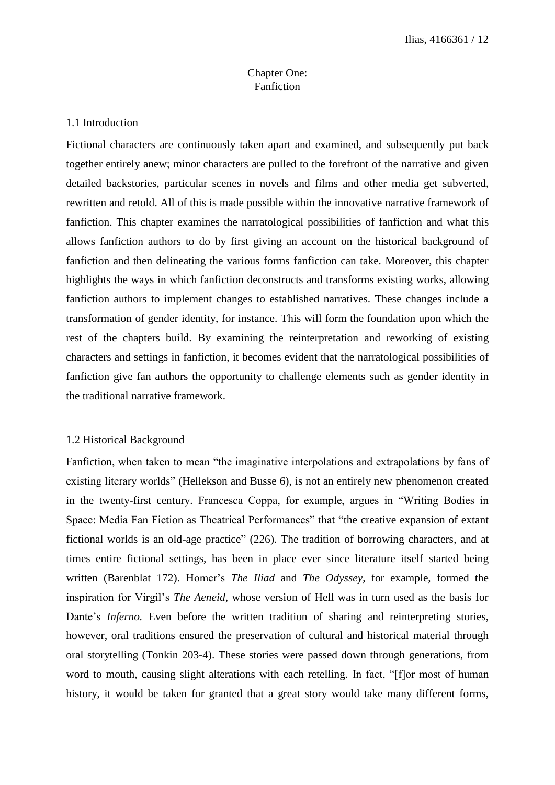# Chapter One: Fanfiction

## 1.1 Introduction

Fictional characters are continuously taken apart and examined, and subsequently put back together entirely anew; minor characters are pulled to the forefront of the narrative and given detailed backstories, particular scenes in novels and films and other media get subverted, rewritten and retold. All of this is made possible within the innovative narrative framework of fanfiction. This chapter examines the narratological possibilities of fanfiction and what this allows fanfiction authors to do by first giving an account on the historical background of fanfiction and then delineating the various forms fanfiction can take. Moreover, this chapter highlights the ways in which fanfiction deconstructs and transforms existing works, allowing fanfiction authors to implement changes to established narratives. These changes include a transformation of gender identity, for instance. This will form the foundation upon which the rest of the chapters build. By examining the reinterpretation and reworking of existing characters and settings in fanfiction, it becomes evident that the narratological possibilities of fanfiction give fan authors the opportunity to challenge elements such as gender identity in the traditional narrative framework.

## 1.2 Historical Background

Fanfiction, when taken to mean "the imaginative interpolations and extrapolations by fans of existing literary worlds" (Hellekson and Busse 6), is not an entirely new phenomenon created in the twenty-first century. Francesca Coppa, for example, argues in "Writing Bodies in Space: Media Fan Fiction as Theatrical Performances" that "the creative expansion of extant fictional worlds is an old-age practice" (226). The tradition of borrowing characters, and at times entire fictional settings, has been in place ever since literature itself started being written (Barenblat 172). Homer's *The Iliad* and *The Odyssey*, for example, formed the inspiration for Virgil's *The Aeneid*, whose version of Hell was in turn used as the basis for Dante's *Inferno*. Even before the written tradition of sharing and reinterpreting stories, however, oral traditions ensured the preservation of cultural and historical material through oral storytelling (Tonkin 203-4). These stories were passed down through generations, from word to mouth, causing slight alterations with each retelling. In fact, "[f]or most of human history, it would be taken for granted that a great story would take many different forms,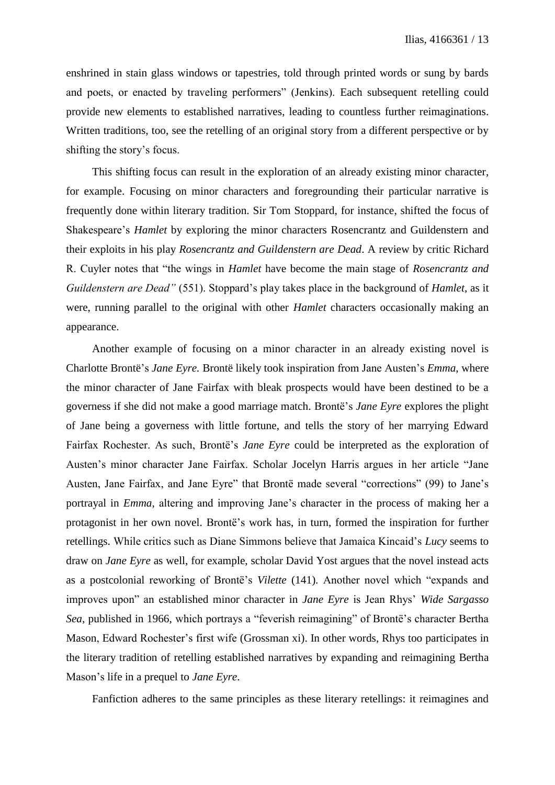enshrined in stain glass windows or tapestries, told through printed words or sung by bards and poets, or enacted by traveling performers" (Jenkins). Each subsequent retelling could provide new elements to established narratives, leading to countless further reimaginations. Written traditions, too, see the retelling of an original story from a different perspective or by shifting the story's focus.

This shifting focus can result in the exploration of an already existing minor character, for example. Focusing on minor characters and foregrounding their particular narrative is frequently done within literary tradition. Sir Tom Stoppard, for instance, shifted the focus of Shakespeare's *Hamlet* by exploring the minor characters Rosencrantz and Guildenstern and their exploits in his play *Rosencrantz and Guildenstern are Dead*. A review by critic Richard R. Cuyler notes that "the wings in *Hamlet* have become the main stage of *Rosencrantz and Guildenstern are Dead"* (551). Stoppard's play takes place in the background of *Hamlet*, as it were, running parallel to the original with other *Hamlet* characters occasionally making an appearance.

Another example of focusing on a minor character in an already existing novel is Charlotte Brontë's *Jane Eyre.* Brontë likely took inspiration from Jane Austen's *Emma*, where the minor character of Jane Fairfax with bleak prospects would have been destined to be a governess if she did not make a good marriage match. Brontë's *Jane Eyre* explores the plight of Jane being a governess with little fortune, and tells the story of her marrying Edward Fairfax Rochester. As such, Brontë's *Jane Eyre* could be interpreted as the exploration of Austen's minor character Jane Fairfax. Scholar Jocelyn Harris argues in her article "Jane Austen, Jane Fairfax, and Jane Eyre" that Brontë made several "corrections" (99) to Jane's portrayal in *Emma,* altering and improving Jane's character in the process of making her a protagonist in her own novel. Brontë's work has, in turn, formed the inspiration for further retellings. While critics such as Diane Simmons believe that Jamaica Kincaid's *Lucy* seems to draw on *Jane Eyre* as well, for example, scholar David Yost argues that the novel instead acts as a postcolonial reworking of Brontë's *Vilette* (141). Another novel which "expands and improves upon" an established minor character in *Jane Eyre* is Jean Rhys' *Wide Sargasso Sea*, published in 1966, which portrays a "feverish reimagining" of Brontë's character Bertha Mason, Edward Rochester's first wife (Grossman xi). In other words, Rhys too participates in the literary tradition of retelling established narratives by expanding and reimagining Bertha Mason's life in a prequel to *Jane Eyre*.

Fanfiction adheres to the same principles as these literary retellings: it reimagines and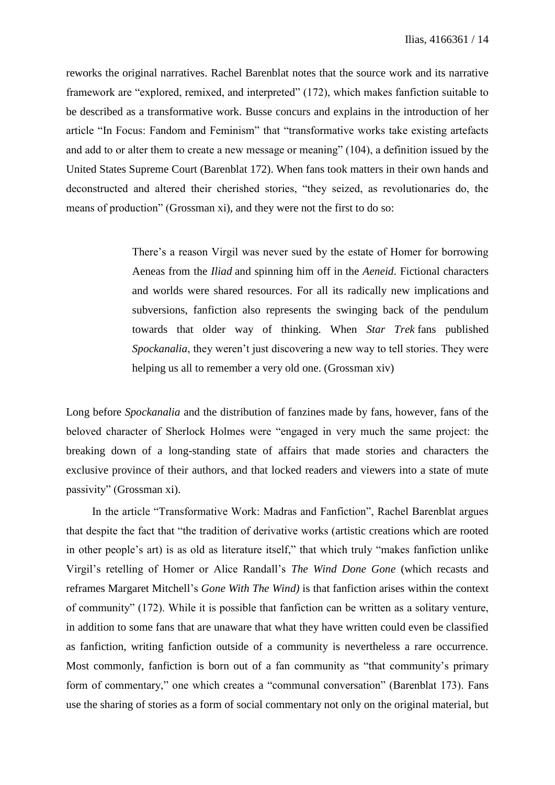reworks the original narratives. Rachel Barenblat notes that the source work and its narrative framework are "explored, remixed, and interpreted" (172), which makes fanfiction suitable to be described as a transformative work. Busse concurs and explains in the introduction of her article "In Focus: Fandom and Feminism" that "transformative works take existing artefacts and add to or alter them to create a new message or meaning" (104), a definition issued by the United States Supreme Court (Barenblat 172). When fans took matters in their own hands and deconstructed and altered their cherished stories, "they seized, as revolutionaries do, the means of production" (Grossman xi), and they were not the first to do so:

> There's a reason Virgil was never sued by the estate of Homer for borrowing Aeneas from the *Iliad* and spinning him off in the *Aeneid*. Fictional characters and worlds were shared resources. For all its radically new implications and subversions, fanfiction also represents the swinging back of the pendulum towards that older way of thinking. When *Star Trek* fans published *Spockanalia*, they weren't just discovering a new way to tell stories. They were helping us all to remember a very old one. (Grossman xiv)

Long before *Spockanalia* and the distribution of fanzines made by fans, however, fans of the beloved character of Sherlock Holmes were "engaged in very much the same project: the breaking down of a long-standing state of affairs that made stories and characters the exclusive province of their authors, and that locked readers and viewers into a state of mute passivity" (Grossman xi).

In the article "Transformative Work: Madras and Fanfiction", Rachel Barenblat argues that despite the fact that "the tradition of derivative works (artistic creations which are rooted in other people's art) is as old as literature itself," that which truly "makes fanfiction unlike Virgil's retelling of Homer or Alice Randall's *The Wind Done Gone* (which recasts and reframes Margaret Mitchell's *Gone With The Wind)* is that fanfiction arises within the context of community" (172). While it is possible that fanfiction can be written as a solitary venture, in addition to some fans that are unaware that what they have written could even be classified as fanfiction, writing fanfiction outside of a community is nevertheless a rare occurrence. Most commonly, fanfiction is born out of a fan community as "that community's primary form of commentary," one which creates a "communal conversation" (Barenblat 173). Fans use the sharing of stories as a form of social commentary not only on the original material, but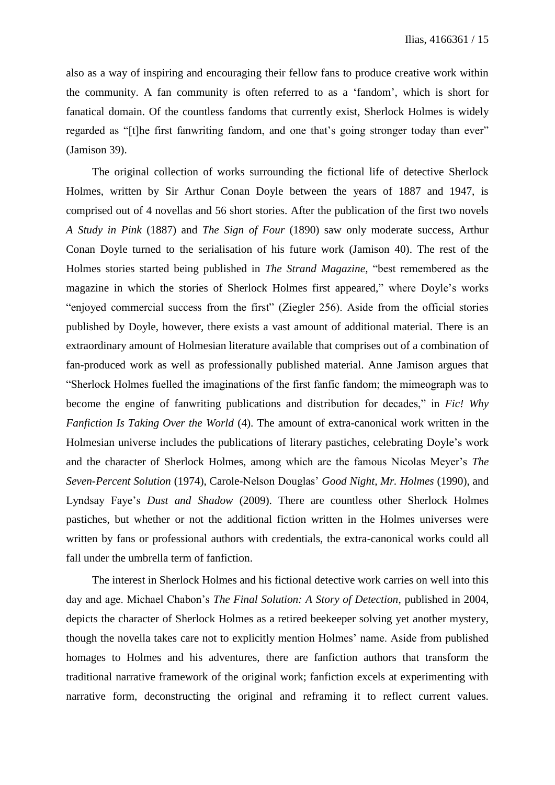also as a way of inspiring and encouraging their fellow fans to produce creative work within the community. A fan community is often referred to as a 'fandom', which is short for fanatical domain. Of the countless fandoms that currently exist, Sherlock Holmes is widely regarded as "[t]he first fanwriting fandom, and one that's going stronger today than ever" (Jamison 39).

The original collection of works surrounding the fictional life of detective Sherlock Holmes, written by Sir Arthur Conan Doyle between the years of 1887 and 1947, is comprised out of 4 novellas and 56 short stories. After the publication of the first two novels *A Study in Pink* (1887) and *The Sign of Four* (1890) saw only moderate success*,* Arthur Conan Doyle turned to the serialisation of his future work (Jamison 40). The rest of the Holmes stories started being published in *The Strand Magazine,* "best remembered as the magazine in which the stories of Sherlock Holmes first appeared," where Doyle's works "enjoyed commercial success from the first" (Ziegler 256). Aside from the official stories published by Doyle, however, there exists a vast amount of additional material. There is an extraordinary amount of Holmesian literature available that comprises out of a combination of fan-produced work as well as professionally published material. Anne Jamison argues that "Sherlock Holmes fuelled the imaginations of the first fanfic fandom; the mimeograph was to become the engine of fanwriting publications and distribution for decades," in *Fic! Why Fanfiction Is Taking Over the World* (4). The amount of extra-canonical work written in the Holmesian universe includes the publications of literary pastiches, celebrating Doyle's work and the character of Sherlock Holmes, among which are the famous Nicolas Meyer's *The Seven-Percent Solution* (1974), Carole-Nelson Douglas' *Good Night, Mr. Holmes* (1990), and Lyndsay Faye's *Dust and Shadow* (2009). There are countless other Sherlock Holmes pastiches, but whether or not the additional fiction written in the Holmes universes were written by fans or professional authors with credentials, the extra-canonical works could all fall under the umbrella term of fanfiction.

The interest in Sherlock Holmes and his fictional detective work carries on well into this day and age. Michael Chabon's *The Final Solution: A Story of Detection*, published in 2004, depicts the character of Sherlock Holmes as a retired beekeeper solving yet another mystery, though the novella takes care not to explicitly mention Holmes' name. Aside from published homages to Holmes and his adventures, there are fanfiction authors that transform the traditional narrative framework of the original work; fanfiction excels at experimenting with narrative form, deconstructing the original and reframing it to reflect current values.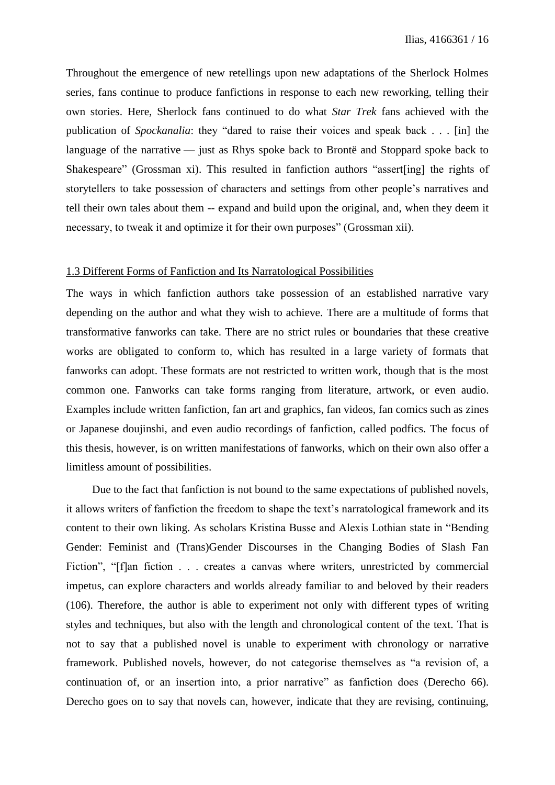Throughout the emergence of new retellings upon new adaptations of the Sherlock Holmes series, fans continue to produce fanfictions in response to each new reworking, telling their own stories. Here, Sherlock fans continued to do what *Star Trek* fans achieved with the publication of *Spockanalia*: they "dared to raise their voices and speak back . . . [in] the language of the narrative — just as Rhys spoke back to Brontë and Stoppard spoke back to Shakespeare" (Grossman xi). This resulted in fanfiction authors "assert[ing] the rights of storytellers to take possession of characters and settings from other people's narratives and tell their own tales about them -- expand and build upon the original, and, when they deem it necessary, to tweak it and optimize it for their own purposes" (Grossman xii).

#### 1.3 Different Forms of Fanfiction and Its Narratological Possibilities

The ways in which fanfiction authors take possession of an established narrative vary depending on the author and what they wish to achieve. There are a multitude of forms that transformative fanworks can take. There are no strict rules or boundaries that these creative works are obligated to conform to, which has resulted in a large variety of formats that fanworks can adopt. These formats are not restricted to written work, though that is the most common one. Fanworks can take forms ranging from literature, artwork, or even audio. Examples include written fanfiction, fan art and graphics, fan videos, fan comics such as zines or Japanese doujinshi, and even audio recordings of fanfiction, called podfics. The focus of this thesis, however, is on written manifestations of fanworks, which on their own also offer a limitless amount of possibilities.

Due to the fact that fanfiction is not bound to the same expectations of published novels, it allows writers of fanfiction the freedom to shape the text's narratological framework and its content to their own liking. As scholars Kristina Busse and Alexis Lothian state in "Bending Gender: Feminist and (Trans)Gender Discourses in the Changing Bodies of Slash Fan Fiction", "[f]an fiction . . . creates a canvas where writers, unrestricted by commercial impetus, can explore characters and worlds already familiar to and beloved by their readers (106). Therefore, the author is able to experiment not only with different types of writing styles and techniques, but also with the length and chronological content of the text. That is not to say that a published novel is unable to experiment with chronology or narrative framework. Published novels, however, do not categorise themselves as "a revision of, a continuation of, or an insertion into, a prior narrative" as fanfiction does (Derecho 66). Derecho goes on to say that novels can, however, indicate that they are revising, continuing,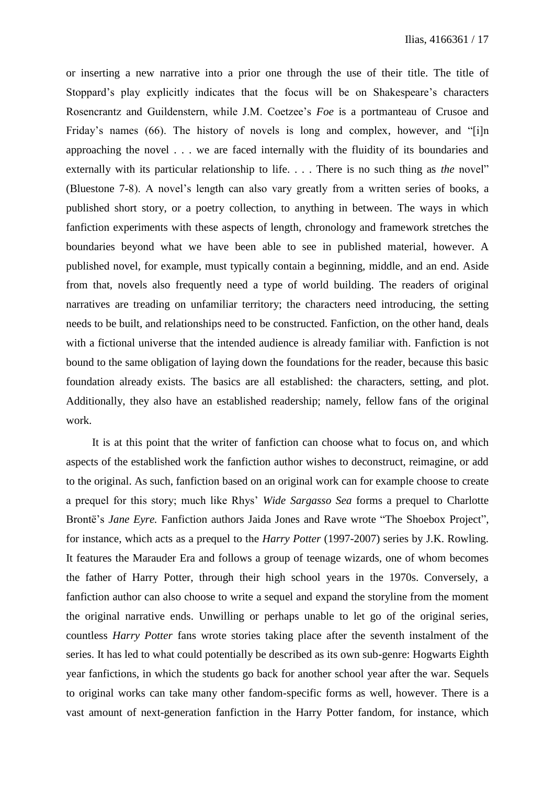or inserting a new narrative into a prior one through the use of their title. The title of Stoppard's play explicitly indicates that the focus will be on Shakespeare's characters Rosencrantz and Guildenstern, while J.M. Coetzee's *Foe* is a portmanteau of Crusoe and Friday's names (66). The history of novels is long and complex, however, and "[i]n approaching the novel . . . we are faced internally with the fluidity of its boundaries and externally with its particular relationship to life. . . . There is no such thing as *the* novel" (Bluestone 7-8). A novel's length can also vary greatly from a written series of books, a published short story, or a poetry collection, to anything in between. The ways in which fanfiction experiments with these aspects of length, chronology and framework stretches the boundaries beyond what we have been able to see in published material, however. A published novel, for example, must typically contain a beginning, middle, and an end. Aside from that, novels also frequently need a type of world building. The readers of original narratives are treading on unfamiliar territory; the characters need introducing, the setting needs to be built, and relationships need to be constructed. Fanfiction, on the other hand, deals with a fictional universe that the intended audience is already familiar with. Fanfiction is not bound to the same obligation of laying down the foundations for the reader, because this basic foundation already exists. The basics are all established: the characters, setting, and plot. Additionally, they also have an established readership; namely, fellow fans of the original work.

It is at this point that the writer of fanfiction can choose what to focus on, and which aspects of the established work the fanfiction author wishes to deconstruct, reimagine, or add to the original. As such, fanfiction based on an original work can for example choose to create a prequel for this story; much like Rhys' *Wide Sargasso Sea* forms a prequel to Charlotte Brontë's *Jane Eyre.* Fanfiction authors Jaida Jones and Rave wrote "The Shoebox Project", for instance, which acts as a prequel to the *Harry Potter* (1997-2007) series by J.K. Rowling. It features the Marauder Era and follows a group of teenage wizards, one of whom becomes the father of Harry Potter, through their high school years in the 1970s. Conversely, a fanfiction author can also choose to write a sequel and expand the storyline from the moment the original narrative ends. Unwilling or perhaps unable to let go of the original series, countless *Harry Potter* fans wrote stories taking place after the seventh instalment of the series. It has led to what could potentially be described as its own sub-genre: Hogwarts Eighth year fanfictions, in which the students go back for another school year after the war. Sequels to original works can take many other fandom-specific forms as well, however. There is a vast amount of next-generation fanfiction in the Harry Potter fandom, for instance, which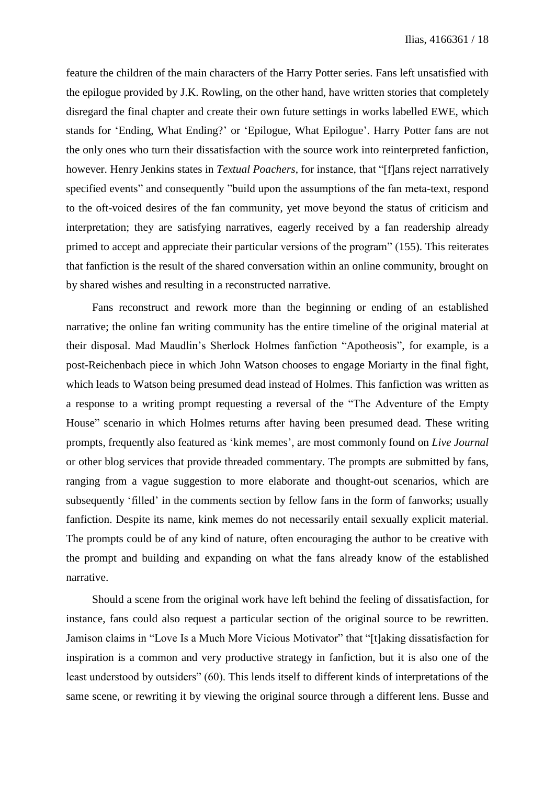feature the children of the main characters of the Harry Potter series. Fans left unsatisfied with the epilogue provided by J.K. Rowling, on the other hand, have written stories that completely disregard the final chapter and create their own future settings in works labelled EWE, which stands for 'Ending, What Ending?' or 'Epilogue, What Epilogue'. Harry Potter fans are not the only ones who turn their dissatisfaction with the source work into reinterpreted fanfiction, however. Henry Jenkins states in *Textual Poachers*, for instance, that "[f]ans reject narratively specified events" and consequently "build upon the assumptions of the fan meta-text, respond to the oft-voiced desires of the fan community, yet move beyond the status of criticism and interpretation; they are satisfying narratives, eagerly received by a fan readership already primed to accept and appreciate their particular versions of the program" (155). This reiterates that fanfiction is the result of the shared conversation within an online community, brought on by shared wishes and resulting in a reconstructed narrative.

Fans reconstruct and rework more than the beginning or ending of an established narrative; the online fan writing community has the entire timeline of the original material at their disposal. Mad Maudlin's Sherlock Holmes fanfiction "Apotheosis", for example, is a post-Reichenbach piece in which John Watson chooses to engage Moriarty in the final fight, which leads to Watson being presumed dead instead of Holmes. This fanfiction was written as a response to a writing prompt requesting a reversal of the "The Adventure of the Empty House" scenario in which Holmes returns after having been presumed dead. These writing prompts, frequently also featured as 'kink memes', are most commonly found on *Live Journal* or other blog services that provide threaded commentary. The prompts are submitted by fans, ranging from a vague suggestion to more elaborate and thought-out scenarios, which are subsequently 'filled' in the comments section by fellow fans in the form of fanworks; usually fanfiction. Despite its name, kink memes do not necessarily entail sexually explicit material. The prompts could be of any kind of nature, often encouraging the author to be creative with the prompt and building and expanding on what the fans already know of the established narrative.

Should a scene from the original work have left behind the feeling of dissatisfaction, for instance, fans could also request a particular section of the original source to be rewritten. Jamison claims in "Love Is a Much More Vicious Motivator" that "[t]aking dissatisfaction for inspiration is a common and very productive strategy in fanfiction, but it is also one of the least understood by outsiders" (60). This lends itself to different kinds of interpretations of the same scene, or rewriting it by viewing the original source through a different lens. Busse and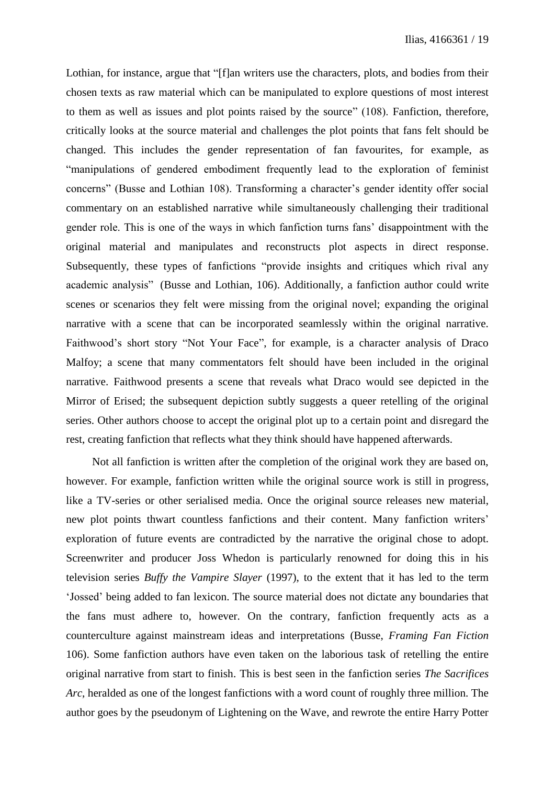Lothian, for instance, argue that "[f]an writers use the characters, plots, and bodies from their chosen texts as raw material which can be manipulated to explore questions of most interest to them as well as issues and plot points raised by the source" (108). Fanfiction, therefore, critically looks at the source material and challenges the plot points that fans felt should be changed. This includes the gender representation of fan favourites, for example, as "manipulations of gendered embodiment frequently lead to the exploration of feminist concerns" (Busse and Lothian 108). Transforming a character's gender identity offer social commentary on an established narrative while simultaneously challenging their traditional gender role. This is one of the ways in which fanfiction turns fans' disappointment with the original material and manipulates and reconstructs plot aspects in direct response. Subsequently, these types of fanfictions "provide insights and critiques which rival any academic analysis" (Busse and Lothian, 106). Additionally, a fanfiction author could write scenes or scenarios they felt were missing from the original novel; expanding the original narrative with a scene that can be incorporated seamlessly within the original narrative. Faithwood's short story "Not Your Face", for example, is a character analysis of Draco Malfoy; a scene that many commentators felt should have been included in the original narrative. Faithwood presents a scene that reveals what Draco would see depicted in the Mirror of Erised; the subsequent depiction subtly suggests a queer retelling of the original series. Other authors choose to accept the original plot up to a certain point and disregard the rest, creating fanfiction that reflects what they think should have happened afterwards.

Not all fanfiction is written after the completion of the original work they are based on, however. For example, fanfiction written while the original source work is still in progress, like a TV-series or other serialised media. Once the original source releases new material, new plot points thwart countless fanfictions and their content. Many fanfiction writers' exploration of future events are contradicted by the narrative the original chose to adopt. Screenwriter and producer Joss Whedon is particularly renowned for doing this in his television series *Buffy the Vampire Slayer* (1997), to the extent that it has led to the term 'Jossed' being added to fan lexicon. The source material does not dictate any boundaries that the fans must adhere to, however. On the contrary, fanfiction frequently acts as a counterculture against mainstream ideas and interpretations (Busse, *Framing Fan Fiction* 106). Some fanfiction authors have even taken on the laborious task of retelling the entire original narrative from start to finish. This is best seen in the fanfiction series *The Sacrifices Arc*, heralded as one of the longest fanfictions with a word count of roughly three million. The author goes by the pseudonym of Lightening on the Wave, and rewrote the entire Harry Potter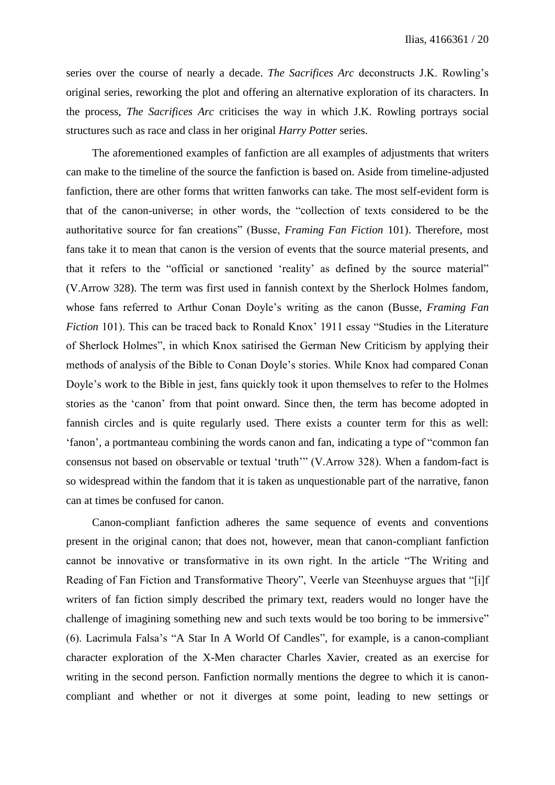series over the course of nearly a decade. *The Sacrifices Arc* deconstructs J.K. Rowling's original series, reworking the plot and offering an alternative exploration of its characters. In the process, *The Sacrifices Arc* criticises the way in which J.K. Rowling portrays social structures such as race and class in her original *Harry Potter* series.

The aforementioned examples of fanfiction are all examples of adjustments that writers can make to the timeline of the source the fanfiction is based on. Aside from timeline-adjusted fanfiction, there are other forms that written fanworks can take. The most self-evident form is that of the canon-universe; in other words, the "collection of texts considered to be the authoritative source for fan creations" (Busse, *Framing Fan Fiction* 101). Therefore, most fans take it to mean that canon is the version of events that the source material presents, and that it refers to the "official or sanctioned 'reality' as defined by the source material" (V.Arrow 328). The term was first used in fannish context by the Sherlock Holmes fandom, whose fans referred to Arthur Conan Doyle's writing as the canon (Busse, *Framing Fan Fiction* 101). This can be traced back to Ronald Knox' 1911 essay "Studies in the Literature of Sherlock Holmes", in which Knox satirised the German New Criticism by applying their methods of analysis of the Bible to Conan Doyle's stories. While Knox had compared Conan Doyle's work to the Bible in jest, fans quickly took it upon themselves to refer to the Holmes stories as the 'canon' from that point onward. Since then, the term has become adopted in fannish circles and is quite regularly used. There exists a counter term for this as well: 'fanon', a portmanteau combining the words canon and fan, indicating a type of "common fan consensus not based on observable or textual 'truth'" (V.Arrow 328). When a fandom-fact is so widespread within the fandom that it is taken as unquestionable part of the narrative, fanon can at times be confused for canon.

Canon-compliant fanfiction adheres the same sequence of events and conventions present in the original canon; that does not, however, mean that canon-compliant fanfiction cannot be innovative or transformative in its own right. In the article "The Writing and Reading of Fan Fiction and Transformative Theory", Veerle van Steenhuyse argues that "[i]f writers of fan fiction simply described the primary text, readers would no longer have the challenge of imagining something new and such texts would be too boring to be immersive" (6). Lacrimula Falsa's "A Star In A World Of Candles", for example, is a canon-compliant character exploration of the X-Men character Charles Xavier, created as an exercise for writing in the second person. Fanfiction normally mentions the degree to which it is canoncompliant and whether or not it diverges at some point, leading to new settings or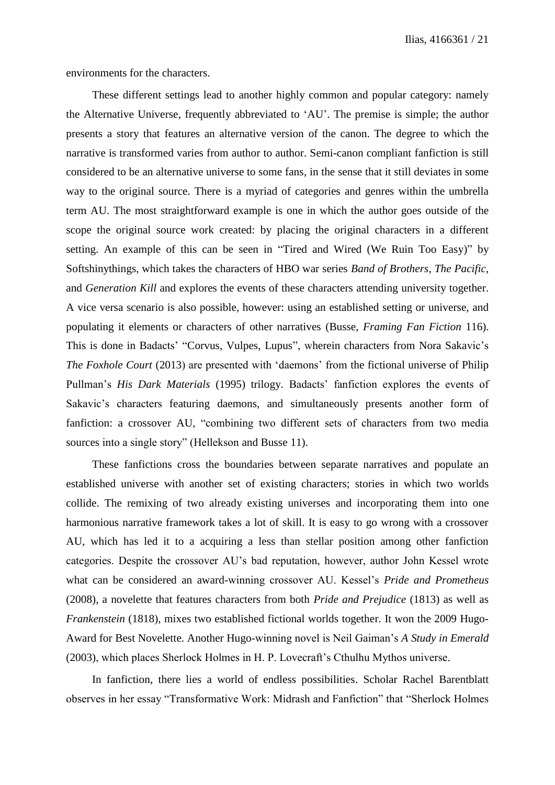environments for the characters.

These different settings lead to another highly common and popular category: namely the Alternative Universe, frequently abbreviated to 'AU'. The premise is simple; the author presents a story that features an alternative version of the canon. The degree to which the narrative is transformed varies from author to author. Semi-canon compliant fanfiction is still considered to be an alternative universe to some fans, in the sense that it still deviates in some way to the original source. There is a myriad of categories and genres within the umbrella term AU. The most straightforward example is one in which the author goes outside of the scope the original source work created: by placing the original characters in a different setting. An example of this can be seen in "Tired and Wired (We Ruin Too Easy)" by Softshinythings, which takes the characters of HBO war series *Band of Brothers*, *The Pacific*, and *Generation Kill* and explores the events of these characters attending university together. A vice versa scenario is also possible, however: using an established setting or universe, and populating it elements or characters of other narratives (Busse, *Framing Fan Fiction* 116). This is done in Badacts' "Corvus, Vulpes, Lupus", wherein characters from Nora Sakavic's *The Foxhole Court* (2013) are presented with 'daemons' from the fictional universe of Philip Pullman's *His Dark Materials* (1995) trilogy. Badacts' fanfiction explores the events of Sakavic's characters featuring daemons, and simultaneously presents another form of fanfiction: a crossover AU, "combining two different sets of characters from two media sources into a single story" (Hellekson and Busse 11).

These fanfictions cross the boundaries between separate narratives and populate an established universe with another set of existing characters; stories in which two worlds collide. The remixing of two already existing universes and incorporating them into one harmonious narrative framework takes a lot of skill. It is easy to go wrong with a crossover AU, which has led it to a acquiring a less than stellar position among other fanfiction categories. Despite the crossover AU's bad reputation, however, author John Kessel wrote what can be considered an award-winning crossover AU. Kessel's *Pride and Prometheus* (2008), a novelette that features characters from both *Pride and Prejudice* (1813) as well as *Frankenstein* (1818), mixes two established fictional worlds together. It won the 2009 Hugo-Award for Best Novelette. Another Hugo-winning novel is Neil Gaiman's *A Study in Emerald* (2003), which places Sherlock Holmes in H. P. Lovecraft's Cthulhu Mythos universe.

In fanfiction, there lies a world of endless possibilities. Scholar Rachel Barentblatt observes in her essay "Transformative Work: Midrash and Fanfiction" that "Sherlock Holmes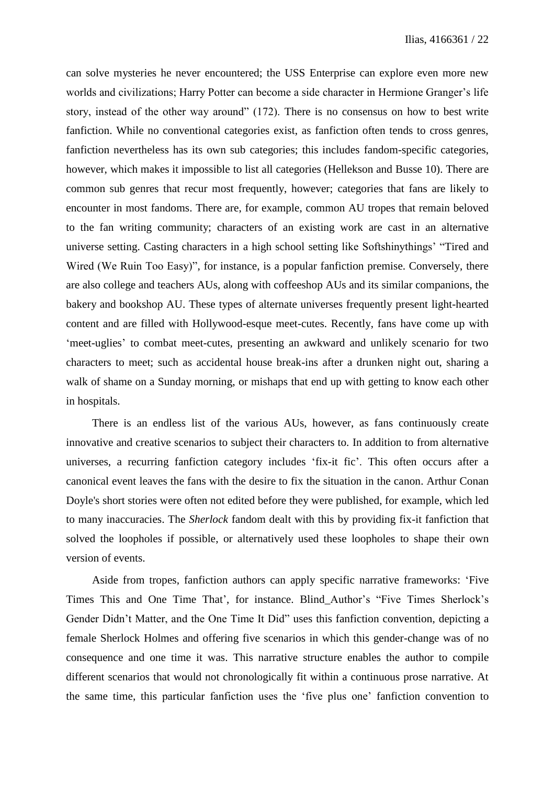can solve mysteries he never encountered; the USS Enterprise can explore even more new worlds and civilizations; Harry Potter can become a side character in Hermione Granger's life story, instead of the other way around" (172). There is no consensus on how to best write fanfiction. While no conventional categories exist, as fanfiction often tends to cross genres, fanfiction nevertheless has its own sub categories; this includes fandom-specific categories, however, which makes it impossible to list all categories (Hellekson and Busse 10). There are common sub genres that recur most frequently, however; categories that fans are likely to encounter in most fandoms. There are, for example, common AU tropes that remain beloved to the fan writing community; characters of an existing work are cast in an alternative universe setting. Casting characters in a high school setting like Softshinythings' "Tired and Wired (We Ruin Too Easy)", for instance, is a popular fanfiction premise. Conversely, there are also college and teachers AUs, along with coffeeshop AUs and its similar companions, the bakery and bookshop AU. These types of alternate universes frequently present light-hearted content and are filled with Hollywood-esque meet-cutes. Recently, fans have come up with 'meet-uglies' to combat meet-cutes, presenting an awkward and unlikely scenario for two characters to meet; such as accidental house break-ins after a drunken night out, sharing a walk of shame on a Sunday morning, or mishaps that end up with getting to know each other in hospitals.

There is an endless list of the various AUs, however, as fans continuously create innovative and creative scenarios to subject their characters to. In addition to from alternative universes, a recurring fanfiction category includes 'fix-it fic'. This often occurs after a canonical event leaves the fans with the desire to fix the situation in the canon. Arthur Conan Doyle's short stories were often not edited before they were published, for example, which led to many inaccuracies. The *Sherlock* fandom dealt with this by providing fix-it fanfiction that solved the loopholes if possible, or alternatively used these loopholes to shape their own version of events.

Aside from tropes, fanfiction authors can apply specific narrative frameworks: 'Five Times This and One Time That', for instance. Blind\_Author's "Five Times Sherlock's Gender Didn't Matter, and the One Time It Did" uses this fanfiction convention, depicting a female Sherlock Holmes and offering five scenarios in which this gender-change was of no consequence and one time it was. This narrative structure enables the author to compile different scenarios that would not chronologically fit within a continuous prose narrative. At the same time, this particular fanfiction uses the 'five plus one' fanfiction convention to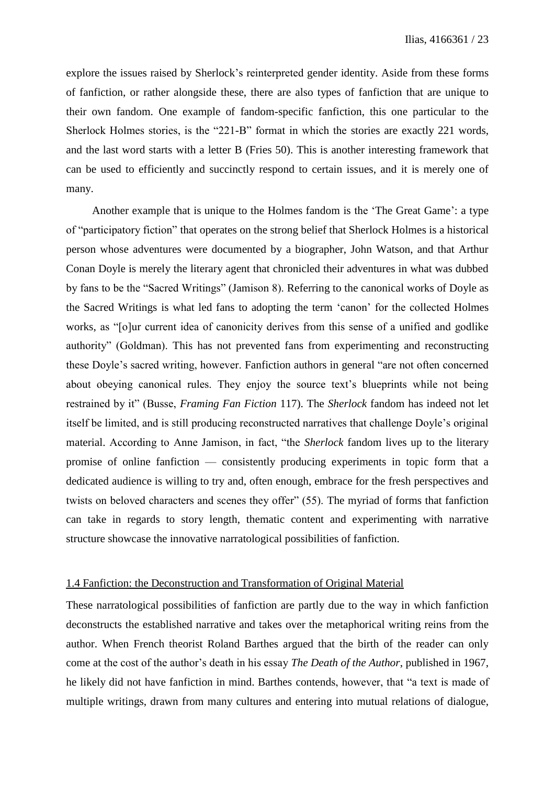explore the issues raised by Sherlock's reinterpreted gender identity. Aside from these forms of fanfiction, or rather alongside these, there are also types of fanfiction that are unique to their own fandom. One example of fandom-specific fanfiction, this one particular to the Sherlock Holmes stories, is the "221-B" format in which the stories are exactly 221 words, and the last word starts with a letter B (Fries 50). This is another interesting framework that can be used to efficiently and succinctly respond to certain issues, and it is merely one of many.

Another example that is unique to the Holmes fandom is the 'The Great Game': a type of "participatory fiction" that operates on the strong belief that Sherlock Holmes is a historical person whose adventures were documented by a biographer, John Watson, and that Arthur Conan Doyle is merely the literary agent that chronicled their adventures in what was dubbed by fans to be the "Sacred Writings" (Jamison 8). Referring to the canonical works of Doyle as the Sacred Writings is what led fans to adopting the term 'canon' for the collected Holmes works, as "[o]ur current idea of canonicity derives from this sense of a unified and godlike authority" (Goldman). This has not prevented fans from experimenting and reconstructing these Doyle's sacred writing, however. Fanfiction authors in general "are not often concerned about obeying canonical rules. They enjoy the source text's blueprints while not being restrained by it" (Busse, *Framing Fan Fiction* 117). The *Sherlock* fandom has indeed not let itself be limited, and is still producing reconstructed narratives that challenge Doyle's original material. According to Anne Jamison, in fact, "the *Sherlock* fandom lives up to the literary promise of online fanfiction –– consistently producing experiments in topic form that a dedicated audience is willing to try and, often enough, embrace for the fresh perspectives and twists on beloved characters and scenes they offer" (55). The myriad of forms that fanfiction can take in regards to story length, thematic content and experimenting with narrative structure showcase the innovative narratological possibilities of fanfiction.

#### 1.4 Fanfiction: the Deconstruction and Transformation of Original Material

These narratological possibilities of fanfiction are partly due to the way in which fanfiction deconstructs the established narrative and takes over the metaphorical writing reins from the author. When French theorist Roland Barthes argued that the birth of the reader can only come at the cost of the author's death in his essay *The Death of the Author*, published in 1967, he likely did not have fanfiction in mind. Barthes contends, however, that "a text is made of multiple writings, drawn from many cultures and entering into mutual relations of dialogue,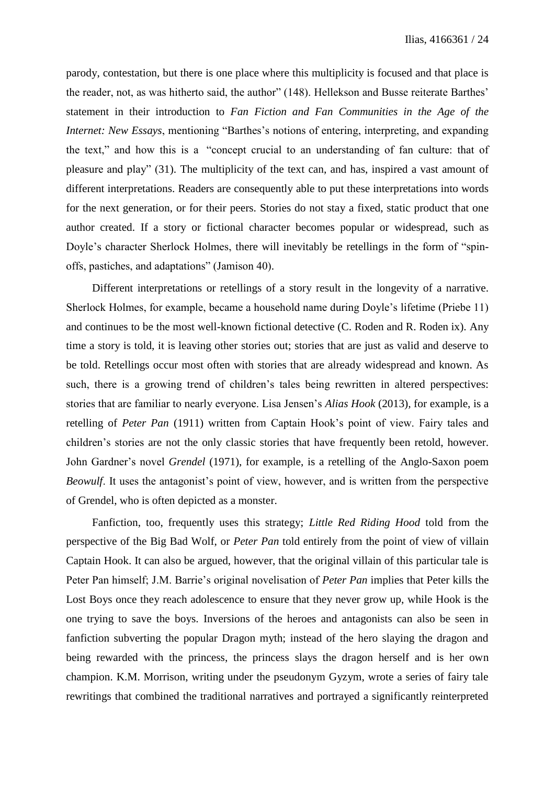parody, contestation, but there is one place where this multiplicity is focused and that place is the reader, not, as was hitherto said, the author" (148). Hellekson and Busse reiterate Barthes' statement in their introduction to *Fan Fiction and Fan Communities in the Age of the Internet: New Essays*, mentioning "Barthes's notions of entering, interpreting, and expanding the text," and how this is a "concept crucial to an understanding of fan culture: that of pleasure and play" (31). The multiplicity of the text can, and has, inspired a vast amount of different interpretations. Readers are consequently able to put these interpretations into words for the next generation, or for their peers. Stories do not stay a fixed, static product that one author created. If a story or fictional character becomes popular or widespread, such as Doyle's character Sherlock Holmes, there will inevitably be retellings in the form of "spinoffs, pastiches, and adaptations" (Jamison 40).

Different interpretations or retellings of a story result in the longevity of a narrative. Sherlock Holmes, for example, became a household name during Doyle's lifetime (Priebe 11) and continues to be the most well-known fictional detective (C. Roden and R. Roden ix). Any time a story is told, it is leaving other stories out; stories that are just as valid and deserve to be told. Retellings occur most often with stories that are already widespread and known. As such, there is a growing trend of children's tales being rewritten in altered perspectives: stories that are familiar to nearly everyone. Lisa Jensen's *Alias Hook* (2013)*,* for example, is a retelling of *Peter Pan* (1911) written from Captain Hook's point of view. Fairy tales and children's stories are not the only classic stories that have frequently been retold, however. John Gardner's novel *Grendel* (1971), for example, is a retelling of the Anglo-Saxon poem *Beowulf*. It uses the antagonist's point of view, however, and is written from the perspective of Grendel, who is often depicted as a monster.

Fanfiction, too, frequently uses this strategy; *Little Red Riding Hood* told from the perspective of the Big Bad Wolf, or *Peter Pan* told entirely from the point of view of villain Captain Hook. It can also be argued, however, that the original villain of this particular tale is Peter Pan himself; J.M. Barrie's original novelisation of *Peter Pan* implies that Peter kills the Lost Boys once they reach adolescence to ensure that they never grow up, while Hook is the one trying to save the boys. Inversions of the heroes and antagonists can also be seen in fanfiction subverting the popular Dragon myth; instead of the hero slaying the dragon and being rewarded with the princess, the princess slays the dragon herself and is her own champion. K.M. Morrison, writing under the pseudonym Gyzym, wrote a series of fairy tale rewritings that combined the traditional narratives and portrayed a significantly reinterpreted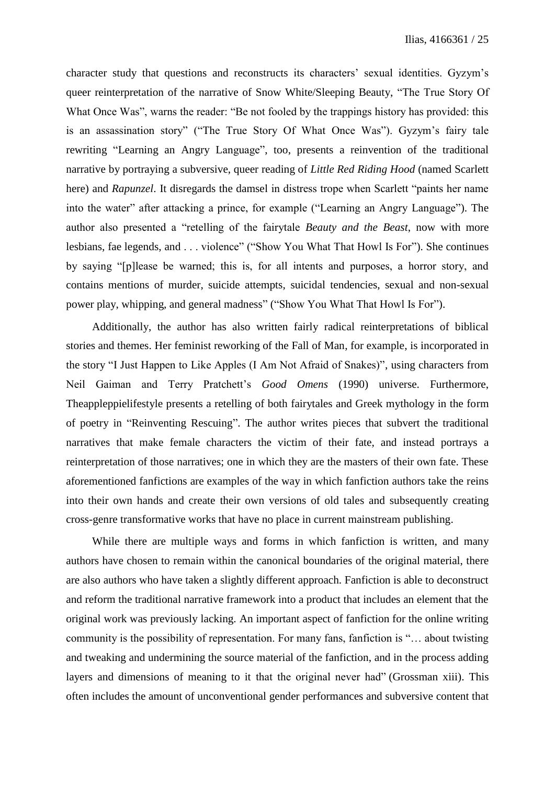character study that questions and reconstructs its characters' sexual identities. Gyzym's queer reinterpretation of the narrative of Snow White/Sleeping Beauty, "The True Story Of What Once Was", warns the reader: "Be not fooled by the trappings history has provided: this is an assassination story" ("The True Story Of What Once Was"). Gyzym's fairy tale rewriting "Learning an Angry Language", too, presents a reinvention of the traditional narrative by portraying a subversive, queer reading of *Little Red Riding Hood* (named Scarlett here) and *Rapunzel*. It disregards the damsel in distress trope when Scarlett "paints her name into the water" after attacking a prince, for example ("Learning an Angry Language"). The author also presented a "retelling of the fairytale *Beauty and the Beast*, now with more lesbians, fae legends, and . . . violence" ("Show You What That Howl Is For"). She continues by saying "[p]lease be warned; this is, for all intents and purposes, a horror story, and contains mentions of murder, suicide attempts, suicidal tendencies, sexual and non-sexual power play, whipping, and general madness" ("Show You What That Howl Is For").

Additionally, the author has also written fairly radical reinterpretations of biblical stories and themes. Her feminist reworking of the Fall of Man, for example, is incorporated in the story "I Just Happen to Like Apples (I Am Not Afraid of Snakes)", using characters from Neil Gaiman and Terry Pratchett's *Good Omens* (1990) universe. Furthermore, Theappleppielifestyle presents a retelling of both fairytales and Greek mythology in the form of poetry in "Reinventing Rescuing". The author writes pieces that subvert the traditional narratives that make female characters the victim of their fate, and instead portrays a reinterpretation of those narratives; one in which they are the masters of their own fate. These aforementioned fanfictions are examples of the way in which fanfiction authors take the reins into their own hands and create their own versions of old tales and subsequently creating cross-genre transformative works that have no place in current mainstream publishing.

While there are multiple ways and forms in which fanfiction is written, and many authors have chosen to remain within the canonical boundaries of the original material, there are also authors who have taken a slightly different approach. Fanfiction is able to deconstruct and reform the traditional narrative framework into a product that includes an element that the original work was previously lacking. An important aspect of fanfiction for the online writing community is the possibility of representation. For many fans, fanfiction is "… about twisting and tweaking and undermining the source material of the fanfiction, and in the process adding layers and dimensions of meaning to it that the original never had" (Grossman xiii). This often includes the amount of unconventional gender performances and subversive content that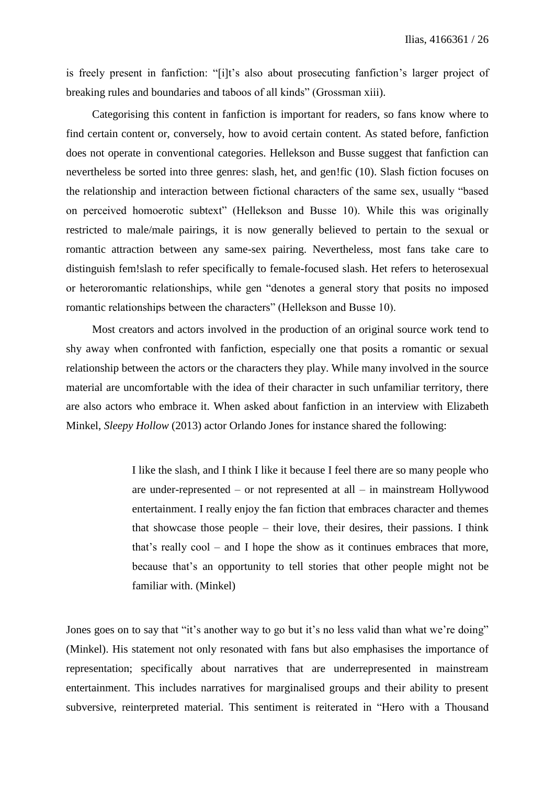is freely present in fanfiction: "[i]t's also about prosecuting fanfiction's larger project of breaking rules and boundaries and taboos of all kinds" (Grossman xiii).

Categorising this content in fanfiction is important for readers, so fans know where to find certain content or, conversely, how to avoid certain content. As stated before, fanfiction does not operate in conventional categories. Hellekson and Busse suggest that fanfiction can nevertheless be sorted into three genres: slash, het, and gen!fic (10). Slash fiction focuses on the relationship and interaction between fictional characters of the same sex, usually "based on perceived homoerotic subtext" (Hellekson and Busse 10). While this was originally restricted to male/male pairings, it is now generally believed to pertain to the sexual or romantic attraction between any same-sex pairing. Nevertheless, most fans take care to distinguish fem!slash to refer specifically to female-focused slash. Het refers to heterosexual or heteroromantic relationships, while gen "denotes a general story that posits no imposed romantic relationships between the characters" (Hellekson and Busse 10).

Most creators and actors involved in the production of an original source work tend to shy away when confronted with fanfiction, especially one that posits a romantic or sexual relationship between the actors or the characters they play. While many involved in the source material are uncomfortable with the idea of their character in such unfamiliar territory, there are also actors who embrace it. When asked about fanfiction in an interview with Elizabeth Minkel, *Sleepy Hollow* (2013) actor Orlando Jones for instance shared the following:

> I like the slash, and I think I like it because I feel there are so many people who are under-represented – or not represented at all – in mainstream Hollywood entertainment. I really enjoy the fan fiction that embraces character and themes that showcase those people – their love, their desires, their passions. I think that's really cool – and I hope the show as it continues embraces that more, because that's an opportunity to tell stories that other people might not be familiar with. (Minkel)

Jones goes on to say that "it's another way to go but it's no less valid than what we're doing" (Minkel). His statement not only resonated with fans but also emphasises the importance of representation; specifically about narratives that are underrepresented in mainstream entertainment. This includes narratives for marginalised groups and their ability to present subversive, reinterpreted material. This sentiment is reiterated in "Hero with a Thousand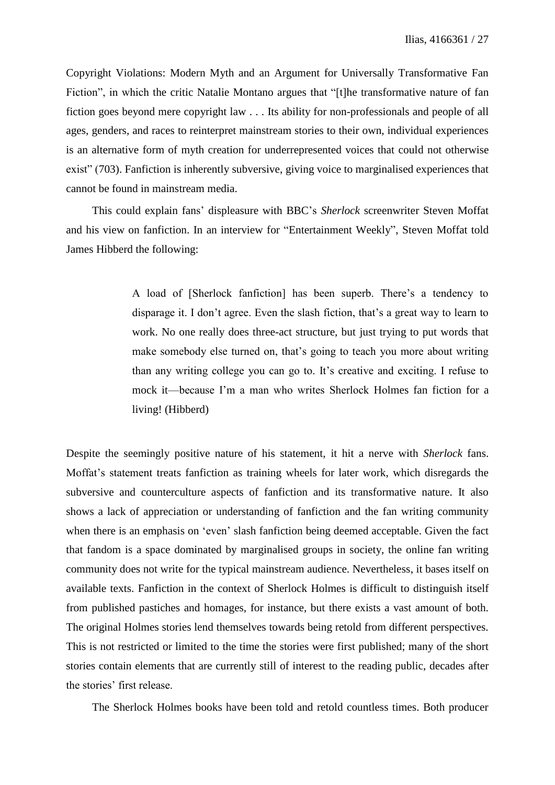Copyright Violations: Modern Myth and an Argument for Universally Transformative Fan Fiction", in which the critic Natalie Montano argues that "[t]he transformative nature of fan fiction goes beyond mere copyright law . . . Its ability for non-professionals and people of all ages, genders, and races to reinterpret mainstream stories to their own, individual experiences is an alternative form of myth creation for underrepresented voices that could not otherwise exist" (703). Fanfiction is inherently subversive, giving voice to marginalised experiences that cannot be found in mainstream media.

This could explain fans' displeasure with BBC's *Sherlock* screenwriter Steven Moffat and his view on fanfiction. In an interview for "Entertainment Weekly", Steven Moffat told James Hibberd the following:

> A load of [Sherlock fanfiction] has been superb. There's a tendency to disparage it. I don't agree. Even the slash fiction, that's a great way to learn to work. No one really does three-act structure, but just trying to put words that make somebody else turned on, that's going to teach you more about writing than any writing college you can go to. It's creative and exciting. I refuse to mock it—because I'm a man who writes Sherlock Holmes fan fiction for a living! (Hibberd)

Despite the seemingly positive nature of his statement, it hit a nerve with *Sherlock* fans. Moffat's statement treats fanfiction as training wheels for later work, which disregards the subversive and counterculture aspects of fanfiction and its transformative nature. It also shows a lack of appreciation or understanding of fanfiction and the fan writing community when there is an emphasis on 'even' slash fanfiction being deemed acceptable. Given the fact that fandom is a space dominated by marginalised groups in society, the online fan writing community does not write for the typical mainstream audience. Nevertheless, it bases itself on available texts. Fanfiction in the context of Sherlock Holmes is difficult to distinguish itself from published pastiches and homages, for instance, but there exists a vast amount of both. The original Holmes stories lend themselves towards being retold from different perspectives. This is not restricted or limited to the time the stories were first published; many of the short stories contain elements that are currently still of interest to the reading public, decades after the stories' first release.

The Sherlock Holmes books have been told and retold countless times. Both producer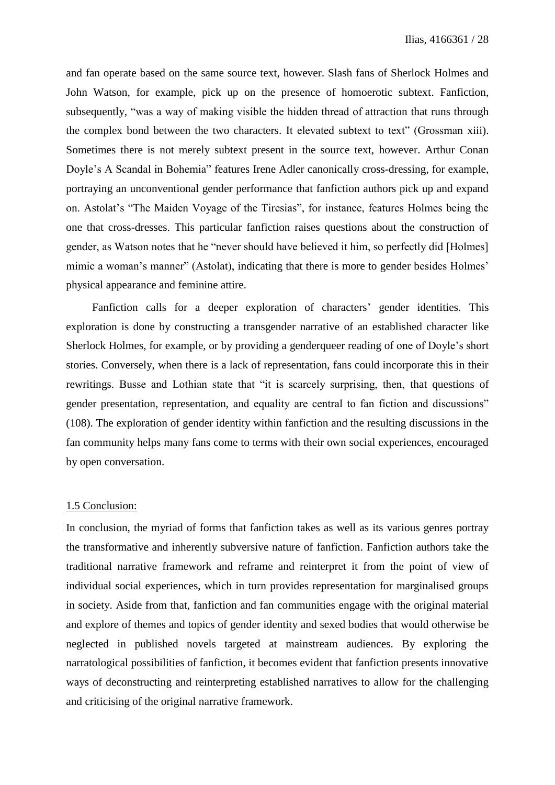and fan operate based on the same source text, however. Slash fans of Sherlock Holmes and John Watson, for example, pick up on the presence of homoerotic subtext. Fanfiction, subsequently, "was a way of making visible the hidden thread of attraction that runs through the complex bond between the two characters. It elevated subtext to text" (Grossman xiii). Sometimes there is not merely subtext present in the source text, however. Arthur Conan Doyle's A Scandal in Bohemia" features Irene Adler canonically cross-dressing, for example, portraying an unconventional gender performance that fanfiction authors pick up and expand on. Astolat's "The Maiden Voyage of the Tiresias", for instance, features Holmes being the one that cross-dresses. This particular fanfiction raises questions about the construction of gender, as Watson notes that he "never should have believed it him, so perfectly did [Holmes] mimic a woman's manner" (Astolat), indicating that there is more to gender besides Holmes' physical appearance and feminine attire.

Fanfiction calls for a deeper exploration of characters' gender identities. This exploration is done by constructing a transgender narrative of an established character like Sherlock Holmes, for example, or by providing a genderqueer reading of one of Doyle's short stories. Conversely, when there is a lack of representation, fans could incorporate this in their rewritings. Busse and Lothian state that "it is scarcely surprising, then, that questions of gender presentation, representation, and equality are central to fan fiction and discussions" (108). The exploration of gender identity within fanfiction and the resulting discussions in the fan community helps many fans come to terms with their own social experiences, encouraged by open conversation.

## 1.5 Conclusion:

In conclusion, the myriad of forms that fanfiction takes as well as its various genres portray the transformative and inherently subversive nature of fanfiction. Fanfiction authors take the traditional narrative framework and reframe and reinterpret it from the point of view of individual social experiences, which in turn provides representation for marginalised groups in society. Aside from that, fanfiction and fan communities engage with the original material and explore of themes and topics of gender identity and sexed bodies that would otherwise be neglected in published novels targeted at mainstream audiences. By exploring the narratological possibilities of fanfiction, it becomes evident that fanfiction presents innovative ways of deconstructing and reinterpreting established narratives to allow for the challenging and criticising of the original narrative framework.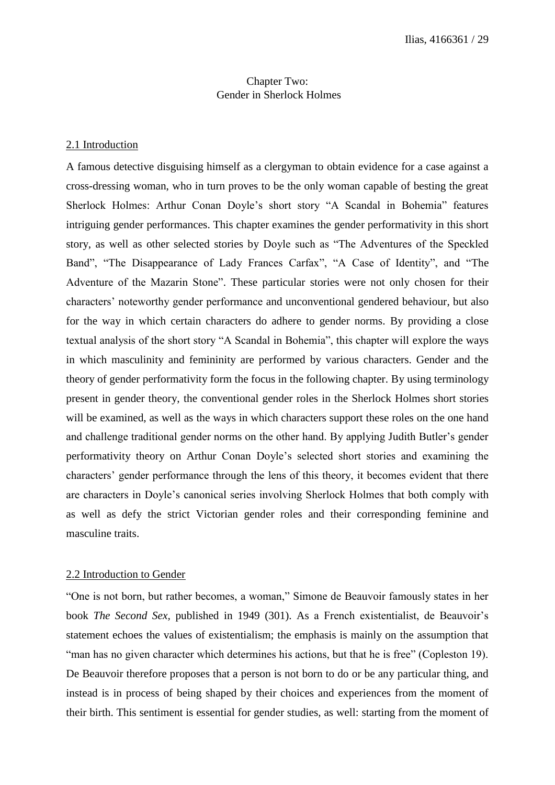# Chapter Two: Gender in Sherlock Holmes

#### 2.1 Introduction

A famous detective disguising himself as a clergyman to obtain evidence for a case against a cross-dressing woman, who in turn proves to be the only woman capable of besting the great Sherlock Holmes: Arthur Conan Doyle's short story "A Scandal in Bohemia" features intriguing gender performances. This chapter examines the gender performativity in this short story, as well as other selected stories by Doyle such as "The Adventures of the Speckled Band", "The Disappearance of Lady Frances Carfax", "A Case of Identity", and "The Adventure of the Mazarin Stone". These particular stories were not only chosen for their characters' noteworthy gender performance and unconventional gendered behaviour, but also for the way in which certain characters do adhere to gender norms. By providing a close textual analysis of the short story "A Scandal in Bohemia", this chapter will explore the ways in which masculinity and femininity are performed by various characters. Gender and the theory of gender performativity form the focus in the following chapter. By using terminology present in gender theory, the conventional gender roles in the Sherlock Holmes short stories will be examined, as well as the ways in which characters support these roles on the one hand and challenge traditional gender norms on the other hand. By applying Judith Butler's gender performativity theory on Arthur Conan Doyle's selected short stories and examining the characters' gender performance through the lens of this theory, it becomes evident that there are characters in Doyle's canonical series involving Sherlock Holmes that both comply with as well as defy the strict Victorian gender roles and their corresponding feminine and masculine traits.

#### 2.2 Introduction to Gender

"One is not born, but rather becomes, a woman," Simone de Beauvoir famously states in her book *The Second Sex,* published in 1949 (301). As a French existentialist, de Beauvoir's statement echoes the values of existentialism; the emphasis is mainly on the assumption that "man has no given character which determines his actions, but that he is free" (Copleston 19). De Beauvoir therefore proposes that a person is not born to do or be any particular thing, and instead is in process of being shaped by their choices and experiences from the moment of their birth. This sentiment is essential for gender studies, as well: starting from the moment of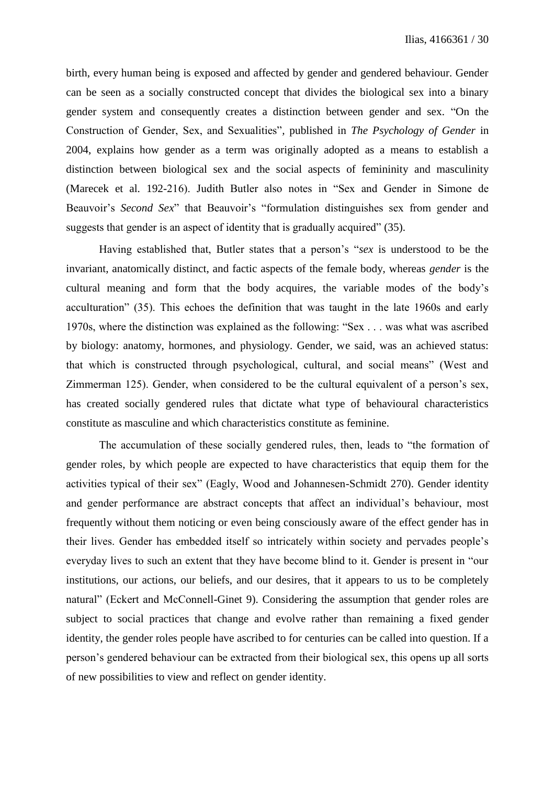birth, every human being is exposed and affected by gender and gendered behaviour. Gender can be seen as a socially constructed concept that divides the biological sex into a binary gender system and consequently creates a distinction between gender and sex. "On the Construction of Gender, Sex, and Sexualities"*,* published in *The Psychology of Gender* in 2004, explains how gender as a term was originally adopted as a means to establish a distinction between biological sex and the social aspects of femininity and masculinity (Marecek et al. 192-216). Judith Butler also notes in "Sex and Gender in Simone de Beauvoir's *Second Sex*" that Beauvoir's "formulation distinguishes sex from gender and suggests that gender is an aspect of identity that is gradually acquired" (35).

Having established that, Butler states that a person's "*sex* is understood to be the invariant, anatomically distinct, and factic aspects of the female body, whereas *gender* is the cultural meaning and form that the body acquires, the variable modes of the body's acculturation" (35). This echoes the definition that was taught in the late 1960s and early 1970s, where the distinction was explained as the following: "Sex . . . was what was ascribed by biology: anatomy, hormones, and physiology. Gender, we said, was an achieved status: that which is constructed through psychological, cultural, and social means" (West and Zimmerman 125). Gender, when considered to be the cultural equivalent of a person's sex, has created socially gendered rules that dictate what type of behavioural characteristics constitute as masculine and which characteristics constitute as feminine.

The accumulation of these socially gendered rules, then, leads to "the formation of gender roles, by which people are expected to have characteristics that equip them for the activities typical of their sex" (Eagly, Wood and Johannesen-Schmidt 270). Gender identity and gender performance are abstract concepts that affect an individual's behaviour, most frequently without them noticing or even being consciously aware of the effect gender has in their lives. Gender has embedded itself so intricately within society and pervades people's everyday lives to such an extent that they have become blind to it. Gender is present in "our institutions, our actions, our beliefs, and our desires, that it appears to us to be completely natural" (Eckert and McConnell-Ginet 9). Considering the assumption that gender roles are subject to social practices that change and evolve rather than remaining a fixed gender identity, the gender roles people have ascribed to for centuries can be called into question. If a person's gendered behaviour can be extracted from their biological sex, this opens up all sorts of new possibilities to view and reflect on gender identity.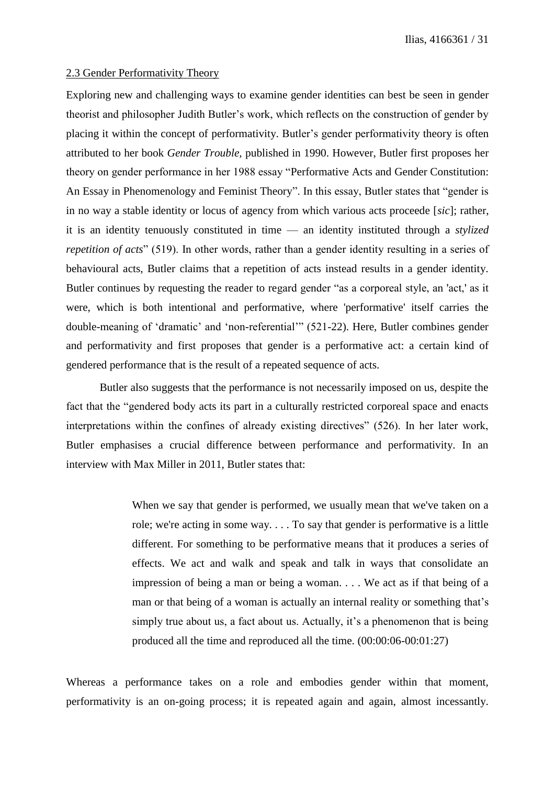#### 2.3 Gender Performativity Theory

Exploring new and challenging ways to examine gender identities can best be seen in gender theorist and philosopher Judith Butler's work, which reflects on the construction of gender by placing it within the concept of performativity. Butler's gender performativity theory is often attributed to her book *Gender Trouble,* published in 1990. However, Butler first proposes her theory on gender performance in her 1988 essay "Performative Acts and Gender Constitution: An Essay in Phenomenology and Feminist Theory". In this essay, Butler states that "gender is in no way a stable identity or locus of agency from which various acts proceede [*sic*]; rather, it is an identity tenuously constituted in time — an identity instituted through a *stylized repetition of acts*" (519). In other words, rather than a gender identity resulting in a series of behavioural acts, Butler claims that a repetition of acts instead results in a gender identity. Butler continues by requesting the reader to regard gender "as a corporeal style, an 'act,' as it were, which is both intentional and performative, where 'performative' itself carries the double-meaning of 'dramatic' and 'non-referential'" (521-22). Here, Butler combines gender and performativity and first proposes that gender is a performative act: a certain kind of gendered performance that is the result of a repeated sequence of acts.

Butler also suggests that the performance is not necessarily imposed on us, despite the fact that the "gendered body acts its part in a culturally restricted corporeal space and enacts interpretations within the confines of already existing directives" (526). In her later work, Butler emphasises a crucial difference between performance and performativity. In an interview with Max Miller in 2011, Butler states that:

> When we say that gender is performed, we usually mean that we've taken on a role; we're acting in some way. . . . To say that gender is performative is a little different. For something to be performative means that it produces a series of effects. We act and walk and speak and talk in ways that consolidate an impression of being a man or being a woman. . . . We act as if that being of a man or that being of a woman is actually an internal reality or something that's simply true about us, a fact about us. Actually, it's a phenomenon that is being produced all the time and reproduced all the time. (00:00:06-00:01:27)

Whereas a performance takes on a role and embodies gender within that moment, performativity is an on-going process; it is repeated again and again, almost incessantly.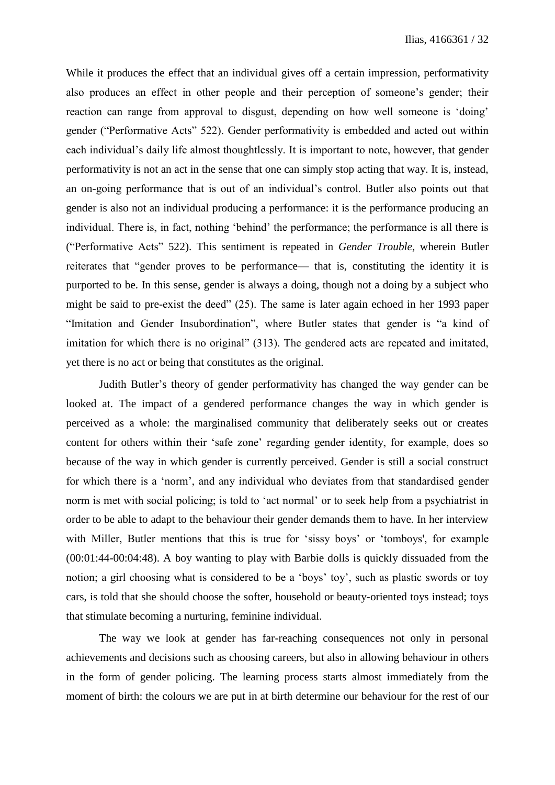While it produces the effect that an individual gives off a certain impression, performativity also produces an effect in other people and their perception of someone's gender; their reaction can range from approval to disgust, depending on how well someone is 'doing' gender ("Performative Acts" 522). Gender performativity is embedded and acted out within each individual's daily life almost thoughtlessly. It is important to note, however, that gender performativity is not an act in the sense that one can simply stop acting that way. It is, instead, an on-going performance that is out of an individual's control. Butler also points out that gender is also not an individual producing a performance: it is the performance producing an individual. There is, in fact, nothing 'behind' the performance; the performance is all there is ("Performative Acts" 522). This sentiment is repeated in *Gender Trouble*, wherein Butler reiterates that "gender proves to be performance— that is, constituting the identity it is purported to be. In this sense, gender is always a doing, though not a doing by a subject who might be said to pre-exist the deed" (25). The same is later again echoed in her 1993 paper "Imitation and Gender Insubordination", where Butler states that gender is "a kind of imitation for which there is no original" (313). The gendered acts are repeated and imitated, yet there is no act or being that constitutes as the original.

Judith Butler's theory of gender performativity has changed the way gender can be looked at. The impact of a gendered performance changes the way in which gender is perceived as a whole: the marginalised community that deliberately seeks out or creates content for others within their 'safe zone' regarding gender identity, for example, does so because of the way in which gender is currently perceived. Gender is still a social construct for which there is a 'norm', and any individual who deviates from that standardised gender norm is met with social policing; is told to 'act normal' or to seek help from a psychiatrist in order to be able to adapt to the behaviour their gender demands them to have. In her interview with Miller, Butler mentions that this is true for 'sissy boys' or 'tomboys', for example (00:01:44-00:04:48). A boy wanting to play with Barbie dolls is quickly dissuaded from the notion; a girl choosing what is considered to be a 'boys' toy', such as plastic swords or toy cars, is told that she should choose the softer, household or beauty-oriented toys instead; toys that stimulate becoming a nurturing, feminine individual.

The way we look at gender has far-reaching consequences not only in personal achievements and decisions such as choosing careers, but also in allowing behaviour in others in the form of gender policing. The learning process starts almost immediately from the moment of birth: the colours we are put in at birth determine our behaviour for the rest of our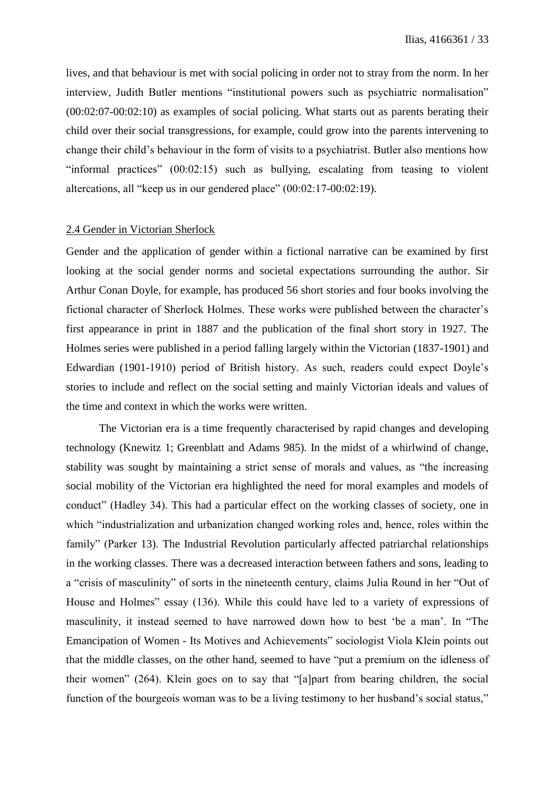lives, and that behaviour is met with social policing in order not to stray from the norm. In her interview, Judith Butler mentions "institutional powers such as psychiatric normalisation" (00:02:07-00:02:10) as examples of social policing. What starts out as parents berating their child over their social transgressions, for example, could grow into the parents intervening to change their child's behaviour in the form of visits to a psychiatrist. Butler also mentions how "informal practices" (00:02:15) such as bullying, escalating from teasing to violent altercations, all "keep us in our gendered place" (00:02:17-00:02:19).

#### 2.4 Gender in Victorian Sherlock

Gender and the application of gender within a fictional narrative can be examined by first looking at the social gender norms and societal expectations surrounding the author. Sir Arthur Conan Doyle, for example, has produced 56 short stories and four books involving the fictional character of Sherlock Holmes. These works were published between the character's first appearance in print in 1887 and the publication of the final short story in 1927. The Holmes series were published in a period falling largely within the Victorian (1837-1901) and Edwardian (1901-1910) period of British history. As such, readers could expect Doyle's stories to include and reflect on the social setting and mainly Victorian ideals and values of the time and context in which the works were written.

The Victorian era is a time frequently characterised by rapid changes and developing technology (Knewitz 1; Greenblatt and Adams 985). In the midst of a whirlwind of change, stability was sought by maintaining a strict sense of morals and values, as "the increasing social mobility of the Victorian era highlighted the need for moral examples and models of conduct" (Hadley 34). This had a particular effect on the working classes of society, one in which "industrialization and urbanization changed working roles and, hence, roles within the family" (Parker 13). The Industrial Revolution particularly affected patriarchal relationships in the working classes. There was a decreased interaction between fathers and sons, leading to a "crisis of masculinity" of sorts in the nineteenth century, claims Julia Round in her "Out of House and Holmes" essay (136). While this could have led to a variety of expressions of masculinity, it instead seemed to have narrowed down how to best 'be a man'. In "The Emancipation of Women - Its Motives and Achievements" sociologist Viola Klein points out that the middle classes, on the other hand, seemed to have "put a premium on the idleness of their women" (264). Klein goes on to say that "[a]part from bearing children, the social function of the bourgeois woman was to be a living testimony to her husband's social status,"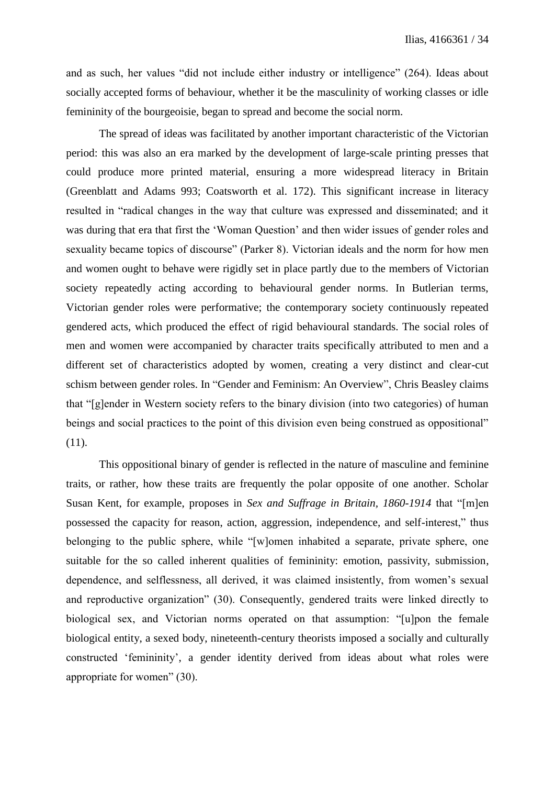and as such, her values "did not include either industry or intelligence" (264). Ideas about socially accepted forms of behaviour, whether it be the masculinity of working classes or idle femininity of the bourgeoisie, began to spread and become the social norm.

The spread of ideas was facilitated by another important characteristic of the Victorian period: this was also an era marked by the development of large-scale printing presses that could produce more printed material, ensuring a more widespread literacy in Britain (Greenblatt and Adams 993; Coatsworth et al. 172). This significant increase in literacy resulted in "radical changes in the way that culture was expressed and disseminated; and it was during that era that first the 'Woman Question' and then wider issues of gender roles and sexuality became topics of discourse" (Parker 8). Victorian ideals and the norm for how men and women ought to behave were rigidly set in place partly due to the members of Victorian society repeatedly acting according to behavioural gender norms. In Butlerian terms, Victorian gender roles were performative; the contemporary society continuously repeated gendered acts, which produced the effect of rigid behavioural standards. The social roles of men and women were accompanied by character traits specifically attributed to men and a different set of characteristics adopted by women, creating a very distinct and clear-cut schism between gender roles. In "Gender and Feminism: An Overview", Chris Beasley claims that "[g]ender in Western society refers to the binary division (into two categories) of human beings and social practices to the point of this division even being construed as oppositional" (11).

This oppositional binary of gender is reflected in the nature of masculine and feminine traits, or rather, how these traits are frequently the polar opposite of one another. Scholar Susan Kent, for example, proposes in *Sex and Suffrage in Britain, 1860-1914* that "[m]en possessed the capacity for reason, action, aggression, independence, and self-interest," thus belonging to the public sphere, while "[w]omen inhabited a separate, private sphere, one suitable for the so called inherent qualities of femininity: emotion, passivity, submission, dependence, and selflessness, all derived, it was claimed insistently, from women's sexual and reproductive organization" (30). Consequently, gendered traits were linked directly to biological sex, and Victorian norms operated on that assumption: "[u]pon the female biological entity, a sexed body, nineteenth-century theorists imposed a socially and culturally constructed 'femininity', a gender identity derived from ideas about what roles were appropriate for women" (30).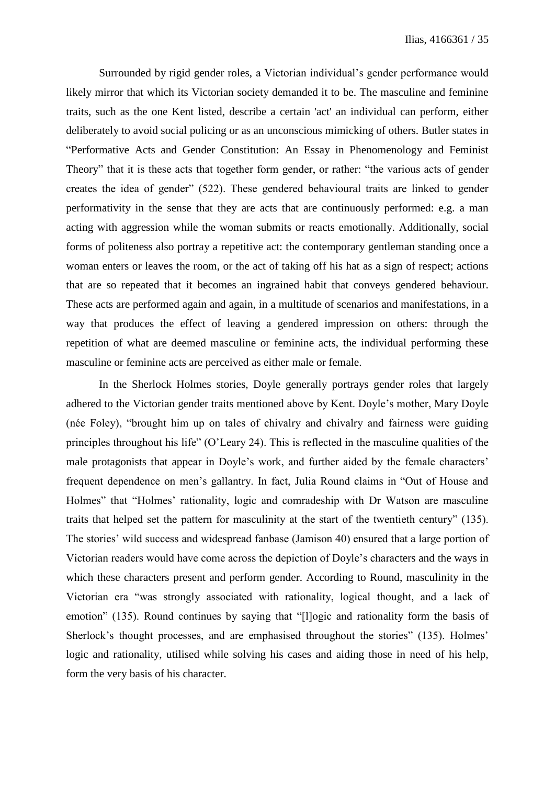Surrounded by rigid gender roles, a Victorian individual's gender performance would likely mirror that which its Victorian society demanded it to be. The masculine and feminine traits, such as the one Kent listed, describe a certain 'act' an individual can perform, either deliberately to avoid social policing or as an unconscious mimicking of others. Butler states in "Performative Acts and Gender Constitution: An Essay in Phenomenology and Feminist Theory" that it is these acts that together form gender, or rather: "the various acts of gender creates the idea of gender" (522). These gendered behavioural traits are linked to gender performativity in the sense that they are acts that are continuously performed: e.g. a man acting with aggression while the woman submits or reacts emotionally. Additionally, social forms of politeness also portray a repetitive act: the contemporary gentleman standing once a woman enters or leaves the room, or the act of taking off his hat as a sign of respect; actions that are so repeated that it becomes an ingrained habit that conveys gendered behaviour. These acts are performed again and again, in a multitude of scenarios and manifestations, in a way that produces the effect of leaving a gendered impression on others: through the repetition of what are deemed masculine or feminine acts, the individual performing these masculine or feminine acts are perceived as either male or female.

In the Sherlock Holmes stories, Doyle generally portrays gender roles that largely adhered to the Victorian gender traits mentioned above by Kent. Doyle's mother, Mary Doyle (née Foley), "brought him up on tales of chivalry and chivalry and fairness were guiding principles throughout his life" (O'Leary 24). This is reflected in the masculine qualities of the male protagonists that appear in Doyle's work, and further aided by the female characters' frequent dependence on men's gallantry. In fact, Julia Round claims in "Out of House and Holmes" that "Holmes' rationality, logic and comradeship with Dr Watson are masculine traits that helped set the pattern for masculinity at the start of the twentieth century" (135). The stories' wild success and widespread fanbase (Jamison 40) ensured that a large portion of Victorian readers would have come across the depiction of Doyle's characters and the ways in which these characters present and perform gender. According to Round, masculinity in the Victorian era "was strongly associated with rationality, logical thought, and a lack of emotion" (135). Round continues by saying that "[l]ogic and rationality form the basis of Sherlock's thought processes, and are emphasised throughout the stories" (135). Holmes' logic and rationality, utilised while solving his cases and aiding those in need of his help, form the very basis of his character.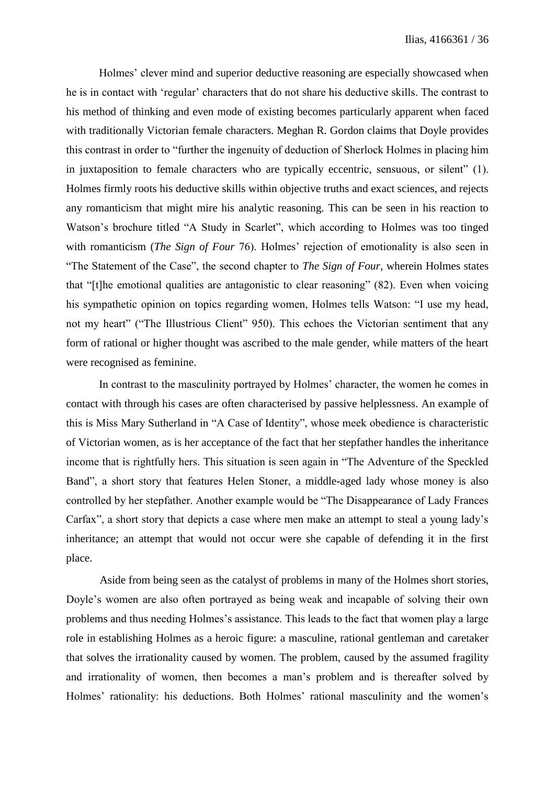Holmes' clever mind and superior deductive reasoning are especially showcased when he is in contact with 'regular' characters that do not share his deductive skills. The contrast to his method of thinking and even mode of existing becomes particularly apparent when faced with traditionally Victorian female characters. Meghan R. Gordon claims that Doyle provides this contrast in order to "further the ingenuity of deduction of Sherlock Holmes in placing him in juxtaposition to female characters who are typically eccentric, sensuous, or silent" (1). Holmes firmly roots his deductive skills within objective truths and exact sciences, and rejects any romanticism that might mire his analytic reasoning. This can be seen in his reaction to Watson's brochure titled "A Study in Scarlet", which according to Holmes was too tinged with romanticism (*The Sign of Four* 76). Holmes' rejection of emotionality is also seen in "The Statement of the Case", the second chapter to *The Sign of Four*, wherein Holmes states that "[t]he emotional qualities are antagonistic to clear reasoning" (82). Even when voicing his sympathetic opinion on topics regarding women, Holmes tells Watson: "I use my head, not my heart" ("The Illustrious Client" 950). This echoes the Victorian sentiment that any form of rational or higher thought was ascribed to the male gender, while matters of the heart were recognised as feminine.

In contrast to the masculinity portrayed by Holmes' character, the women he comes in contact with through his cases are often characterised by passive helplessness. An example of this is Miss Mary Sutherland in "A Case of Identity", whose meek obedience is characteristic of Victorian women, as is her acceptance of the fact that her stepfather handles the inheritance income that is rightfully hers. This situation is seen again in "The Adventure of the Speckled Band", a short story that features Helen Stoner, a middle-aged lady whose money is also controlled by her stepfather. Another example would be "The Disappearance of Lady Frances Carfax", a short story that depicts a case where men make an attempt to steal a young lady's inheritance; an attempt that would not occur were she capable of defending it in the first place.

Aside from being seen as the catalyst of problems in many of the Holmes short stories, Doyle's women are also often portrayed as being weak and incapable of solving their own problems and thus needing Holmes's assistance. This leads to the fact that women play a large role in establishing Holmes as a heroic figure: a masculine, rational gentleman and caretaker that solves the irrationality caused by women. The problem, caused by the assumed fragility and irrationality of women, then becomes a man's problem and is thereafter solved by Holmes' rationality: his deductions. Both Holmes' rational masculinity and the women's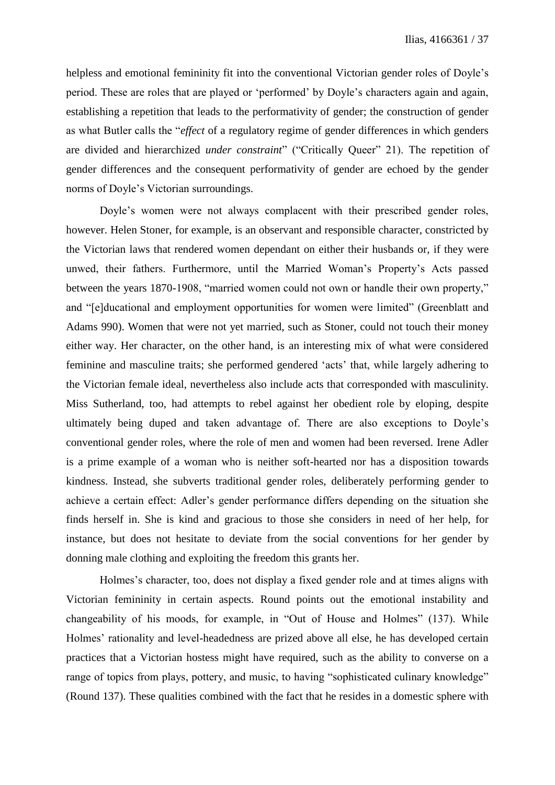helpless and emotional femininity fit into the conventional Victorian gender roles of Doyle's period. These are roles that are played or 'performed' by Doyle's characters again and again, establishing a repetition that leads to the performativity of gender; the construction of gender as what Butler calls the "*effect* of a regulatory regime of gender differences in which genders are divided and hierarchized *under constraint*" ("Critically Queer" 21). The repetition of gender differences and the consequent performativity of gender are echoed by the gender norms of Doyle's Victorian surroundings.

Doyle's women were not always complacent with their prescribed gender roles, however. Helen Stoner, for example, is an observant and responsible character, constricted by the Victorian laws that rendered women dependant on either their husbands or, if they were unwed, their fathers. Furthermore, until the Married Woman's Property's Acts passed between the years 1870-1908, "married women could not own or handle their own property," and "[e]ducational and employment opportunities for women were limited" (Greenblatt and Adams 990). Women that were not yet married, such as Stoner, could not touch their money either way. Her character, on the other hand, is an interesting mix of what were considered feminine and masculine traits; she performed gendered 'acts' that, while largely adhering to the Victorian female ideal, nevertheless also include acts that corresponded with masculinity. Miss Sutherland, too, had attempts to rebel against her obedient role by eloping, despite ultimately being duped and taken advantage of. There are also exceptions to Doyle's conventional gender roles, where the role of men and women had been reversed. Irene Adler is a prime example of a woman who is neither soft-hearted nor has a disposition towards kindness. Instead, she subverts traditional gender roles, deliberately performing gender to achieve a certain effect: Adler's gender performance differs depending on the situation she finds herself in. She is kind and gracious to those she considers in need of her help, for instance, but does not hesitate to deviate from the social conventions for her gender by donning male clothing and exploiting the freedom this grants her.

Holmes's character, too, does not display a fixed gender role and at times aligns with Victorian femininity in certain aspects. Round points out the emotional instability and changeability of his moods, for example, in "Out of House and Holmes" (137). While Holmes' rationality and level-headedness are prized above all else, he has developed certain practices that a Victorian hostess might have required, such as the ability to converse on a range of topics from plays, pottery, and music, to having "sophisticated culinary knowledge" (Round 137). These qualities combined with the fact that he resides in a domestic sphere with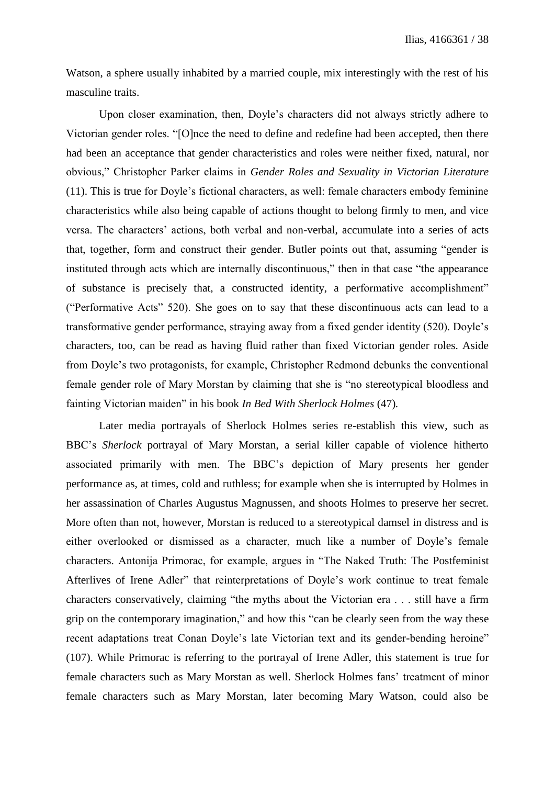Watson, a sphere usually inhabited by a married couple, mix interestingly with the rest of his masculine traits.

Upon closer examination, then, Doyle's characters did not always strictly adhere to Victorian gender roles. "[O]nce the need to define and redefine had been accepted, then there had been an acceptance that gender characteristics and roles were neither fixed, natural, nor obvious," Christopher Parker claims in *Gender Roles and Sexuality in Victorian Literature*  (11). This is true for Doyle's fictional characters, as well: female characters embody feminine characteristics while also being capable of actions thought to belong firmly to men, and vice versa. The characters' actions, both verbal and non-verbal, accumulate into a series of acts that, together, form and construct their gender. Butler points out that, assuming "gender is instituted through acts which are internally discontinuous," then in that case "the appearance of substance is precisely that, a constructed identity, a performative accomplishment" ("Performative Acts" 520). She goes on to say that these discontinuous acts can lead to a transformative gender performance, straying away from a fixed gender identity (520). Doyle's characters, too, can be read as having fluid rather than fixed Victorian gender roles. Aside from Doyle's two protagonists, for example, Christopher Redmond debunks the conventional female gender role of Mary Morstan by claiming that she is "no stereotypical bloodless and fainting Victorian maiden" in his book *In Bed With Sherlock Holmes* (47)*.*

Later media portrayals of Sherlock Holmes series re-establish this view, such as BBC's *Sherlock* portrayal of Mary Morstan, a serial killer capable of violence hitherto associated primarily with men. The BBC's depiction of Mary presents her gender performance as, at times, cold and ruthless; for example when she is interrupted by Holmes in her assassination of Charles Augustus Magnussen, and shoots Holmes to preserve her secret. More often than not, however, Morstan is reduced to a stereotypical damsel in distress and is either overlooked or dismissed as a character, much like a number of Doyle's female characters. Antonija Primorac, for example, argues in "The Naked Truth: The Postfeminist Afterlives of Irene Adler" that reinterpretations of Doyle's work continue to treat female characters conservatively, claiming "the myths about the Victorian era . . . still have a firm grip on the contemporary imagination," and how this "can be clearly seen from the way these recent adaptations treat Conan Doyle's late Victorian text and its gender-bending heroine" (107). While Primorac is referring to the portrayal of Irene Adler, this statement is true for female characters such as Mary Morstan as well. Sherlock Holmes fans' treatment of minor female characters such as Mary Morstan, later becoming Mary Watson, could also be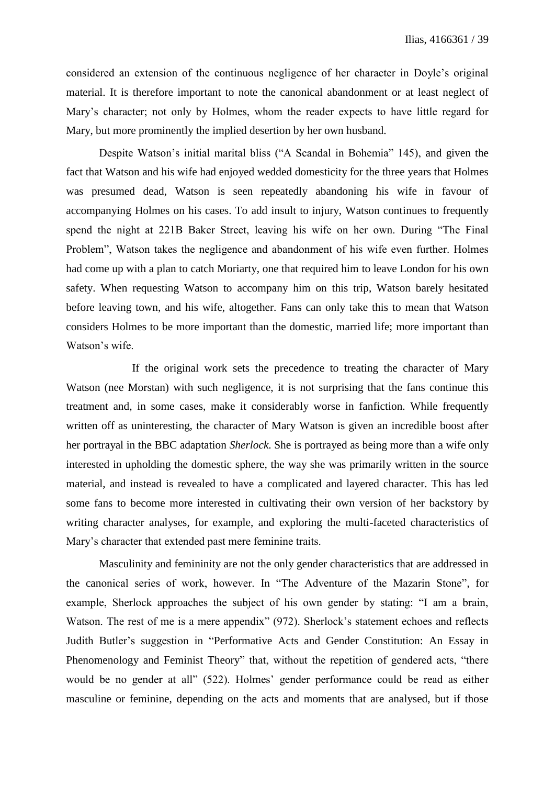considered an extension of the continuous negligence of her character in Doyle's original material. It is therefore important to note the canonical abandonment or at least neglect of Mary's character; not only by Holmes, whom the reader expects to have little regard for Mary, but more prominently the implied desertion by her own husband.

Despite Watson's initial marital bliss ("A Scandal in Bohemia" 145), and given the fact that Watson and his wife had enjoyed wedded domesticity for the three years that Holmes was presumed dead, Watson is seen repeatedly abandoning his wife in favour of accompanying Holmes on his cases. To add insult to injury, Watson continues to frequently spend the night at 221B Baker Street, leaving his wife on her own. During "The Final Problem", Watson takes the negligence and abandonment of his wife even further. Holmes had come up with a plan to catch Moriarty, one that required him to leave London for his own safety. When requesting Watson to accompany him on this trip, Watson barely hesitated before leaving town, and his wife, altogether. Fans can only take this to mean that Watson considers Holmes to be more important than the domestic, married life; more important than Watson's wife.

If the original work sets the precedence to treating the character of Mary Watson (nee Morstan) with such negligence, it is not surprising that the fans continue this treatment and, in some cases, make it considerably worse in fanfiction. While frequently written off as uninteresting, the character of Mary Watson is given an incredible boost after her portrayal in the BBC adaptation *Sherlock*. She is portrayed as being more than a wife only interested in upholding the domestic sphere, the way she was primarily written in the source material, and instead is revealed to have a complicated and layered character. This has led some fans to become more interested in cultivating their own version of her backstory by writing character analyses, for example, and exploring the multi-faceted characteristics of Mary's character that extended past mere feminine traits.

Masculinity and femininity are not the only gender characteristics that are addressed in the canonical series of work, however. In "The Adventure of the Mazarin Stone", for example, Sherlock approaches the subject of his own gender by stating: "I am a brain, Watson. The rest of me is a mere appendix" (972). Sherlock's statement echoes and reflects Judith Butler's suggestion in "Performative Acts and Gender Constitution: An Essay in Phenomenology and Feminist Theory" that, without the repetition of gendered acts, "there would be no gender at all" (522). Holmes' gender performance could be read as either masculine or feminine, depending on the acts and moments that are analysed, but if those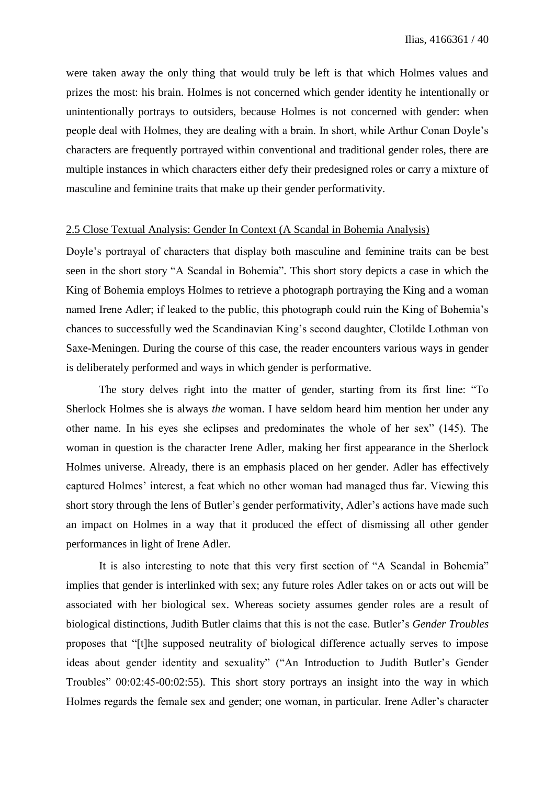were taken away the only thing that would truly be left is that which Holmes values and prizes the most: his brain. Holmes is not concerned which gender identity he intentionally or unintentionally portrays to outsiders, because Holmes is not concerned with gender: when people deal with Holmes, they are dealing with a brain. In short, while Arthur Conan Doyle's characters are frequently portrayed within conventional and traditional gender roles, there are multiple instances in which characters either defy their predesigned roles or carry a mixture of masculine and feminine traits that make up their gender performativity.

## 2.5 Close Textual Analysis: Gender In Context (A Scandal in Bohemia Analysis)

Doyle's portrayal of characters that display both masculine and feminine traits can be best seen in the short story "A Scandal in Bohemia". This short story depicts a case in which the King of Bohemia employs Holmes to retrieve a photograph portraying the King and a woman named Irene Adler; if leaked to the public, this photograph could ruin the King of Bohemia's chances to successfully wed the Scandinavian King's second daughter, Clotilde Lothman von Saxe-Meningen. During the course of this case, the reader encounters various ways in gender is deliberately performed and ways in which gender is performative.

The story delves right into the matter of gender, starting from its first line: "To Sherlock Holmes she is always *the* woman. I have seldom heard him mention her under any other name. In his eyes she eclipses and predominates the whole of her sex" (145). The woman in question is the character Irene Adler, making her first appearance in the Sherlock Holmes universe. Already, there is an emphasis placed on her gender. Adler has effectively captured Holmes' interest, a feat which no other woman had managed thus far. Viewing this short story through the lens of Butler's gender performativity, Adler's actions have made such an impact on Holmes in a way that it produced the effect of dismissing all other gender performances in light of Irene Adler.

It is also interesting to note that this very first section of "A Scandal in Bohemia" implies that gender is interlinked with sex; any future roles Adler takes on or acts out will be associated with her biological sex. Whereas society assumes gender roles are a result of biological distinctions, Judith Butler claims that this is not the case. Butler's *Gender Troubles*  proposes that "[t]he supposed neutrality of biological difference actually serves to impose ideas about gender identity and sexuality" ("An Introduction to Judith Butler's Gender Troubles" 00:02:45-00:02:55). This short story portrays an insight into the way in which Holmes regards the female sex and gender; one woman, in particular. Irene Adler's character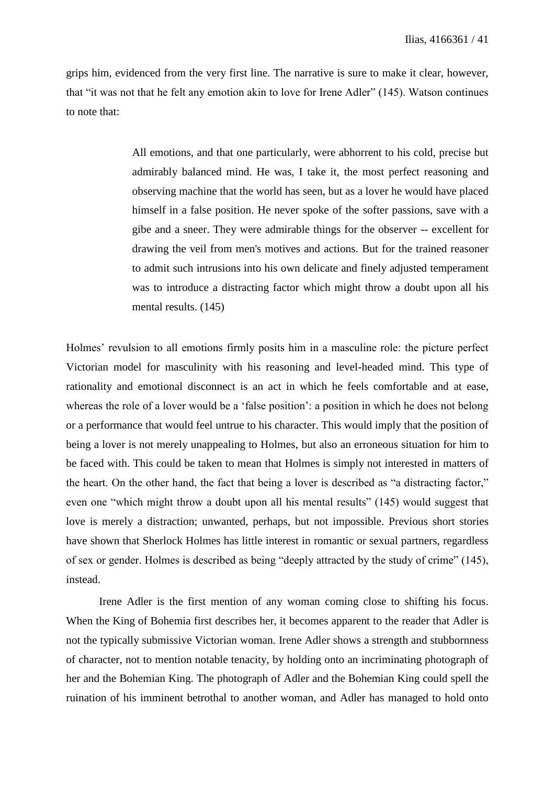grips him, evidenced from the very first line. The narrative is sure to make it clear, however, that "it was not that he felt any emotion akin to love for Irene Adler" (145). Watson continues to note that:

> All emotions, and that one particularly, were abhorrent to his cold, precise but admirably balanced mind. He was, I take it, the most perfect reasoning and observing machine that the world has seen, but as a lover he would have placed himself in a false position. He never spoke of the softer passions, save with a gibe and a sneer. They were admirable things for the observer -- excellent for drawing the veil from men's motives and actions. But for the trained reasoner to admit such intrusions into his own delicate and finely adjusted temperament was to introduce a distracting factor which might throw a doubt upon all his mental results. (145)

Holmes' revulsion to all emotions firmly posits him in a masculine role: the picture perfect Victorian model for masculinity with his reasoning and level-headed mind. This type of rationality and emotional disconnect is an act in which he feels comfortable and at ease, whereas the role of a lover would be a 'false position': a position in which he does not belong or a performance that would feel untrue to his character. This would imply that the position of being a lover is not merely unappealing to Holmes, but also an erroneous situation for him to be faced with. This could be taken to mean that Holmes is simply not interested in matters of the heart. On the other hand, the fact that being a lover is described as "a distracting factor," even one "which might throw a doubt upon all his mental results" (145) would suggest that love is merely a distraction; unwanted, perhaps, but not impossible. Previous short stories have shown that Sherlock Holmes has little interest in romantic or sexual partners, regardless of sex or gender. Holmes is described as being "deeply attracted by the study of crime" (145), instead.

Irene Adler is the first mention of any woman coming close to shifting his focus. When the King of Bohemia first describes her, it becomes apparent to the reader that Adler is not the typically submissive Victorian woman. Irene Adler shows a strength and stubbornness of character, not to mention notable tenacity, by holding onto an incriminating photograph of her and the Bohemian King. The photograph of Adler and the Bohemian King could spell the ruination of his imminent betrothal to another woman, and Adler has managed to hold onto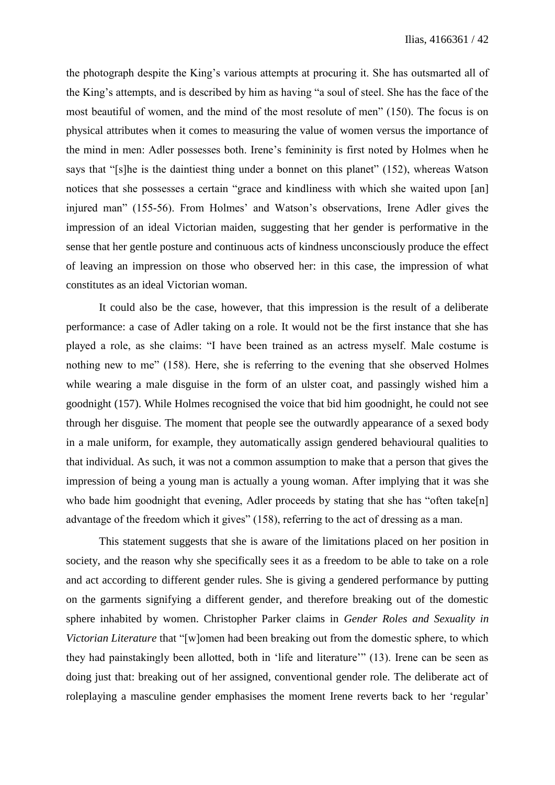the photograph despite the King's various attempts at procuring it. She has outsmarted all of the King's attempts, and is described by him as having "a soul of steel. She has the face of the most beautiful of women, and the mind of the most resolute of men" (150). The focus is on physical attributes when it comes to measuring the value of women versus the importance of the mind in men: Adler possesses both. Irene's femininity is first noted by Holmes when he says that "[s]he is the daintiest thing under a bonnet on this planet" (152), whereas Watson notices that she possesses a certain "grace and kindliness with which she waited upon [an] injured man" (155-56). From Holmes' and Watson's observations, Irene Adler gives the impression of an ideal Victorian maiden, suggesting that her gender is performative in the sense that her gentle posture and continuous acts of kindness unconsciously produce the effect of leaving an impression on those who observed her: in this case, the impression of what constitutes as an ideal Victorian woman.

It could also be the case, however, that this impression is the result of a deliberate performance: a case of Adler taking on a role. It would not be the first instance that she has played a role, as she claims: "I have been trained as an actress myself. Male costume is nothing new to me" (158). Here, she is referring to the evening that she observed Holmes while wearing a male disguise in the form of an ulster coat, and passingly wished him a goodnight (157). While Holmes recognised the voice that bid him goodnight, he could not see through her disguise. The moment that people see the outwardly appearance of a sexed body in a male uniform, for example, they automatically assign gendered behavioural qualities to that individual. As such, it was not a common assumption to make that a person that gives the impression of being a young man is actually a young woman. After implying that it was she who bade him goodnight that evening, Adler proceeds by stating that she has "often take[n] advantage of the freedom which it gives" (158), referring to the act of dressing as a man.

This statement suggests that she is aware of the limitations placed on her position in society, and the reason why she specifically sees it as a freedom to be able to take on a role and act according to different gender rules. She is giving a gendered performance by putting on the garments signifying a different gender, and therefore breaking out of the domestic sphere inhabited by women. Christopher Parker claims in *Gender Roles and Sexuality in Victorian Literature* that "[w]omen had been breaking out from the domestic sphere, to which they had painstakingly been allotted, both in 'life and literature'" (13). Irene can be seen as doing just that: breaking out of her assigned, conventional gender role. The deliberate act of roleplaying a masculine gender emphasises the moment Irene reverts back to her 'regular'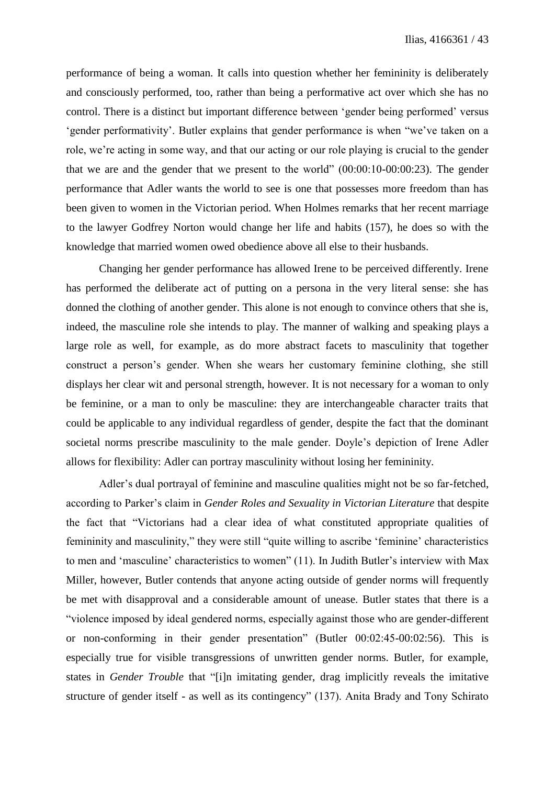performance of being a woman. It calls into question whether her femininity is deliberately and consciously performed, too, rather than being a performative act over which she has no control. There is a distinct but important difference between 'gender being performed' versus 'gender performativity'. Butler explains that gender performance is when "we've taken on a role, we're acting in some way, and that our acting or our role playing is crucial to the gender that we are and the gender that we present to the world" (00:00:10-00:00:23). The gender performance that Adler wants the world to see is one that possesses more freedom than has been given to women in the Victorian period. When Holmes remarks that her recent marriage to the lawyer Godfrey Norton would change her life and habits (157), he does so with the knowledge that married women owed obedience above all else to their husbands.

Changing her gender performance has allowed Irene to be perceived differently. Irene has performed the deliberate act of putting on a persona in the very literal sense: she has donned the clothing of another gender. This alone is not enough to convince others that she is, indeed, the masculine role she intends to play. The manner of walking and speaking plays a large role as well, for example, as do more abstract facets to masculinity that together construct a person's gender. When she wears her customary feminine clothing, she still displays her clear wit and personal strength, however. It is not necessary for a woman to only be feminine, or a man to only be masculine: they are interchangeable character traits that could be applicable to any individual regardless of gender, despite the fact that the dominant societal norms prescribe masculinity to the male gender. Doyle's depiction of Irene Adler allows for flexibility: Adler can portray masculinity without losing her femininity.

Adler's dual portrayal of feminine and masculine qualities might not be so far-fetched, according to Parker's claim in *Gender Roles and Sexuality in Victorian Literature* that despite the fact that "Victorians had a clear idea of what constituted appropriate qualities of femininity and masculinity," they were still "quite willing to ascribe 'feminine' characteristics to men and 'masculine' characteristics to women" (11). In Judith Butler's interview with Max Miller, however, Butler contends that anyone acting outside of gender norms will frequently be met with disapproval and a considerable amount of unease. Butler states that there is a "violence imposed by ideal gendered norms, especially against those who are gender-different or non-conforming in their gender presentation" (Butler 00:02:45-00:02:56). This is especially true for visible transgressions of unwritten gender norms. Butler, for example, states in *Gender Trouble* that "[i]n imitating gender, drag implicitly reveals the imitative structure of gender itself - as well as its contingency" (137). Anita Brady and Tony Schirato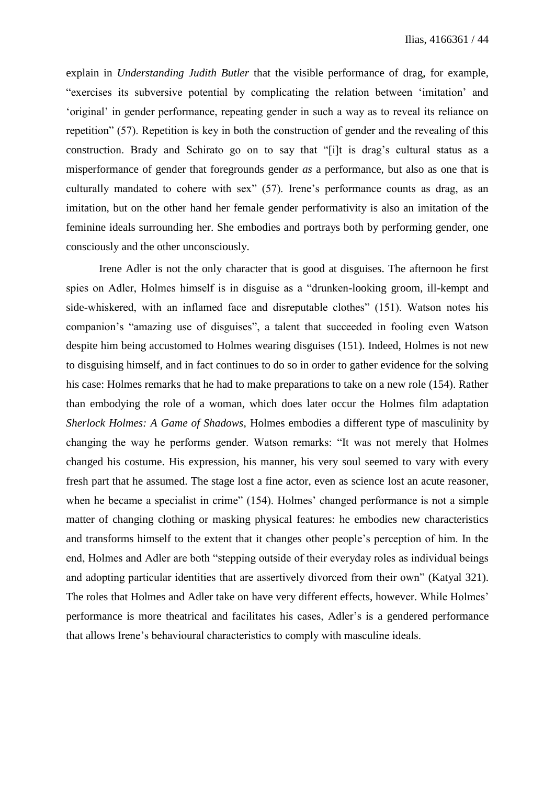explain in *Understanding Judith Butler* that the visible performance of drag, for example, "exercises its subversive potential by complicating the relation between 'imitation' and 'original' in gender performance, repeating gender in such a way as to reveal its reliance on repetition" (57). Repetition is key in both the construction of gender and the revealing of this construction. Brady and Schirato go on to say that "[i]t is drag's cultural status as a misperformance of gender that foregrounds gender *as* a performance, but also as one that is culturally mandated to cohere with sex" (57). Irene's performance counts as drag, as an imitation, but on the other hand her female gender performativity is also an imitation of the feminine ideals surrounding her. She embodies and portrays both by performing gender, one consciously and the other unconsciously.

Irene Adler is not the only character that is good at disguises. The afternoon he first spies on Adler, Holmes himself is in disguise as a "drunken-looking groom, ill-kempt and side-whiskered, with an inflamed face and disreputable clothes" (151). Watson notes his companion's "amazing use of disguises", a talent that succeeded in fooling even Watson despite him being accustomed to Holmes wearing disguises (151). Indeed, Holmes is not new to disguising himself, and in fact continues to do so in order to gather evidence for the solving his case: Holmes remarks that he had to make preparations to take on a new role (154). Rather than embodying the role of a woman, which does later occur the Holmes film adaptation *Sherlock Holmes: A Game of Shadows*, Holmes embodies a different type of masculinity by changing the way he performs gender. Watson remarks: "It was not merely that Holmes changed his costume. His expression, his manner, his very soul seemed to vary with every fresh part that he assumed. The stage lost a fine actor, even as science lost an acute reasoner, when he became a specialist in crime" (154). Holmes' changed performance is not a simple matter of changing clothing or masking physical features: he embodies new characteristics and transforms himself to the extent that it changes other people's perception of him. In the end, Holmes and Adler are both "stepping outside of their everyday roles as individual beings and adopting particular identities that are assertively divorced from their own" (Katyal 321). The roles that Holmes and Adler take on have very different effects, however. While Holmes' performance is more theatrical and facilitates his cases, Adler's is a gendered performance that allows Irene's behavioural characteristics to comply with masculine ideals.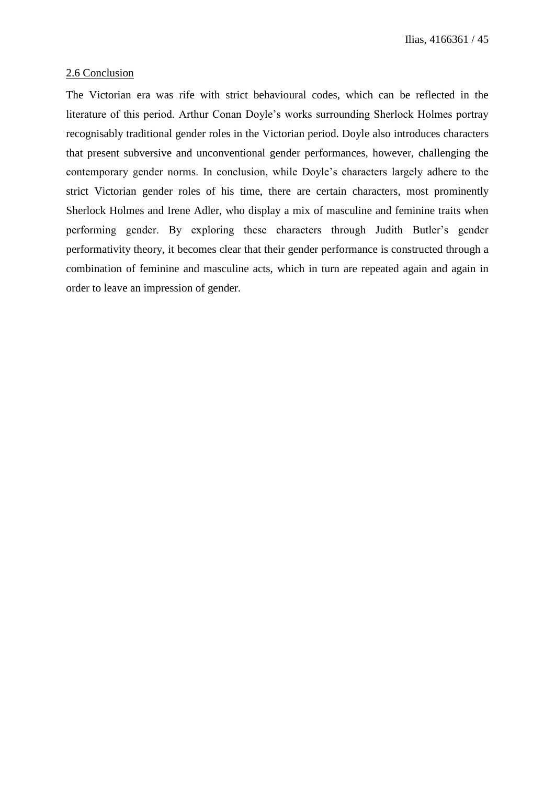## 2.6 Conclusion

The Victorian era was rife with strict behavioural codes, which can be reflected in the literature of this period. Arthur Conan Doyle's works surrounding Sherlock Holmes portray recognisably traditional gender roles in the Victorian period. Doyle also introduces characters that present subversive and unconventional gender performances, however, challenging the contemporary gender norms. In conclusion, while Doyle's characters largely adhere to the strict Victorian gender roles of his time, there are certain characters, most prominently Sherlock Holmes and Irene Adler, who display a mix of masculine and feminine traits when performing gender. By exploring these characters through Judith Butler's gender performativity theory, it becomes clear that their gender performance is constructed through a combination of feminine and masculine acts, which in turn are repeated again and again in order to leave an impression of gender.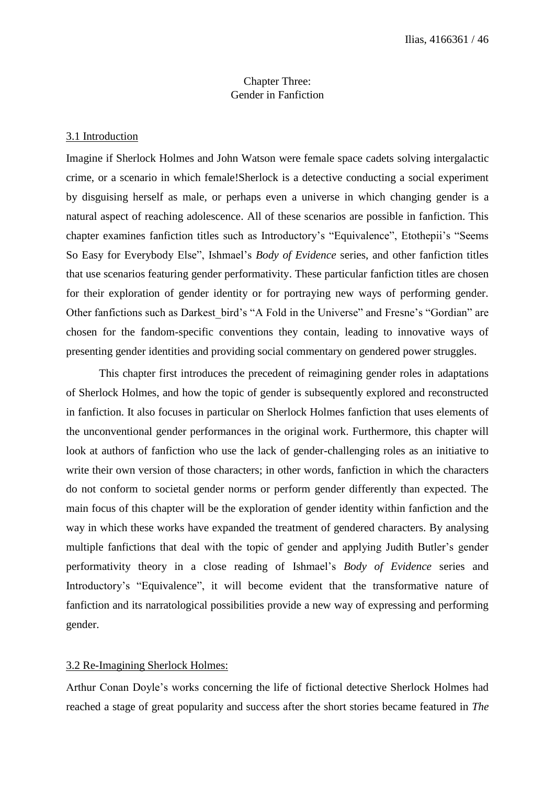## Chapter Three: Gender in Fanfiction

### 3.1 Introduction

Imagine if Sherlock Holmes and John Watson were female space cadets solving intergalactic crime, or a scenario in which female!Sherlock is a detective conducting a social experiment by disguising herself as male, or perhaps even a universe in which changing gender is a natural aspect of reaching adolescence. All of these scenarios are possible in fanfiction. This chapter examines fanfiction titles such as Introductory's "Equivalence", Etothepii's "Seems So Easy for Everybody Else", Ishmael's *Body of Evidence* series, and other fanfiction titles that use scenarios featuring gender performativity. These particular fanfiction titles are chosen for their exploration of gender identity or for portraying new ways of performing gender. Other fanfictions such as Darkest\_bird's "A Fold in the Universe" and Fresne's "Gordian" are chosen for the fandom-specific conventions they contain, leading to innovative ways of presenting gender identities and providing social commentary on gendered power struggles.

This chapter first introduces the precedent of reimagining gender roles in adaptations of Sherlock Holmes, and how the topic of gender is subsequently explored and reconstructed in fanfiction. It also focuses in particular on Sherlock Holmes fanfiction that uses elements of the unconventional gender performances in the original work. Furthermore, this chapter will look at authors of fanfiction who use the lack of gender-challenging roles as an initiative to write their own version of those characters; in other words, fanfiction in which the characters do not conform to societal gender norms or perform gender differently than expected. The main focus of this chapter will be the exploration of gender identity within fanfiction and the way in which these works have expanded the treatment of gendered characters. By analysing multiple fanfictions that deal with the topic of gender and applying Judith Butler's gender performativity theory in a close reading of Ishmael's *Body of Evidence* series and Introductory's "Equivalence", it will become evident that the transformative nature of fanfiction and its narratological possibilities provide a new way of expressing and performing gender.

### 3.2 Re-Imagining Sherlock Holmes:

Arthur Conan Doyle's works concerning the life of fictional detective Sherlock Holmes had reached a stage of great popularity and success after the short stories became featured in *The*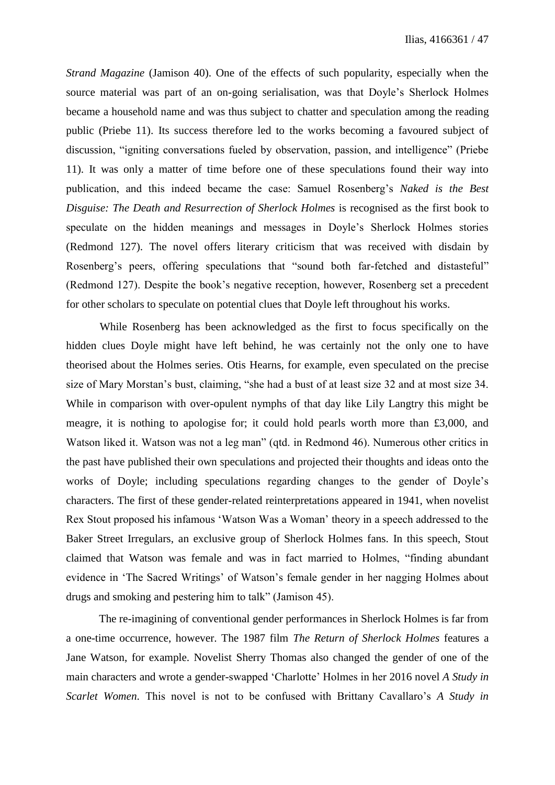*Strand Magazine* (Jamison 40). One of the effects of such popularity, especially when the source material was part of an on-going serialisation, was that Doyle's Sherlock Holmes became a household name and was thus subject to chatter and speculation among the reading public (Priebe 11). Its success therefore led to the works becoming a favoured subject of discussion, "igniting conversations fueled by observation, passion, and intelligence" (Priebe 11). It was only a matter of time before one of these speculations found their way into publication, and this indeed became the case: Samuel Rosenberg's *Naked is the Best Disguise: The Death and Resurrection of Sherlock Holmes* is recognised as the first book to speculate on the hidden meanings and messages in Doyle's Sherlock Holmes stories (Redmond 127). The novel offers literary criticism that was received with disdain by Rosenberg's peers, offering speculations that "sound both far-fetched and distasteful" (Redmond 127). Despite the book's negative reception, however, Rosenberg set a precedent for other scholars to speculate on potential clues that Doyle left throughout his works.

While Rosenberg has been acknowledged as the first to focus specifically on the hidden clues Doyle might have left behind, he was certainly not the only one to have theorised about the Holmes series. Otis Hearns, for example, even speculated on the precise size of Mary Morstan's bust, claiming, "she had a bust of at least size 32 and at most size 34. While in comparison with over-opulent nymphs of that day like Lily Langtry this might be meagre, it is nothing to apologise for; it could hold pearls worth more than £3,000, and Watson liked it. Watson was not a leg man" (qtd. in Redmond 46). Numerous other critics in the past have published their own speculations and projected their thoughts and ideas onto the works of Doyle; including speculations regarding changes to the gender of Doyle's characters. The first of these gender-related reinterpretations appeared in 1941, when novelist Rex Stout proposed his infamous 'Watson Was a Woman' theory in a speech addressed to the Baker Street Irregulars, an exclusive group of Sherlock Holmes fans. In this speech, Stout claimed that Watson was female and was in fact married to Holmes, "finding abundant evidence in 'The Sacred Writings' of Watson's female gender in her nagging Holmes about drugs and smoking and pestering him to talk" (Jamison 45).

The re-imagining of conventional gender performances in Sherlock Holmes is far from a one-time occurrence, however. The 1987 film *The Return of Sherlock Holmes* features a Jane Watson, for example. Novelist Sherry Thomas also changed the gender of one of the main characters and wrote a gender-swapped 'Charlotte' Holmes in her 2016 novel *A Study in Scarlet Women*. This novel is not to be confused with Brittany Cavallaro's *A Study in*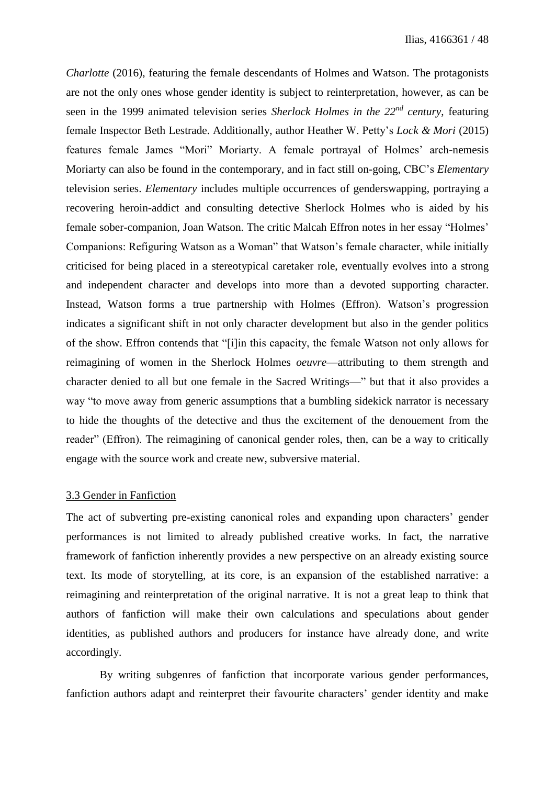*Charlotte* (2016), featuring the female descendants of Holmes and Watson. The protagonists are not the only ones whose gender identity is subject to reinterpretation, however, as can be seen in the 1999 animated television series *Sherlock Holmes in the 22nd century*, featuring female Inspector Beth Lestrade. Additionally, author Heather W. Petty's *Lock & Mori* (2015) features female James "Mori" Moriarty. A female portrayal of Holmes' arch-nemesis Moriarty can also be found in the contemporary, and in fact still on-going, CBC's *Elementary*  television series. *Elementary* includes multiple occurrences of genderswapping, portraying a recovering heroin-addict and consulting detective Sherlock Holmes who is aided by his female sober-companion, Joan Watson. The critic Malcah Effron notes in her essay "Holmes' Companions: Refiguring Watson as a Woman" that Watson's female character, while initially criticised for being placed in a stereotypical caretaker role, eventually evolves into a strong and independent character and develops into more than a devoted supporting character. Instead, Watson forms a true partnership with Holmes (Effron). Watson's progression indicates a significant shift in not only character development but also in the gender politics of the show. Effron contends that "[i]in this capacity, the female Watson not only allows for reimagining of women in the Sherlock Holmes *oeuvre*—attributing to them strength and character denied to all but one female in the Sacred Writings—" but that it also provides a way "to move away from generic assumptions that a bumbling sidekick narrator is necessary to hide the thoughts of the detective and thus the excitement of the denouement from the reader" (Effron). The reimagining of canonical gender roles, then, can be a way to critically engage with the source work and create new, subversive material.

# 3.3 Gender in Fanfiction

The act of subverting pre-existing canonical roles and expanding upon characters' gender performances is not limited to already published creative works. In fact, the narrative framework of fanfiction inherently provides a new perspective on an already existing source text. Its mode of storytelling, at its core, is an expansion of the established narrative: a reimagining and reinterpretation of the original narrative. It is not a great leap to think that authors of fanfiction will make their own calculations and speculations about gender identities, as published authors and producers for instance have already done, and write accordingly.

By writing subgenres of fanfiction that incorporate various gender performances, fanfiction authors adapt and reinterpret their favourite characters' gender identity and make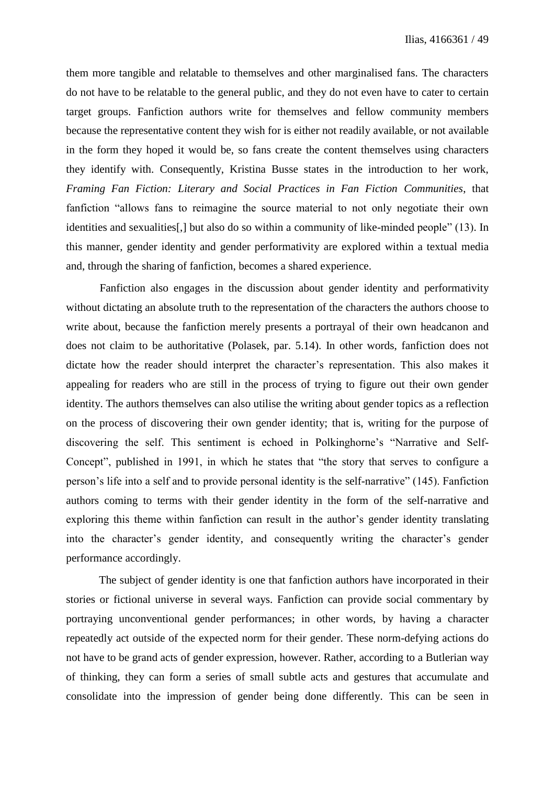them more tangible and relatable to themselves and other marginalised fans. The characters do not have to be relatable to the general public, and they do not even have to cater to certain target groups. Fanfiction authors write for themselves and fellow community members because the representative content they wish for is either not readily available, or not available in the form they hoped it would be, so fans create the content themselves using characters they identify with. Consequently, Kristina Busse states in the introduction to her work, *Framing Fan Fiction: Literary and Social Practices in Fan Fiction Communities*, that fanfiction "allows fans to reimagine the source material to not only negotiate their own identities and sexualities[,] but also do so within a community of like-minded people" (13). In this manner, gender identity and gender performativity are explored within a textual media and, through the sharing of fanfiction, becomes a shared experience.

Fanfiction also engages in the discussion about gender identity and performativity without dictating an absolute truth to the representation of the characters the authors choose to write about, because the fanfiction merely presents a portrayal of their own headcanon and does not claim to be authoritative (Polasek, par. 5.14). In other words, fanfiction does not dictate how the reader should interpret the character's representation. This also makes it appealing for readers who are still in the process of trying to figure out their own gender identity. The authors themselves can also utilise the writing about gender topics as a reflection on the process of discovering their own gender identity; that is, writing for the purpose of discovering the self. This sentiment is echoed in Polkinghorne's "Narrative and Self-Concept", published in 1991, in which he states that "the story that serves to configure a person's life into a self and to provide personal identity is the self-narrative" (145). Fanfiction authors coming to terms with their gender identity in the form of the self-narrative and exploring this theme within fanfiction can result in the author's gender identity translating into the character's gender identity, and consequently writing the character's gender performance accordingly.

The subject of gender identity is one that fanfiction authors have incorporated in their stories or fictional universe in several ways. Fanfiction can provide social commentary by portraying unconventional gender performances; in other words, by having a character repeatedly act outside of the expected norm for their gender. These norm-defying actions do not have to be grand acts of gender expression, however. Rather, according to a Butlerian way of thinking, they can form a series of small subtle acts and gestures that accumulate and consolidate into the impression of gender being done differently. This can be seen in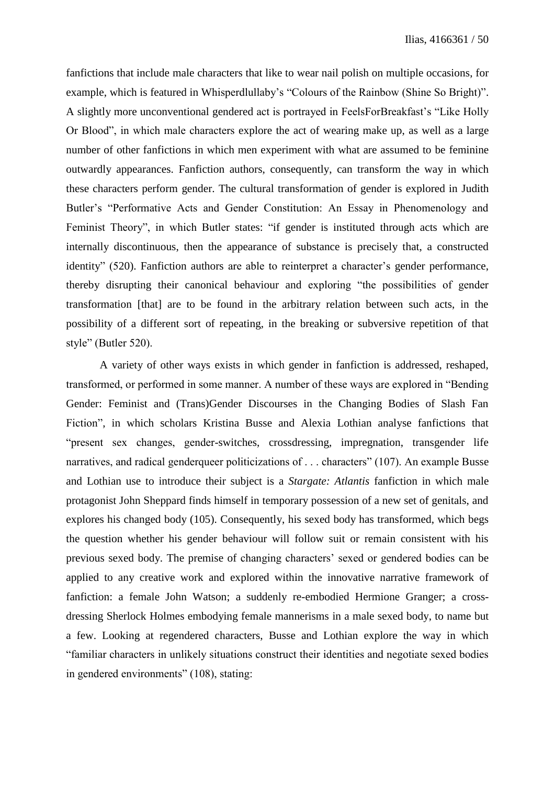fanfictions that include male characters that like to wear nail polish on multiple occasions, for example, which is featured in Whisperdlullaby's "Colours of the Rainbow (Shine So Bright)". A slightly more unconventional gendered act is portrayed in FeelsForBreakfast's "Like Holly Or Blood", in which male characters explore the act of wearing make up, as well as a large number of other fanfictions in which men experiment with what are assumed to be feminine outwardly appearances. Fanfiction authors, consequently, can transform the way in which these characters perform gender. The cultural transformation of gender is explored in Judith Butler's "Performative Acts and Gender Constitution: An Essay in Phenomenology and Feminist Theory", in which Butler states: "if gender is instituted through acts which are internally discontinuous, then the appearance of substance is precisely that, a constructed identity" (520). Fanfiction authors are able to reinterpret a character's gender performance, thereby disrupting their canonical behaviour and exploring "the possibilities of gender transformation [that] are to be found in the arbitrary relation between such acts, in the possibility of a different sort of repeating, in the breaking or subversive repetition of that style" (Butler 520).

A variety of other ways exists in which gender in fanfiction is addressed, reshaped, transformed, or performed in some manner. A number of these ways are explored in "Bending Gender: Feminist and (Trans)Gender Discourses in the Changing Bodies of Slash Fan Fiction", in which scholars Kristina Busse and Alexia Lothian analyse fanfictions that "present sex changes, gender-switches, crossdressing, impregnation, transgender life narratives, and radical genderqueer politicizations of . . . characters" (107). An example Busse and Lothian use to introduce their subject is a *Stargate: Atlantis* fanfiction in which male protagonist John Sheppard finds himself in temporary possession of a new set of genitals, and explores his changed body (105). Consequently, his sexed body has transformed, which begs the question whether his gender behaviour will follow suit or remain consistent with his previous sexed body. The premise of changing characters' sexed or gendered bodies can be applied to any creative work and explored within the innovative narrative framework of fanfiction: a female John Watson; a suddenly re-embodied Hermione Granger; a crossdressing Sherlock Holmes embodying female mannerisms in a male sexed body, to name but a few. Looking at regendered characters, Busse and Lothian explore the way in which "familiar characters in unlikely situations construct their identities and negotiate sexed bodies in gendered environments" (108), stating: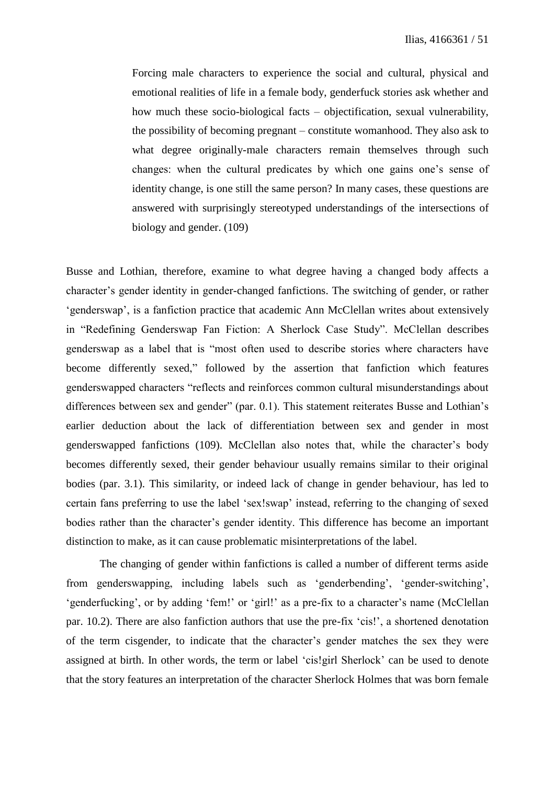Forcing male characters to experience the social and cultural, physical and emotional realities of life in a female body, genderfuck stories ask whether and how much these socio-biological facts – objectification, sexual vulnerability, the possibility of becoming pregnant – constitute womanhood. They also ask to what degree originally-male characters remain themselves through such changes: when the cultural predicates by which one gains one's sense of identity change, is one still the same person? In many cases, these questions are answered with surprisingly stereotyped understandings of the intersections of biology and gender. (109)

Busse and Lothian, therefore, examine to what degree having a changed body affects a character's gender identity in gender-changed fanfictions. The switching of gender, or rather 'genderswap', is a fanfiction practice that academic Ann McClellan writes about extensively in "Redefining Genderswap Fan Fiction: A Sherlock Case Study". McClellan describes genderswap as a label that is "most often used to describe stories where characters have become differently sexed," followed by the assertion that fanfiction which features genderswapped characters "reflects and reinforces common cultural misunderstandings about differences between sex and gender" (par. 0.1). This statement reiterates Busse and Lothian's earlier deduction about the lack of differentiation between sex and gender in most genderswapped fanfictions (109). McClellan also notes that, while the character's body becomes differently sexed, their gender behaviour usually remains similar to their original bodies (par. 3.1). This similarity, or indeed lack of change in gender behaviour, has led to certain fans preferring to use the label 'sex!swap' instead, referring to the changing of sexed bodies rather than the character's gender identity. This difference has become an important distinction to make, as it can cause problematic misinterpretations of the label.

The changing of gender within fanfictions is called a number of different terms aside from genderswapping, including labels such as 'genderbending', 'gender-switching', 'genderfucking', or by adding 'fem!' or 'girl!' as a pre-fix to a character's name (McClellan par. 10.2). There are also fanfiction authors that use the pre-fix 'cis!', a shortened denotation of the term cisgender, to indicate that the character's gender matches the sex they were assigned at birth. In other words, the term or label 'cis!girl Sherlock' can be used to denote that the story features an interpretation of the character Sherlock Holmes that was born female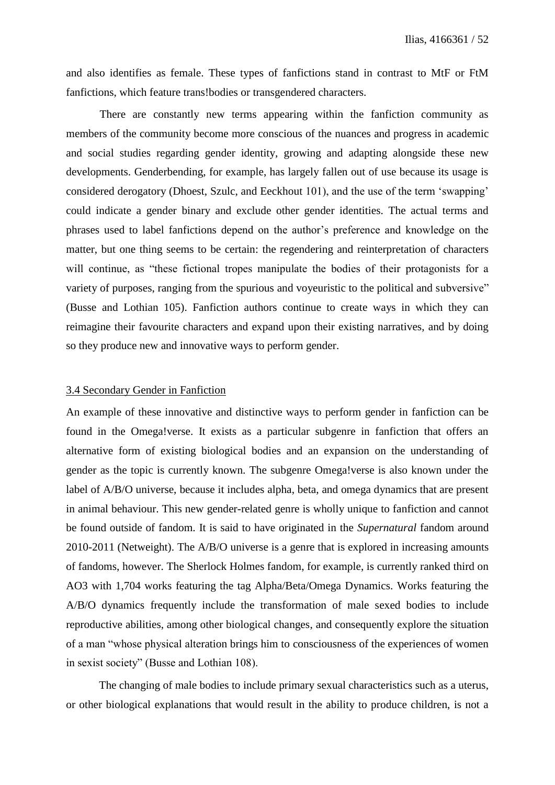and also identifies as female. These types of fanfictions stand in contrast to MtF or FtM fanfictions, which feature trans!bodies or transgendered characters.

There are constantly new terms appearing within the fanfiction community as members of the community become more conscious of the nuances and progress in academic and social studies regarding gender identity, growing and adapting alongside these new developments. Genderbending, for example, has largely fallen out of use because its usage is considered derogatory (Dhoest, Szulc, and Eeckhout 101), and the use of the term 'swapping' could indicate a gender binary and exclude other gender identities. The actual terms and phrases used to label fanfictions depend on the author's preference and knowledge on the matter, but one thing seems to be certain: the regendering and reinterpretation of characters will continue, as "these fictional tropes manipulate the bodies of their protagonists for a variety of purposes, ranging from the spurious and voyeuristic to the political and subversive" (Busse and Lothian 105). Fanfiction authors continue to create ways in which they can reimagine their favourite characters and expand upon their existing narratives, and by doing so they produce new and innovative ways to perform gender.

# 3.4 Secondary Gender in Fanfiction

An example of these innovative and distinctive ways to perform gender in fanfiction can be found in the Omega!verse. It exists as a particular subgenre in fanfiction that offers an alternative form of existing biological bodies and an expansion on the understanding of gender as the topic is currently known. The subgenre Omega!verse is also known under the label of A/B/O universe, because it includes alpha, beta, and omega dynamics that are present in animal behaviour. This new gender-related genre is wholly unique to fanfiction and cannot be found outside of fandom. It is said to have originated in the *Supernatural* fandom around 2010-2011 (Netweight). The A/B/O universe is a genre that is explored in increasing amounts of fandoms, however. The Sherlock Holmes fandom, for example, is currently ranked third on AO3 with 1,704 works featuring the tag Alpha/Beta/Omega Dynamics. Works featuring the A/B/O dynamics frequently include the transformation of male sexed bodies to include reproductive abilities, among other biological changes, and consequently explore the situation of a man "whose physical alteration brings him to consciousness of the experiences of women in sexist society" (Busse and Lothian 108).

The changing of male bodies to include primary sexual characteristics such as a uterus, or other biological explanations that would result in the ability to produce children, is not a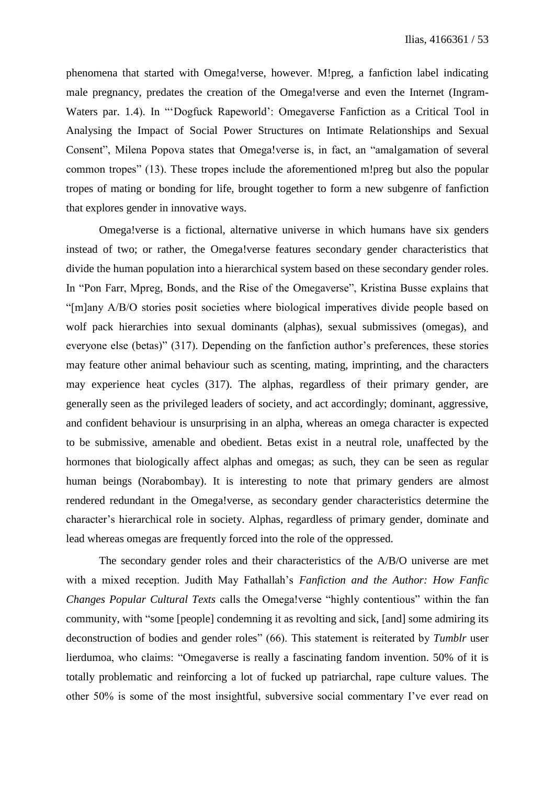phenomena that started with Omega!verse, however. M!preg, a fanfiction label indicating male pregnancy, predates the creation of the Omega!verse and even the Internet (Ingram-Waters par. 1.4). In "'Dogfuck Rapeworld': Omegaverse Fanfiction as a Critical Tool in Analysing the Impact of Social Power Structures on Intimate Relationships and Sexual Consent", Milena Popova states that Omega!verse is, in fact, an "amalgamation of several common tropes" (13). These tropes include the aforementioned m!preg but also the popular tropes of mating or bonding for life, brought together to form a new subgenre of fanfiction that explores gender in innovative ways.

Omega!verse is a fictional, alternative universe in which humans have six genders instead of two; or rather, the Omega!verse features secondary gender characteristics that divide the human population into a hierarchical system based on these secondary gender roles. In "Pon Farr, Mpreg, Bonds, and the Rise of the Omegaverse", Kristina Busse explains that "[m]any A/B/O stories posit societies where biological imperatives divide people based on wolf pack hierarchies into sexual dominants (alphas), sexual submissives (omegas), and everyone else (betas)" (317). Depending on the fanfiction author's preferences, these stories may feature other animal behaviour such as scenting, mating, imprinting, and the characters may experience heat cycles (317). The alphas, regardless of their primary gender, are generally seen as the privileged leaders of society, and act accordingly; dominant, aggressive, and confident behaviour is unsurprising in an alpha, whereas an omega character is expected to be submissive, amenable and obedient. Betas exist in a neutral role, unaffected by the hormones that biologically affect alphas and omegas; as such, they can be seen as regular human beings (Norabombay). It is interesting to note that primary genders are almost rendered redundant in the Omega!verse, as secondary gender characteristics determine the character's hierarchical role in society. Alphas, regardless of primary gender, dominate and lead whereas omegas are frequently forced into the role of the oppressed.

The secondary gender roles and their characteristics of the A/B/O universe are met with a mixed reception. Judith May Fathallah's *Fanfiction and the Author: How Fanfic Changes Popular Cultural Texts* calls the Omega!verse "highly contentious" within the fan community, with "some [people] condemning it as revolting and sick, [and] some admiring its deconstruction of bodies and gender roles" (66). This statement is reiterated by *Tumblr* user lierdumoa, who claims: "Omegaverse is really a fascinating fandom invention. 50% of it is totally problematic and reinforcing a lot of fucked up patriarchal, rape culture values. The other 50% is some of the most insightful, subversive social commentary I've ever read on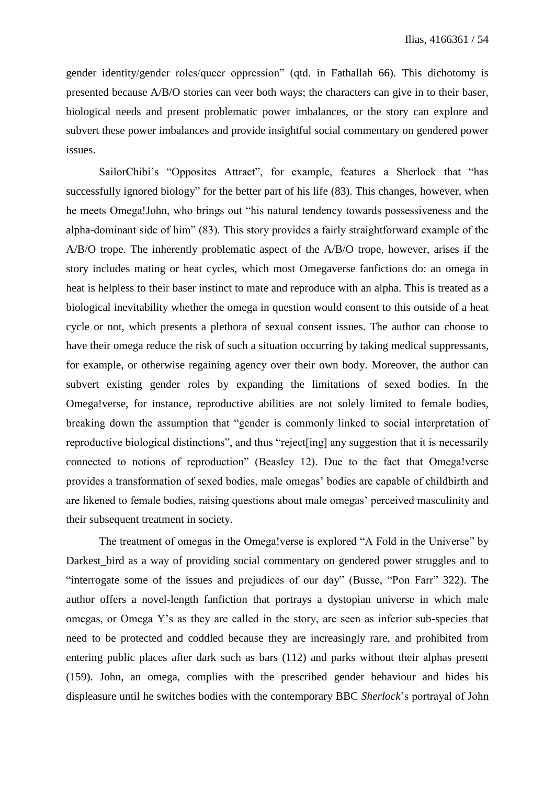gender identity/gender roles/queer oppression" (qtd. in Fathallah 66). This dichotomy is presented because A/B/O stories can veer both ways; the characters can give in to their baser, biological needs and present problematic power imbalances, or the story can explore and subvert these power imbalances and provide insightful social commentary on gendered power issues.

SailorChibi's "Opposites Attract", for example, features a Sherlock that "has successfully ignored biology" for the better part of his life (83). This changes, however, when he meets Omega!John, who brings out "his natural tendency towards possessiveness and the alpha-dominant side of him" (83). This story provides a fairly straightforward example of the A/B/O trope. The inherently problematic aspect of the A/B/O trope, however, arises if the story includes mating or heat cycles, which most Omegaverse fanfictions do: an omega in heat is helpless to their baser instinct to mate and reproduce with an alpha. This is treated as a biological inevitability whether the omega in question would consent to this outside of a heat cycle or not, which presents a plethora of sexual consent issues. The author can choose to have their omega reduce the risk of such a situation occurring by taking medical suppressants, for example, or otherwise regaining agency over their own body. Moreover, the author can subvert existing gender roles by expanding the limitations of sexed bodies. In the Omega!verse, for instance, reproductive abilities are not solely limited to female bodies, breaking down the assumption that "gender is commonly linked to social interpretation of reproductive biological distinctions", and thus "reject[ing] any suggestion that it is necessarily connected to notions of reproduction" (Beasley 12). Due to the fact that Omega!verse provides a transformation of sexed bodies, male omegas' bodies are capable of childbirth and are likened to female bodies, raising questions about male omegas' perceived masculinity and their subsequent treatment in society.

The treatment of omegas in the Omega!verse is explored "A Fold in the Universe" by Darkest\_bird as a way of providing social commentary on gendered power struggles and to "interrogate some of the issues and prejudices of our day" (Busse, "Pon Farr" 322). The author offers a novel-length fanfiction that portrays a dystopian universe in which male omegas, or Omega Y's as they are called in the story, are seen as inferior sub-species that need to be protected and coddled because they are increasingly rare, and prohibited from entering public places after dark such as bars (112) and parks without their alphas present (159). John, an omega, complies with the prescribed gender behaviour and hides his displeasure until he switches bodies with the contemporary BBC *Sherlock*'s portrayal of John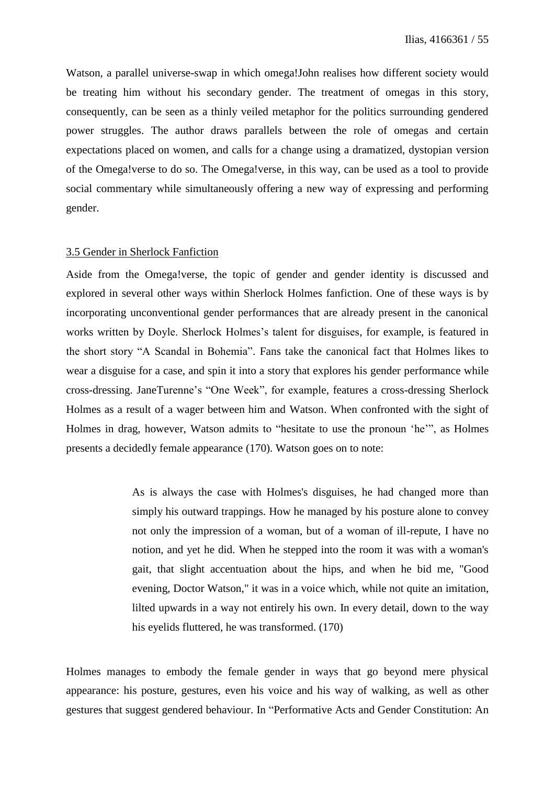Watson, a parallel universe-swap in which omega!John realises how different society would be treating him without his secondary gender. The treatment of omegas in this story, consequently, can be seen as a thinly veiled metaphor for the politics surrounding gendered power struggles. The author draws parallels between the role of omegas and certain expectations placed on women, and calls for a change using a dramatized, dystopian version of the Omega!verse to do so. The Omega!verse, in this way, can be used as a tool to provide social commentary while simultaneously offering a new way of expressing and performing gender.

### 3.5 Gender in Sherlock Fanfiction

Aside from the Omega!verse, the topic of gender and gender identity is discussed and explored in several other ways within Sherlock Holmes fanfiction. One of these ways is by incorporating unconventional gender performances that are already present in the canonical works written by Doyle. Sherlock Holmes's talent for disguises, for example, is featured in the short story "A Scandal in Bohemia". Fans take the canonical fact that Holmes likes to wear a disguise for a case, and spin it into a story that explores his gender performance while cross-dressing. JaneTurenne's "One Week", for example, features a cross-dressing Sherlock Holmes as a result of a wager between him and Watson. When confronted with the sight of Holmes in drag, however, Watson admits to "hesitate to use the pronoun 'he'", as Holmes presents a decidedly female appearance (170). Watson goes on to note:

> As is always the case with Holmes's disguises, he had changed more than simply his outward trappings. How he managed by his posture alone to convey not only the impression of a woman, but of a woman of ill-repute, I have no notion, and yet he did. When he stepped into the room it was with a woman's gait, that slight accentuation about the hips, and when he bid me, "Good evening, Doctor Watson," it was in a voice which, while not quite an imitation, lilted upwards in a way not entirely his own. In every detail, down to the way his eyelids fluttered, he was transformed. (170)

Holmes manages to embody the female gender in ways that go beyond mere physical appearance: his posture, gestures, even his voice and his way of walking, as well as other gestures that suggest gendered behaviour. In "Performative Acts and Gender Constitution: An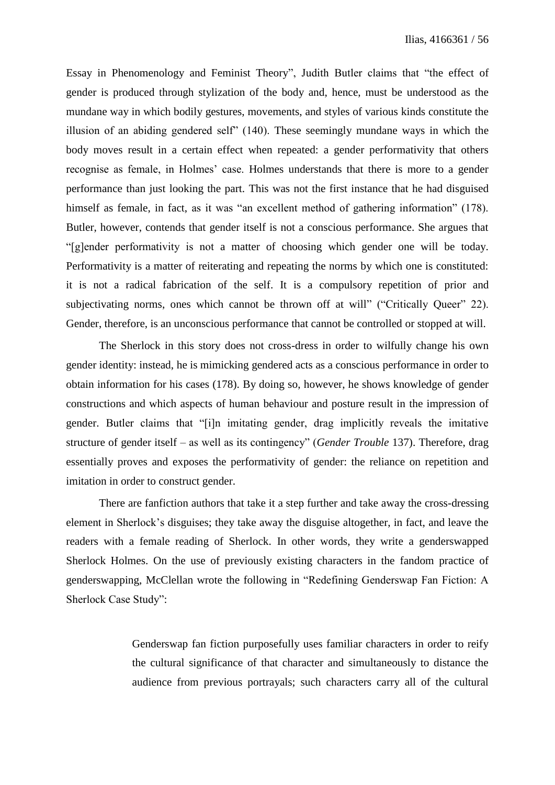Essay in Phenomenology and Feminist Theory", Judith Butler claims that "the effect of gender is produced through stylization of the body and, hence, must be understood as the mundane way in which bodily gestures, movements, and styles of various kinds constitute the illusion of an abiding gendered self" (140). These seemingly mundane ways in which the body moves result in a certain effect when repeated: a gender performativity that others recognise as female, in Holmes' case. Holmes understands that there is more to a gender performance than just looking the part. This was not the first instance that he had disguised himself as female, in fact, as it was "an excellent method of gathering information" (178). Butler, however, contends that gender itself is not a conscious performance. She argues that "[g]ender performativity is not a matter of choosing which gender one will be today. Performativity is a matter of reiterating and repeating the norms by which one is constituted: it is not a radical fabrication of the self. It is a compulsory repetition of prior and subjectivating norms, ones which cannot be thrown off at will" ("Critically Queer" 22). Gender, therefore, is an unconscious performance that cannot be controlled or stopped at will.

The Sherlock in this story does not cross-dress in order to wilfully change his own gender identity: instead, he is mimicking gendered acts as a conscious performance in order to obtain information for his cases (178). By doing so, however, he shows knowledge of gender constructions and which aspects of human behaviour and posture result in the impression of gender. Butler claims that "[i]n imitating gender, drag implicitly reveals the imitative structure of gender itself – as well as its contingency" (*Gender Trouble* 137). Therefore, drag essentially proves and exposes the performativity of gender: the reliance on repetition and imitation in order to construct gender.

There are fanfiction authors that take it a step further and take away the cross-dressing element in Sherlock's disguises; they take away the disguise altogether, in fact, and leave the readers with a female reading of Sherlock. In other words, they write a genderswapped Sherlock Holmes. On the use of previously existing characters in the fandom practice of genderswapping, McClellan wrote the following in "Redefining Genderswap Fan Fiction: A Sherlock Case Study":

> Genderswap fan fiction purposefully uses familiar characters in order to reify the cultural significance of that character and simultaneously to distance the audience from previous portrayals; such characters carry all of the cultural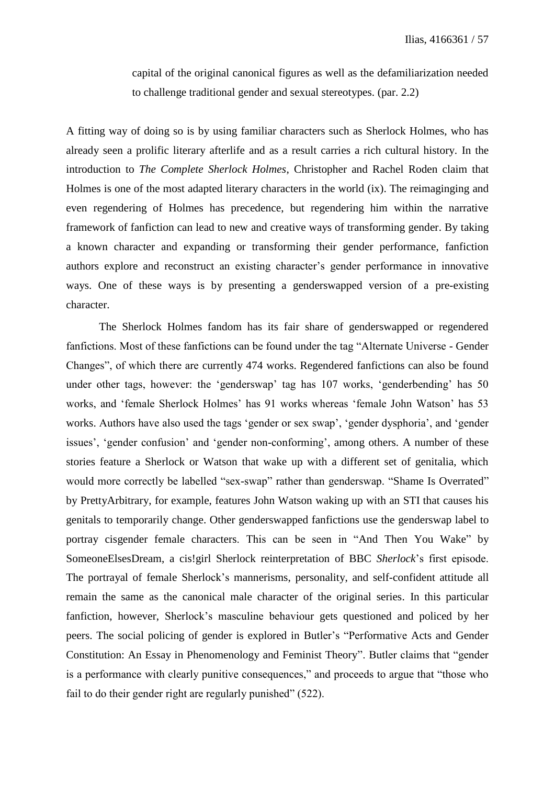capital of the original canonical figures as well as the defamiliarization needed to challenge traditional gender and sexual stereotypes. (par. 2.2)

A fitting way of doing so is by using familiar characters such as Sherlock Holmes, who has already seen a prolific literary afterlife and as a result carries a rich cultural history. In the introduction to *The Complete Sherlock Holmes*, Christopher and Rachel Roden claim that Holmes is one of the most adapted literary characters in the world (ix). The reimaginging and even regendering of Holmes has precedence, but regendering him within the narrative framework of fanfiction can lead to new and creative ways of transforming gender. By taking a known character and expanding or transforming their gender performance, fanfiction authors explore and reconstruct an existing character's gender performance in innovative ways. One of these ways is by presenting a genderswapped version of a pre-existing character.

The Sherlock Holmes fandom has its fair share of genderswapped or regendered fanfictions. Most of these fanfictions can be found under the tag "Alternate Universe - Gender Changes", of which there are currently 474 works. Regendered fanfictions can also be found under other tags, however: the 'genderswap' tag has 107 works, 'genderbending' has 50 works, and 'female Sherlock Holmes' has 91 works whereas 'female John Watson' has 53 works. Authors have also used the tags 'gender or sex swap', 'gender dysphoria', and 'gender issues', 'gender confusion' and 'gender non-conforming', among others. A number of these stories feature a Sherlock or Watson that wake up with a different set of genitalia, which would more correctly be labelled "sex-swap" rather than genderswap. "Shame Is Overrated" by PrettyArbitrary, for example, features John Watson waking up with an STI that causes his genitals to temporarily change. Other genderswapped fanfictions use the genderswap label to portray cisgender female characters. This can be seen in "And Then You Wake" by SomeoneElsesDream, a cis!girl Sherlock reinterpretation of BBC *Sherlock*'s first episode. The portrayal of female Sherlock's mannerisms, personality, and self-confident attitude all remain the same as the canonical male character of the original series. In this particular fanfiction, however, Sherlock's masculine behaviour gets questioned and policed by her peers. The social policing of gender is explored in Butler's "Performative Acts and Gender Constitution: An Essay in Phenomenology and Feminist Theory". Butler claims that "gender is a performance with clearly punitive consequences," and proceeds to argue that "those who fail to do their gender right are regularly punished" (522).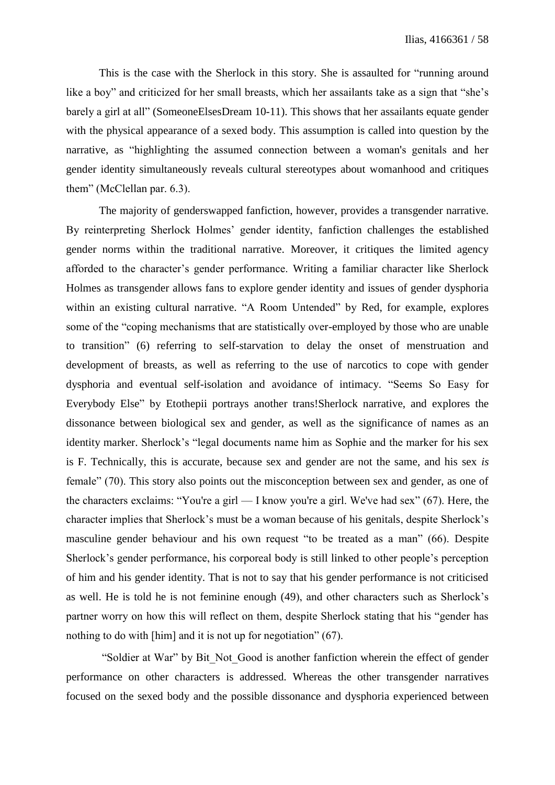This is the case with the Sherlock in this story. She is assaulted for "running around like a boy" and criticized for her small breasts, which her assailants take as a sign that "she's barely a girl at all" (SomeoneElsesDream 10-11). This shows that her assailants equate gender with the physical appearance of a sexed body. This assumption is called into question by the narrative, as "highlighting the assumed connection between a woman's genitals and her gender identity simultaneously reveals cultural stereotypes about womanhood and critiques them" (McClellan par. 6.3).

The majority of genderswapped fanfiction, however, provides a transgender narrative. By reinterpreting Sherlock Holmes' gender identity, fanfiction challenges the established gender norms within the traditional narrative. Moreover, it critiques the limited agency afforded to the character's gender performance. Writing a familiar character like Sherlock Holmes as transgender allows fans to explore gender identity and issues of gender dysphoria within an existing cultural narrative. "A Room Untended" by Red, for example, explores some of the "coping mechanisms that are statistically over-employed by those who are unable to transition" (6) referring to self-starvation to delay the onset of menstruation and development of breasts, as well as referring to the use of narcotics to cope with gender dysphoria and eventual self-isolation and avoidance of intimacy. "Seems So Easy for Everybody Else" by Etothepii portrays another trans!Sherlock narrative, and explores the dissonance between biological sex and gender, as well as the significance of names as an identity marker. Sherlock's "legal documents name him as Sophie and the marker for his sex is F. Technically, this is accurate, because sex and gender are not the same, and his sex *is* female" (70). This story also points out the misconception between sex and gender, as one of the characters exclaims: "You're a girl — I know you're a girl. We've had sex" (67). Here, the character implies that Sherlock's must be a woman because of his genitals, despite Sherlock's masculine gender behaviour and his own request "to be treated as a man" (66). Despite Sherlock's gender performance, his corporeal body is still linked to other people's perception of him and his gender identity. That is not to say that his gender performance is not criticised as well. He is told he is not feminine enough (49), and other characters such as Sherlock's partner worry on how this will reflect on them, despite Sherlock stating that his "gender has nothing to do with [him] and it is not up for negotiation" (67).

"Soldier at War" by Bit\_Not\_Good is another fanfiction wherein the effect of gender performance on other characters is addressed. Whereas the other transgender narratives focused on the sexed body and the possible dissonance and dysphoria experienced between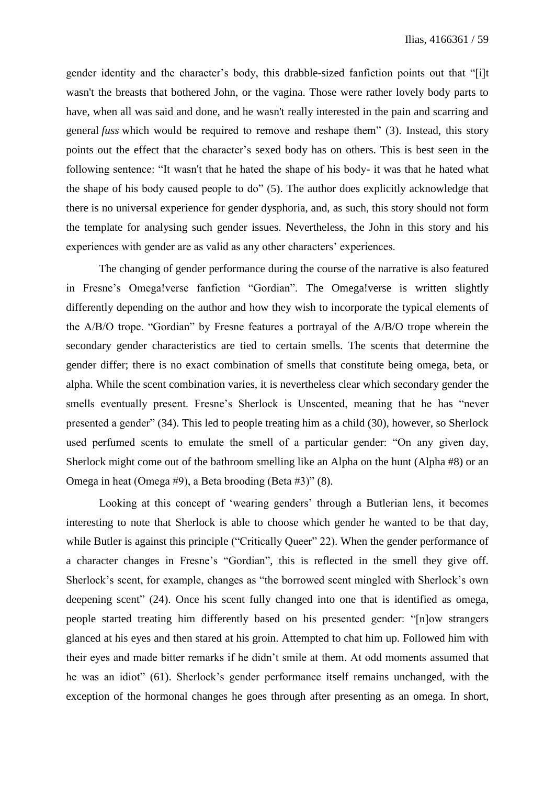gender identity and the character's body, this drabble-sized fanfiction points out that "[i]t wasn't the breasts that bothered John, or the vagina. Those were rather lovely body parts to have, when all was said and done, and he wasn't really interested in the pain and scarring and general *fuss* which would be required to remove and reshape them" (3). Instead, this story points out the effect that the character's sexed body has on others. This is best seen in the following sentence: "It wasn't that he hated the shape of his body- it was that he hated what the shape of his body caused people to do" (5). The author does explicitly acknowledge that there is no universal experience for gender dysphoria, and, as such, this story should not form the template for analysing such gender issues. Nevertheless, the John in this story and his experiences with gender are as valid as any other characters' experiences.

The changing of gender performance during the course of the narrative is also featured in Fresne's Omega!verse fanfiction "Gordian". The Omega!verse is written slightly differently depending on the author and how they wish to incorporate the typical elements of the A/B/O trope. "Gordian" by Fresne features a portrayal of the A/B/O trope wherein the secondary gender characteristics are tied to certain smells. The scents that determine the gender differ; there is no exact combination of smells that constitute being omega, beta, or alpha. While the scent combination varies, it is nevertheless clear which secondary gender the smells eventually present. Fresne's Sherlock is Unscented, meaning that he has "never presented a gender" (34). This led to people treating him as a child (30), however, so Sherlock used perfumed scents to emulate the smell of a particular gender: "On any given day, Sherlock might come out of the bathroom smelling like an Alpha on the hunt (Alpha #8) or an Omega in heat (Omega #9), a Beta brooding (Beta #3)" (8).

Looking at this concept of 'wearing genders' through a Butlerian lens, it becomes interesting to note that Sherlock is able to choose which gender he wanted to be that day, while Butler is against this principle ("Critically Queer" 22). When the gender performance of a character changes in Fresne's "Gordian", this is reflected in the smell they give off. Sherlock's scent, for example, changes as "the borrowed scent mingled with Sherlock's own deepening scent" (24). Once his scent fully changed into one that is identified as omega, people started treating him differently based on his presented gender: "[n]ow strangers glanced at his eyes and then stared at his groin. Attempted to chat him up. Followed him with their eyes and made bitter remarks if he didn't smile at them. At odd moments assumed that he was an idiot" (61). Sherlock's gender performance itself remains unchanged, with the exception of the hormonal changes he goes through after presenting as an omega. In short,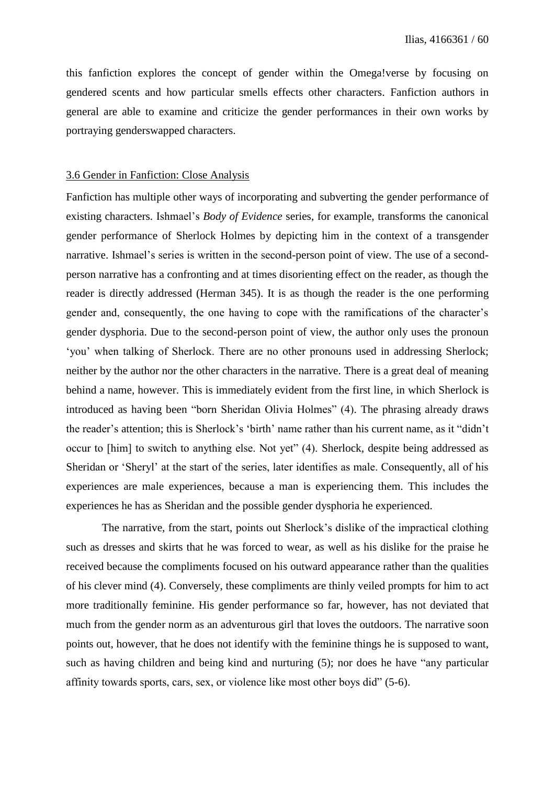this fanfiction explores the concept of gender within the Omega!verse by focusing on gendered scents and how particular smells effects other characters. Fanfiction authors in general are able to examine and criticize the gender performances in their own works by portraying genderswapped characters.

#### 3.6 Gender in Fanfiction: Close Analysis

Fanfiction has multiple other ways of incorporating and subverting the gender performance of existing characters. Ishmael's *Body of Evidence* series, for example, transforms the canonical gender performance of Sherlock Holmes by depicting him in the context of a transgender narrative. Ishmael's series is written in the second-person point of view. The use of a secondperson narrative has a confronting and at times disorienting effect on the reader, as though the reader is directly addressed (Herman 345). It is as though the reader is the one performing gender and, consequently, the one having to cope with the ramifications of the character's gender dysphoria. Due to the second-person point of view, the author only uses the pronoun 'you' when talking of Sherlock. There are no other pronouns used in addressing Sherlock; neither by the author nor the other characters in the narrative. There is a great deal of meaning behind a name, however. This is immediately evident from the first line, in which Sherlock is introduced as having been "born Sheridan Olivia Holmes" (4). The phrasing already draws the reader's attention; this is Sherlock's 'birth' name rather than his current name, as it "didn't occur to [him] to switch to anything else. Not yet" (4). Sherlock, despite being addressed as Sheridan or 'Sheryl' at the start of the series, later identifies as male. Consequently, all of his experiences are male experiences, because a man is experiencing them. This includes the experiences he has as Sheridan and the possible gender dysphoria he experienced.

The narrative, from the start, points out Sherlock's dislike of the impractical clothing such as dresses and skirts that he was forced to wear, as well as his dislike for the praise he received because the compliments focused on his outward appearance rather than the qualities of his clever mind (4). Conversely, these compliments are thinly veiled prompts for him to act more traditionally feminine. His gender performance so far, however, has not deviated that much from the gender norm as an adventurous girl that loves the outdoors. The narrative soon points out, however, that he does not identify with the feminine things he is supposed to want, such as having children and being kind and nurturing (5); nor does he have "any particular affinity towards sports, cars, sex, or violence like most other boys did" (5-6).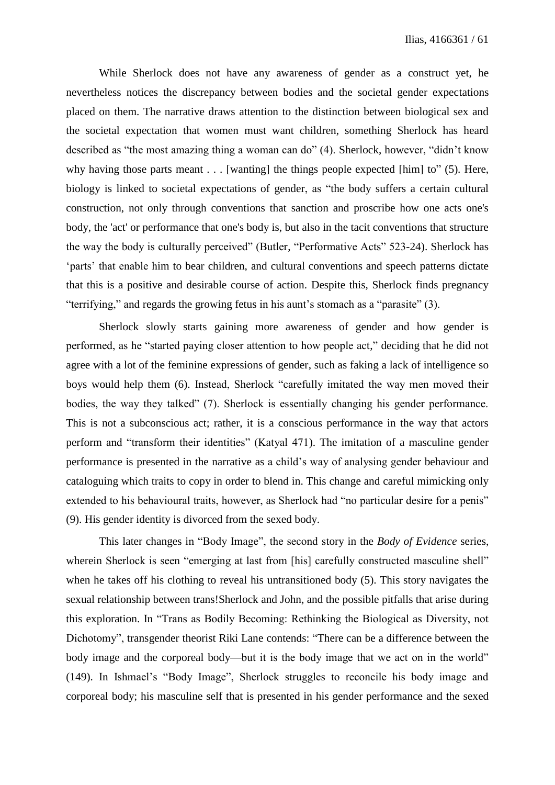While Sherlock does not have any awareness of gender as a construct yet, he nevertheless notices the discrepancy between bodies and the societal gender expectations placed on them. The narrative draws attention to the distinction between biological sex and the societal expectation that women must want children, something Sherlock has heard described as "the most amazing thing a woman can do" (4). Sherlock, however, "didn't know why having those parts meant  $\dots$  [wanting] the things people expected [him] to" (5). Here, biology is linked to societal expectations of gender, as "the body suffers a certain cultural construction, not only through conventions that sanction and proscribe how one acts one's body, the 'act' or performance that one's body is, but also in the tacit conventions that structure the way the body is culturally perceived" (Butler, "Performative Acts" 523-24). Sherlock has 'parts' that enable him to bear children, and cultural conventions and speech patterns dictate that this is a positive and desirable course of action. Despite this, Sherlock finds pregnancy "terrifying," and regards the growing fetus in his aunt's stomach as a "parasite" (3).

Sherlock slowly starts gaining more awareness of gender and how gender is performed, as he "started paying closer attention to how people act," deciding that he did not agree with a lot of the feminine expressions of gender, such as faking a lack of intelligence so boys would help them (6). Instead, Sherlock "carefully imitated the way men moved their bodies, the way they talked" (7). Sherlock is essentially changing his gender performance. This is not a subconscious act; rather, it is a conscious performance in the way that actors perform and "transform their identities" (Katyal 471). The imitation of a masculine gender performance is presented in the narrative as a child's way of analysing gender behaviour and cataloguing which traits to copy in order to blend in. This change and careful mimicking only extended to his behavioural traits, however, as Sherlock had "no particular desire for a penis" (9). His gender identity is divorced from the sexed body.

This later changes in "Body Image", the second story in the *Body of Evidence* series, wherein Sherlock is seen "emerging at last from [his] carefully constructed masculine shell" when he takes off his clothing to reveal his untransitioned body (5). This story navigates the sexual relationship between trans!Sherlock and John, and the possible pitfalls that arise during this exploration. In "Trans as Bodily Becoming: Rethinking the Biological as Diversity, not Dichotomy", transgender theorist Riki Lane contends: "There can be a difference between the body image and the corporeal body—but it is the body image that we act on in the world" (149). In Ishmael's "Body Image", Sherlock struggles to reconcile his body image and corporeal body; his masculine self that is presented in his gender performance and the sexed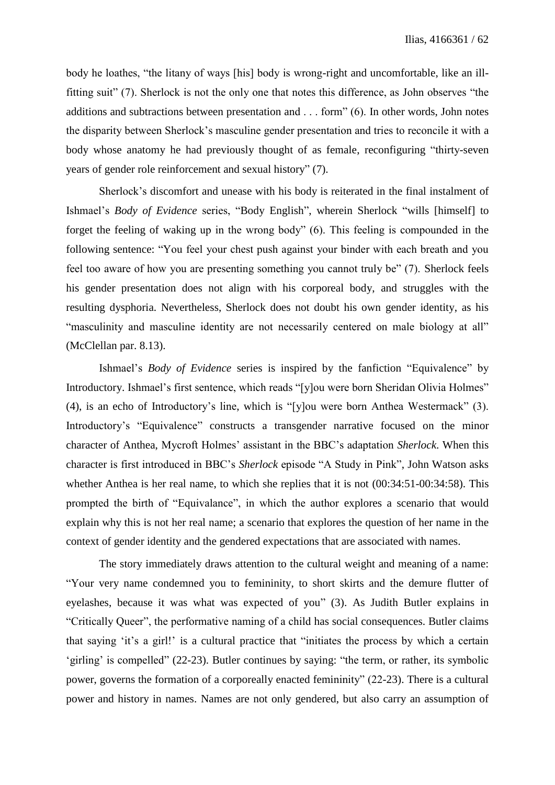body he loathes, "the litany of ways [his] body is wrong-right and uncomfortable, like an illfitting suit" (7). Sherlock is not the only one that notes this difference, as John observes "the additions and subtractions between presentation and . . . form" (6). In other words, John notes the disparity between Sherlock's masculine gender presentation and tries to reconcile it with a body whose anatomy he had previously thought of as female, reconfiguring "thirty-seven years of gender role reinforcement and sexual history" (7).

Sherlock's discomfort and unease with his body is reiterated in the final instalment of Ishmael's *Body of Evidence* series, "Body English", wherein Sherlock "wills [himself] to forget the feeling of waking up in the wrong body" (6). This feeling is compounded in the following sentence: "You feel your chest push against your binder with each breath and you feel too aware of how you are presenting something you cannot truly be" (7). Sherlock feels his gender presentation does not align with his corporeal body, and struggles with the resulting dysphoria. Nevertheless, Sherlock does not doubt his own gender identity, as his "masculinity and masculine identity are not necessarily centered on male biology at all" (McClellan par. 8.13).

Ishmael's *Body of Evidence* series is inspired by the fanfiction "Equivalence" by Introductory. Ishmael's first sentence, which reads "[y]ou were born Sheridan Olivia Holmes" (4), is an echo of Introductory's line, which is "[y]ou were born Anthea Westermack" (3). Introductory's "Equivalence" constructs a transgender narrative focused on the minor character of Anthea, Mycroft Holmes' assistant in the BBC's adaptation *Sherlock*. When this character is first introduced in BBC's *Sherlock* episode "A Study in Pink", John Watson asks whether Anthea is her real name, to which she replies that it is not  $(00:34:51-00:34:58)$ . This prompted the birth of "Equivalance", in which the author explores a scenario that would explain why this is not her real name; a scenario that explores the question of her name in the context of gender identity and the gendered expectations that are associated with names.

The story immediately draws attention to the cultural weight and meaning of a name: "Your very name condemned you to femininity, to short skirts and the demure flutter of eyelashes, because it was what was expected of you" (3). As Judith Butler explains in "Critically Queer", the performative naming of a child has social consequences. Butler claims that saying 'it's a girl!' is a cultural practice that "initiates the process by which a certain 'girling' is compelled" (22-23). Butler continues by saying: "the term, or rather, its symbolic power, governs the formation of a corporeally enacted femininity" (22-23). There is a cultural power and history in names. Names are not only gendered, but also carry an assumption of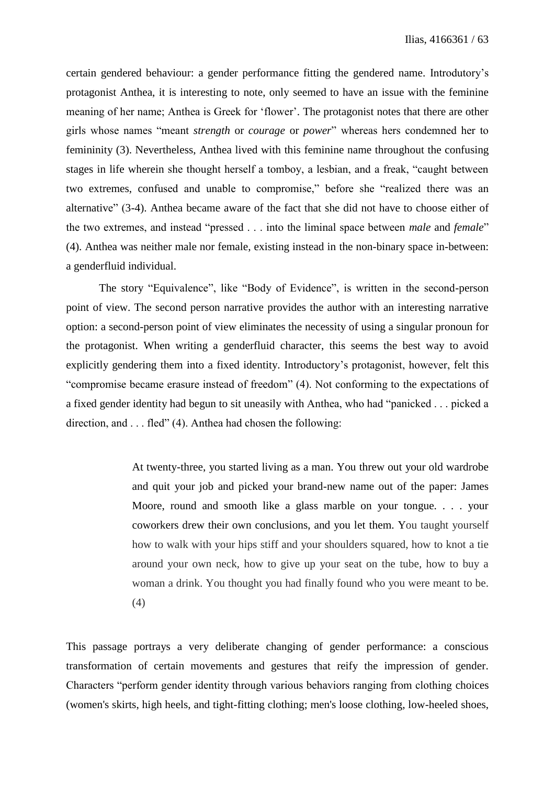certain gendered behaviour: a gender performance fitting the gendered name. Introdutory's protagonist Anthea, it is interesting to note, only seemed to have an issue with the feminine meaning of her name; Anthea is Greek for 'flower'. The protagonist notes that there are other girls whose names "meant *strength* or *courage* or *power*" whereas hers condemned her to femininity (3). Nevertheless, Anthea lived with this feminine name throughout the confusing stages in life wherein she thought herself a tomboy, a lesbian, and a freak, "caught between two extremes, confused and unable to compromise," before she "realized there was an alternative" (3-4). Anthea became aware of the fact that she did not have to choose either of the two extremes, and instead "pressed . . . into the liminal space between *male* and *female*" (4). Anthea was neither male nor female, existing instead in the non-binary space in-between: a genderfluid individual.

The story "Equivalence", like "Body of Evidence", is written in the second-person point of view. The second person narrative provides the author with an interesting narrative option: a second-person point of view eliminates the necessity of using a singular pronoun for the protagonist. When writing a genderfluid character, this seems the best way to avoid explicitly gendering them into a fixed identity. Introductory's protagonist, however, felt this "compromise became erasure instead of freedom" (4). Not conforming to the expectations of a fixed gender identity had begun to sit uneasily with Anthea, who had "panicked . . . picked a direction, and . . . fled" (4). Anthea had chosen the following:

> At twenty-three, you started living as a man. You threw out your old wardrobe and quit your job and picked your brand-new name out of the paper: James Moore, round and smooth like a glass marble on your tongue. . . . your coworkers drew their own conclusions, and you let them. You taught yourself how to walk with your hips stiff and your shoulders squared, how to knot a tie around your own neck, how to give up your seat on the tube, how to buy a woman a drink. You thought you had finally found who you were meant to be. (4)

This passage portrays a very deliberate changing of gender performance: a conscious transformation of certain movements and gestures that reify the impression of gender. Characters "perform gender identity through various behaviors ranging from clothing choices (women's skirts, high heels, and tight-fitting clothing; men's loose clothing, low-heeled shoes,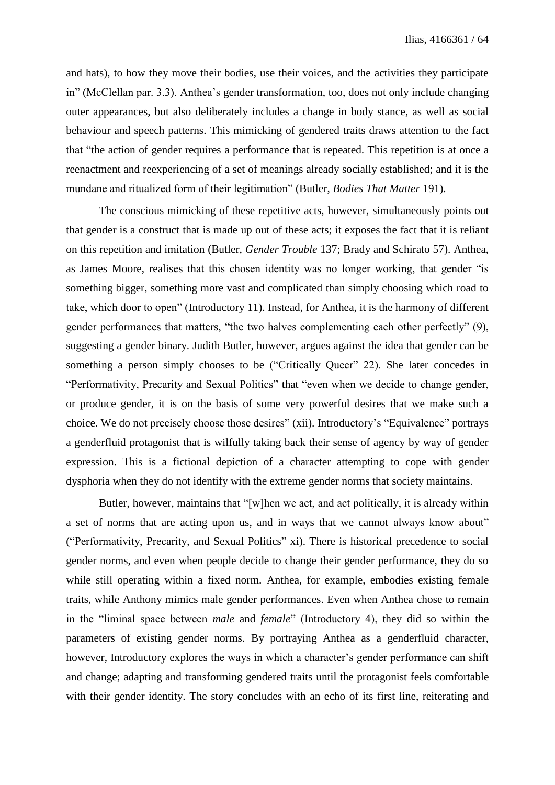and hats), to how they move their bodies, use their voices, and the activities they participate in" (McClellan par. 3.3). Anthea's gender transformation, too, does not only include changing outer appearances, but also deliberately includes a change in body stance, as well as social behaviour and speech patterns. This mimicking of gendered traits draws attention to the fact that "the action of gender requires a performance that is repeated. This repetition is at once a reenactment and reexperiencing of a set of meanings already socially established; and it is the mundane and ritualized form of their legitimation" (Butler, *Bodies That Matter* 191).

The conscious mimicking of these repetitive acts, however, simultaneously points out that gender is a construct that is made up out of these acts; it exposes the fact that it is reliant on this repetition and imitation (Butler, *Gender Trouble* 137; Brady and Schirato 57). Anthea, as James Moore, realises that this chosen identity was no longer working, that gender "is something bigger, something more vast and complicated than simply choosing which road to take, which door to open" (Introductory 11). Instead, for Anthea, it is the harmony of different gender performances that matters, "the two halves complementing each other perfectly" (9), suggesting a gender binary. Judith Butler, however, argues against the idea that gender can be something a person simply chooses to be ("Critically Queer" 22). She later concedes in "Performativity, Precarity and Sexual Politics" that "even when we decide to change gender, or produce gender, it is on the basis of some very powerful desires that we make such a choice. We do not precisely choose those desires" (xii). Introductory's "Equivalence" portrays a genderfluid protagonist that is wilfully taking back their sense of agency by way of gender expression. This is a fictional depiction of a character attempting to cope with gender dysphoria when they do not identify with the extreme gender norms that society maintains.

Butler, however, maintains that "[w]hen we act, and act politically, it is already within a set of norms that are acting upon us, and in ways that we cannot always know about" ("Performativity, Precarity, and Sexual Politics" xi). There is historical precedence to social gender norms, and even when people decide to change their gender performance, they do so while still operating within a fixed norm. Anthea, for example, embodies existing female traits, while Anthony mimics male gender performances. Even when Anthea chose to remain in the "liminal space between *male* and *female*" (Introductory 4), they did so within the parameters of existing gender norms. By portraying Anthea as a genderfluid character, however, Introductory explores the ways in which a character's gender performance can shift and change; adapting and transforming gendered traits until the protagonist feels comfortable with their gender identity. The story concludes with an echo of its first line, reiterating and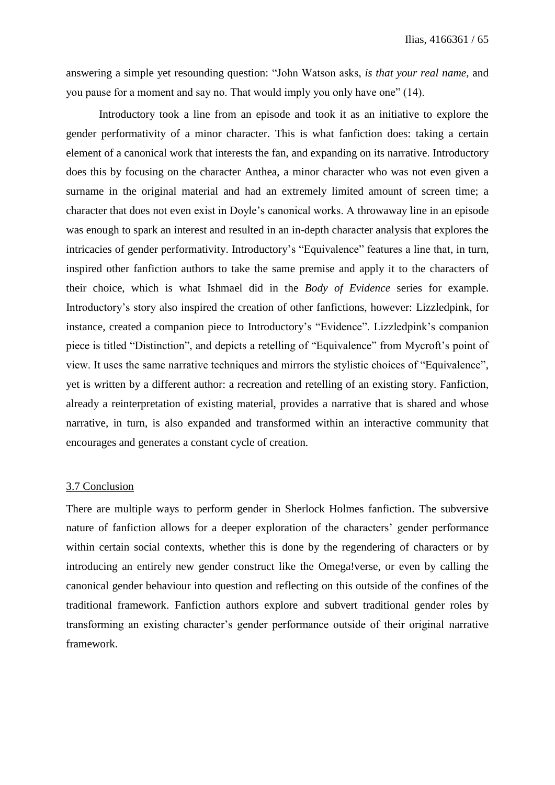answering a simple yet resounding question: "John Watson asks, *is that your real name*, and you pause for a moment and say no. That would imply you only have one" (14).

Introductory took a line from an episode and took it as an initiative to explore the gender performativity of a minor character. This is what fanfiction does: taking a certain element of a canonical work that interests the fan, and expanding on its narrative. Introductory does this by focusing on the character Anthea, a minor character who was not even given a surname in the original material and had an extremely limited amount of screen time; a character that does not even exist in Doyle's canonical works. A throwaway line in an episode was enough to spark an interest and resulted in an in-depth character analysis that explores the intricacies of gender performativity. Introductory's "Equivalence" features a line that, in turn, inspired other fanfiction authors to take the same premise and apply it to the characters of their choice, which is what Ishmael did in the *Body of Evidence* series for example. Introductory's story also inspired the creation of other fanfictions, however: Lizzledpink, for instance, created a companion piece to Introductory's "Evidence". Lizzledpink's companion piece is titled "Distinction", and depicts a retelling of "Equivalence" from Mycroft's point of view. It uses the same narrative techniques and mirrors the stylistic choices of "Equivalence", yet is written by a different author: a recreation and retelling of an existing story. Fanfiction, already a reinterpretation of existing material, provides a narrative that is shared and whose narrative, in turn, is also expanded and transformed within an interactive community that encourages and generates a constant cycle of creation.

### 3.7 Conclusion

There are multiple ways to perform gender in Sherlock Holmes fanfiction. The subversive nature of fanfiction allows for a deeper exploration of the characters' gender performance within certain social contexts, whether this is done by the regendering of characters or by introducing an entirely new gender construct like the Omega!verse, or even by calling the canonical gender behaviour into question and reflecting on this outside of the confines of the traditional framework. Fanfiction authors explore and subvert traditional gender roles by transforming an existing character's gender performance outside of their original narrative framework.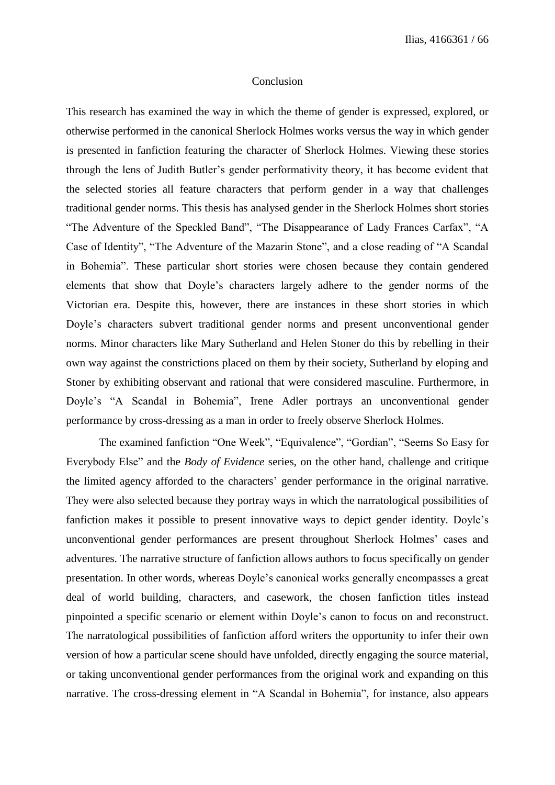### Conclusion

This research has examined the way in which the theme of gender is expressed, explored, or otherwise performed in the canonical Sherlock Holmes works versus the way in which gender is presented in fanfiction featuring the character of Sherlock Holmes. Viewing these stories through the lens of Judith Butler's gender performativity theory, it has become evident that the selected stories all feature characters that perform gender in a way that challenges traditional gender norms. This thesis has analysed gender in the Sherlock Holmes short stories "The Adventure of the Speckled Band", "The Disappearance of Lady Frances Carfax", "A Case of Identity", "The Adventure of the Mazarin Stone", and a close reading of "A Scandal in Bohemia". These particular short stories were chosen because they contain gendered elements that show that Doyle's characters largely adhere to the gender norms of the Victorian era. Despite this, however, there are instances in these short stories in which Doyle's characters subvert traditional gender norms and present unconventional gender norms. Minor characters like Mary Sutherland and Helen Stoner do this by rebelling in their own way against the constrictions placed on them by their society, Sutherland by eloping and Stoner by exhibiting observant and rational that were considered masculine. Furthermore, in Doyle's "A Scandal in Bohemia", Irene Adler portrays an unconventional gender performance by cross-dressing as a man in order to freely observe Sherlock Holmes.

The examined fanfiction "One Week", "Equivalence", "Gordian", "Seems So Easy for Everybody Else" and the *Body of Evidence* series, on the other hand, challenge and critique the limited agency afforded to the characters' gender performance in the original narrative. They were also selected because they portray ways in which the narratological possibilities of fanfiction makes it possible to present innovative ways to depict gender identity. Doyle's unconventional gender performances are present throughout Sherlock Holmes' cases and adventures. The narrative structure of fanfiction allows authors to focus specifically on gender presentation. In other words, whereas Doyle's canonical works generally encompasses a great deal of world building, characters, and casework, the chosen fanfiction titles instead pinpointed a specific scenario or element within Doyle's canon to focus on and reconstruct. The narratological possibilities of fanfiction afford writers the opportunity to infer their own version of how a particular scene should have unfolded, directly engaging the source material, or taking unconventional gender performances from the original work and expanding on this narrative. The cross-dressing element in "A Scandal in Bohemia", for instance, also appears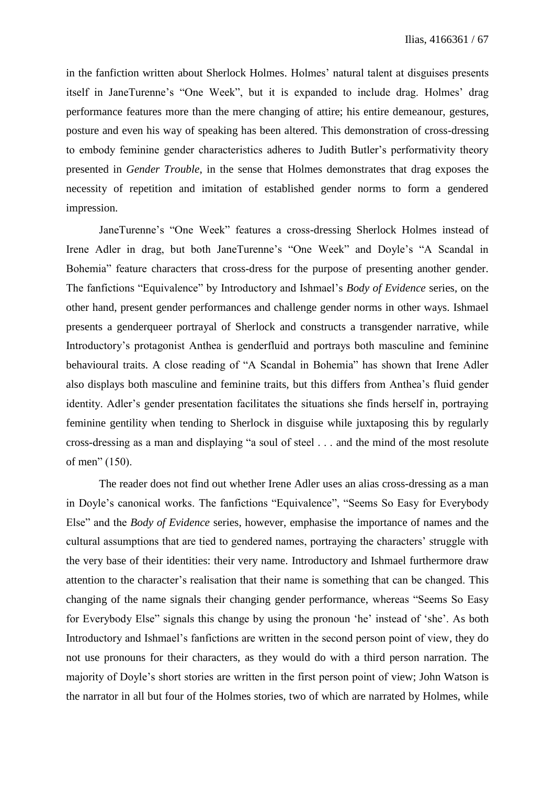in the fanfiction written about Sherlock Holmes. Holmes' natural talent at disguises presents itself in JaneTurenne's "One Week", but it is expanded to include drag. Holmes' drag performance features more than the mere changing of attire; his entire demeanour, gestures, posture and even his way of speaking has been altered. This demonstration of cross-dressing to embody feminine gender characteristics adheres to Judith Butler's performativity theory presented in *Gender Trouble*, in the sense that Holmes demonstrates that drag exposes the necessity of repetition and imitation of established gender norms to form a gendered impression.

JaneTurenne's "One Week" features a cross-dressing Sherlock Holmes instead of Irene Adler in drag, but both JaneTurenne's "One Week" and Doyle's "A Scandal in Bohemia" feature characters that cross-dress for the purpose of presenting another gender. The fanfictions "Equivalence" by Introductory and Ishmael's *Body of Evidence* series, on the other hand, present gender performances and challenge gender norms in other ways. Ishmael presents a genderqueer portrayal of Sherlock and constructs a transgender narrative, while Introductory's protagonist Anthea is genderfluid and portrays both masculine and feminine behavioural traits. A close reading of "A Scandal in Bohemia" has shown that Irene Adler also displays both masculine and feminine traits, but this differs from Anthea's fluid gender identity. Adler's gender presentation facilitates the situations she finds herself in, portraying feminine gentility when tending to Sherlock in disguise while juxtaposing this by regularly cross-dressing as a man and displaying "a soul of steel . . . and the mind of the most resolute of men" (150).

The reader does not find out whether Irene Adler uses an alias cross-dressing as a man in Doyle's canonical works. The fanfictions "Equivalence", "Seems So Easy for Everybody Else" and the *Body of Evidence* series, however, emphasise the importance of names and the cultural assumptions that are tied to gendered names, portraying the characters' struggle with the very base of their identities: their very name. Introductory and Ishmael furthermore draw attention to the character's realisation that their name is something that can be changed. This changing of the name signals their changing gender performance, whereas "Seems So Easy for Everybody Else" signals this change by using the pronoun 'he' instead of 'she'. As both Introductory and Ishmael's fanfictions are written in the second person point of view, they do not use pronouns for their characters, as they would do with a third person narration. The majority of Doyle's short stories are written in the first person point of view; John Watson is the narrator in all but four of the Holmes stories, two of which are narrated by Holmes, while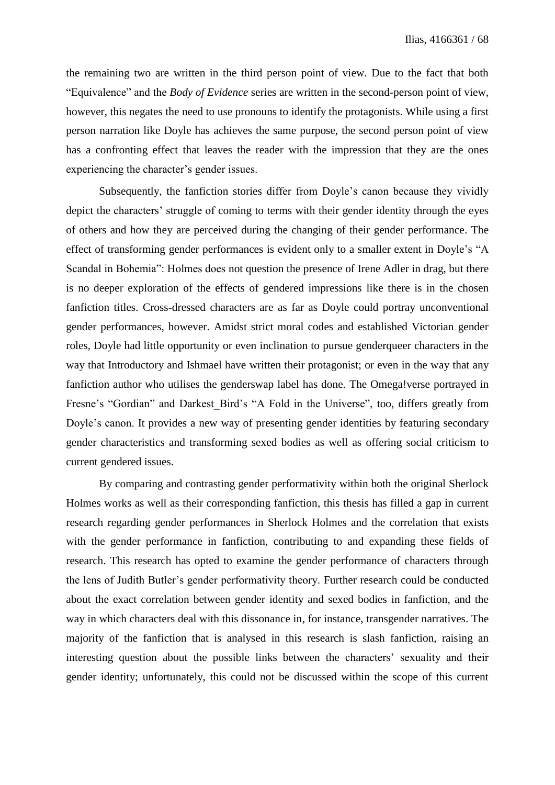the remaining two are written in the third person point of view. Due to the fact that both "Equivalence" and the *Body of Evidence* series are written in the second-person point of view, however, this negates the need to use pronouns to identify the protagonists. While using a first person narration like Doyle has achieves the same purpose, the second person point of view has a confronting effect that leaves the reader with the impression that they are the ones experiencing the character's gender issues.

Subsequently, the fanfiction stories differ from Doyle's canon because they vividly depict the characters' struggle of coming to terms with their gender identity through the eyes of others and how they are perceived during the changing of their gender performance. The effect of transforming gender performances is evident only to a smaller extent in Doyle's "A Scandal in Bohemia": Holmes does not question the presence of Irene Adler in drag, but there is no deeper exploration of the effects of gendered impressions like there is in the chosen fanfiction titles. Cross-dressed characters are as far as Doyle could portray unconventional gender performances, however. Amidst strict moral codes and established Victorian gender roles, Doyle had little opportunity or even inclination to pursue genderqueer characters in the way that Introductory and Ishmael have written their protagonist; or even in the way that any fanfiction author who utilises the genderswap label has done. The Omega!verse portrayed in Fresne's "Gordian" and Darkest\_Bird's "A Fold in the Universe", too, differs greatly from Doyle's canon. It provides a new way of presenting gender identities by featuring secondary gender characteristics and transforming sexed bodies as well as offering social criticism to current gendered issues.

By comparing and contrasting gender performativity within both the original Sherlock Holmes works as well as their corresponding fanfiction, this thesis has filled a gap in current research regarding gender performances in Sherlock Holmes and the correlation that exists with the gender performance in fanfiction, contributing to and expanding these fields of research. This research has opted to examine the gender performance of characters through the lens of Judith Butler's gender performativity theory. Further research could be conducted about the exact correlation between gender identity and sexed bodies in fanfiction, and the way in which characters deal with this dissonance in, for instance, transgender narratives. The majority of the fanfiction that is analysed in this research is slash fanfiction, raising an interesting question about the possible links between the characters' sexuality and their gender identity; unfortunately, this could not be discussed within the scope of this current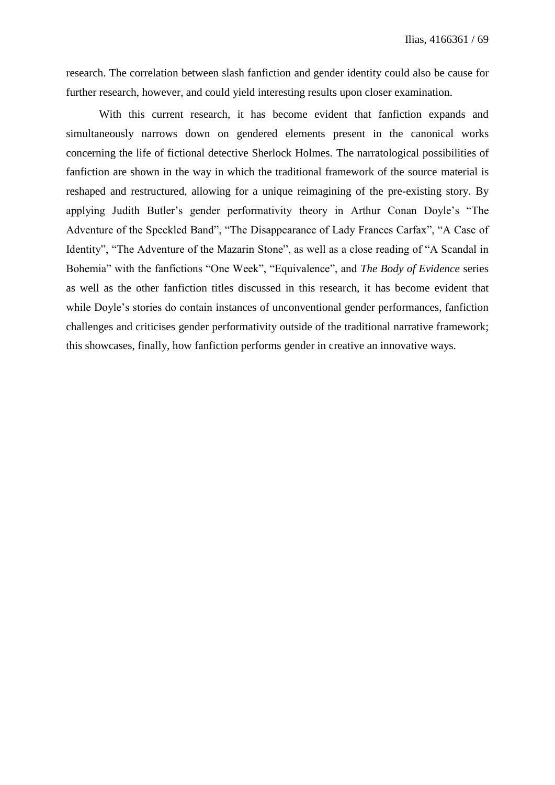research. The correlation between slash fanfiction and gender identity could also be cause for further research, however, and could yield interesting results upon closer examination.

With this current research, it has become evident that fanfiction expands and simultaneously narrows down on gendered elements present in the canonical works concerning the life of fictional detective Sherlock Holmes. The narratological possibilities of fanfiction are shown in the way in which the traditional framework of the source material is reshaped and restructured, allowing for a unique reimagining of the pre-existing story. By applying Judith Butler's gender performativity theory in Arthur Conan Doyle's "The Adventure of the Speckled Band", "The Disappearance of Lady Frances Carfax", "A Case of Identity", "The Adventure of the Mazarin Stone", as well as a close reading of "A Scandal in Bohemia" with the fanfictions "One Week", "Equivalence", and *The Body of Evidence* series as well as the other fanfiction titles discussed in this research, it has become evident that while Doyle's stories do contain instances of unconventional gender performances, fanfiction challenges and criticises gender performativity outside of the traditional narrative framework; this showcases, finally, how fanfiction performs gender in creative an innovative ways.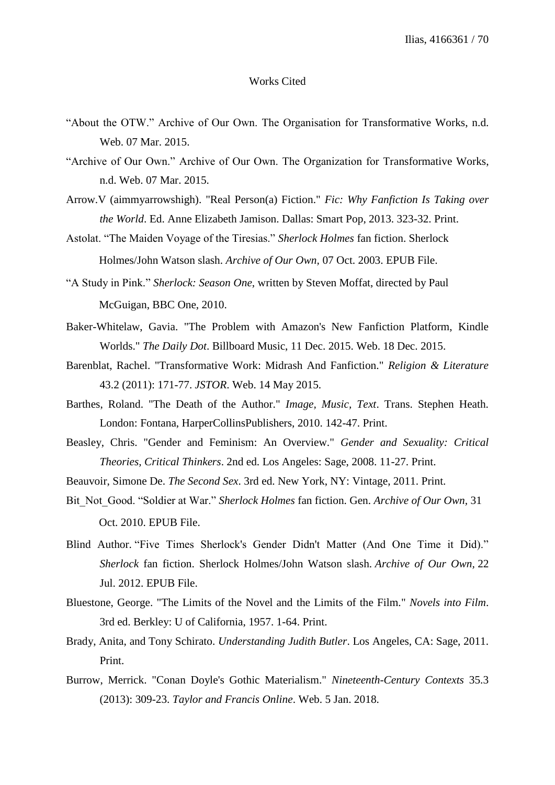#### Works Cited

- "About the OTW." Archive of Our Own. The Organisation for Transformative Works, n.d. Web. 07 Mar. 2015.
- "Archive of Our Own." Archive of Our Own. The Organization for Transformative Works, n.d. Web. 07 Mar. 2015.
- Arrow.V (aimmyarrowshigh). "Real Person(a) Fiction." *Fic: Why Fanfiction Is Taking over the World*. Ed. Anne Elizabeth Jamison. Dallas: Smart Pop, 2013. 323-32. Print.
- Astolat. "The Maiden Voyage of the Tiresias." *Sherlock Holmes* fan fiction. Sherlock Holmes/John Watson slash. *Archive of Our Own,* 07 Oct. 2003. EPUB File.
- "A Study in Pink." *Sherlock: Season One*, written by Steven Moffat, directed by Paul McGuigan, BBC One, 2010.
- Baker-Whitelaw, Gavia. "The Problem with Amazon's New Fanfiction Platform, Kindle Worlds." *The Daily Dot*. Billboard Music, 11 Dec. 2015. Web. 18 Dec. 2015.
- Barenblat, Rachel. "Transformative Work: Midrash And Fanfiction." *Religion & Literature* 43.2 (2011): 171-77. *JSTOR*. Web. 14 May 2015.
- Barthes, Roland. "The Death of the Author." *Image, Music, Text*. Trans. Stephen Heath. London: Fontana, HarperCollinsPublishers, 2010. 142-47. Print.
- Beasley, Chris. "Gender and Feminism: An Overview." *Gender and Sexuality: Critical Theories, Critical Thinkers*. 2nd ed. Los Angeles: Sage, 2008. 11-27. Print.
- Beauvoir, Simone De. *The Second Sex*. 3rd ed. New York, NY: Vintage, 2011. Print.
- Bit\_Not\_Good. "Soldier at War." *Sherlock Holmes* fan fiction. Gen. *Archive of Our Own,* 31 Oct. 2010. EPUB File.
- Blind Author. "Five Times Sherlock's Gender Didn't Matter (And One Time it Did)." *Sherlock* fan fiction. Sherlock Holmes/John Watson slash. *Archive of Our Own,* 22 Jul. 2012. EPUB File.
- Bluestone, George. "The Limits of the Novel and the Limits of the Film." *Novels into Film*. 3rd ed. Berkley: U of California, 1957. 1-64. Print.
- Brady, Anita, and Tony Schirato. *Understanding Judith Butler*. Los Angeles, CA: Sage, 2011. Print.
- Burrow, Merrick. "Conan Doyle's Gothic Materialism." *Nineteenth-Century Contexts* 35.3 (2013): 309-23. *Taylor and Francis Online*. Web. 5 Jan. 2018.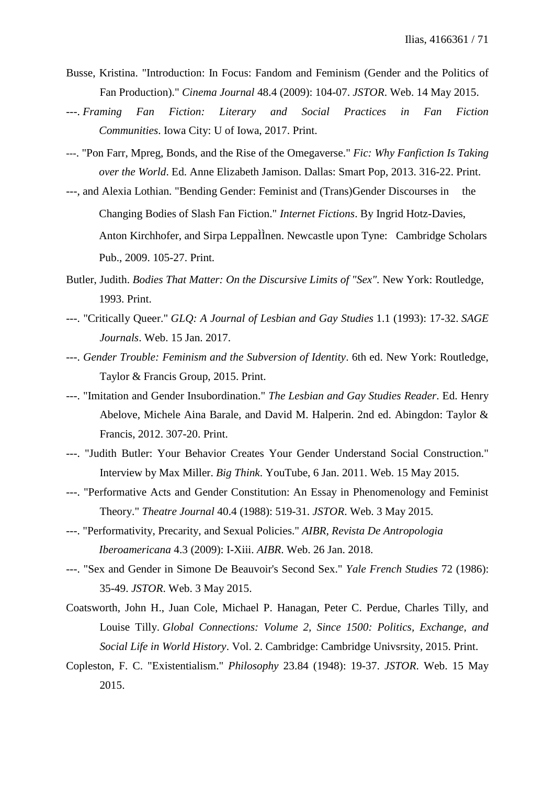- Busse, Kristina. "Introduction: In Focus: Fandom and Feminism (Gender and the Politics of Fan Production)." *Cinema Journal* 48.4 (2009): 104-07. *JSTOR*. Web. 14 May 2015.
- ---. *Framing Fan Fiction: Literary and Social Practices in Fan Fiction Communities*. Iowa City: U of Iowa, 2017. Print.
- ---. "Pon Farr, Mpreg, Bonds, and the Rise of the Omegaverse." *Fic: Why Fanfiction Is Taking over the World*. Ed. Anne Elizabeth Jamison. Dallas: Smart Pop, 2013. 316-22. Print.
- ---, and Alexia Lothian. "Bending Gender: Feminist and (Trans)Gender Discourses in the Changing Bodies of Slash Fan Fiction." *Internet Fictions*. By Ingrid Hotz-Davies, Anton Kirchhofer, and Sirpa LeppaÌÌnen. Newcastle upon Tyne: Cambridge Scholars Pub., 2009. 105-27. Print.
- Butler, Judith. *Bodies That Matter: On the Discursive Limits of "Sex".* New York: Routledge, 1993. Print.
- ---. "Critically Queer." *GLQ: A Journal of Lesbian and Gay Studies* 1.1 (1993): 17-32. *SAGE Journals*. Web. 15 Jan. 2017.
- ---. *Gender Trouble: Feminism and the Subversion of Identity*. 6th ed. New York: Routledge, Taylor & Francis Group, 2015. Print.
- ---. "Imitation and Gender Insubordination." *The Lesbian and Gay Studies Reader*. Ed. Henry Abelove, Michele Aina Barale, and David M. Halperin. 2nd ed. Abingdon: Taylor & Francis, 2012. 307-20. Print.
- ---. "Judith Butler: Your Behavior Creates Your Gender Understand Social Construction." Interview by Max Miller. *Big Think*. YouTube, 6 Jan. 2011. Web. 15 May 2015.
- ---. "Performative Acts and Gender Constitution: An Essay in Phenomenology and Feminist Theory." *Theatre Journal* 40.4 (1988): 519-31. *JSTOR*. Web. 3 May 2015.
- ---. "Performativity, Precarity, and Sexual Policies." *AIBR, Revista De Antropologia Iberoamericana* 4.3 (2009): I-Xiii. *AIBR*. Web. 26 Jan. 2018.
- ---. "Sex and Gender in Simone De Beauvoir's Second Sex." *Yale French Studies* 72 (1986): 35-49. *JSTOR*. Web. 3 May 2015.
- Coatsworth, John H., Juan Cole, Michael P. Hanagan, Peter C. Perdue, Charles Tilly, and Louise Tilly. *Global Connections: Volume 2, Since 1500: Politics, Exchange, and Social Life in World History*. Vol. 2. Cambridge: Cambridge Univsrsity, 2015. Print.
- Copleston, F. C. "Existentialism." *Philosophy* 23.84 (1948): 19-37. *JSTOR*. Web. 15 May 2015.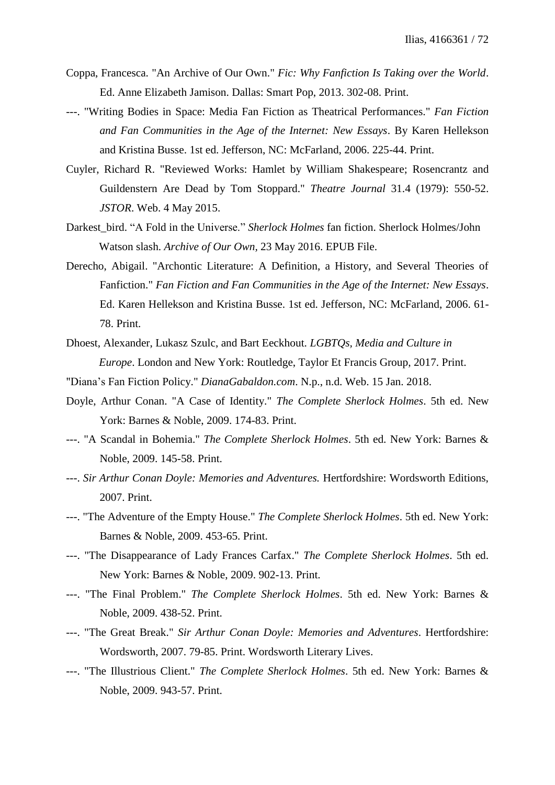- Coppa, Francesca. "An Archive of Our Own." *Fic: Why Fanfiction Is Taking over the World*. Ed. Anne Elizabeth Jamison. Dallas: Smart Pop, 2013. 302-08. Print.
- ---. "Writing Bodies in Space: Media Fan Fiction as Theatrical Performances." *Fan Fiction and Fan Communities in the Age of the Internet: New Essays*. By Karen Hellekson and Kristina Busse. 1st ed. Jefferson, NC: McFarland, 2006. 225-44. Print.
- Cuyler, Richard R. "Reviewed Works: Hamlet by William Shakespeare; Rosencrantz and Guildenstern Are Dead by Tom Stoppard." *Theatre Journal* 31.4 (1979): 550-52. *JSTOR*. Web. 4 May 2015.
- Darkest\_bird. "A Fold in the Universe." *Sherlock Holmes* fan fiction. Sherlock Holmes/John Watson slash. *Archive of Our Own,* 23 May 2016. EPUB File.
- Derecho, Abigail. "Archontic Literature: A Definition, a History, and Several Theories of Fanfiction." *Fan Fiction and Fan Communities in the Age of the Internet: New Essays*. Ed. Karen Hellekson and Kristina Busse. 1st ed. Jefferson, NC: McFarland, 2006. 61- 78. Print.
- Dhoest, Alexander, Lukasz Szulc, and Bart Eeckhout. *LGBTQs, Media and Culture in Europe*. London and New York: Routledge, Taylor Et Francis Group, 2017. Print.
- "Diana's Fan Fiction Policy." *DianaGabaldon.com*. N.p., n.d. Web. 15 Jan. 2018.
- Doyle, Arthur Conan. "A Case of Identity." *The Complete Sherlock Holmes*. 5th ed. New York: Barnes & Noble, 2009. 174-83. Print.
- ---. "A Scandal in Bohemia." *The Complete Sherlock Holmes*. 5th ed. New York: Barnes & Noble, 2009. 145-58. Print.
- ---. *Sir Arthur Conan Doyle: Memories and Adventures.* Hertfordshire: Wordsworth Editions, 2007. Print.
- ---. "The Adventure of the Empty House." *The Complete Sherlock Holmes*. 5th ed. New York: Barnes & Noble, 2009. 453-65. Print.
- ---. "The Disappearance of Lady Frances Carfax." *The Complete Sherlock Holmes*. 5th ed. New York: Barnes & Noble, 2009. 902-13. Print.
- ---. "The Final Problem." *The Complete Sherlock Holmes*. 5th ed. New York: Barnes & Noble, 2009. 438-52. Print.
- ---. "The Great Break." *Sir Arthur Conan Doyle: Memories and Adventures*. Hertfordshire: Wordsworth, 2007. 79-85. Print. Wordsworth Literary Lives.
- ---. "The Illustrious Client." *The Complete Sherlock Holmes*. 5th ed. New York: Barnes & Noble, 2009. 943-57. Print.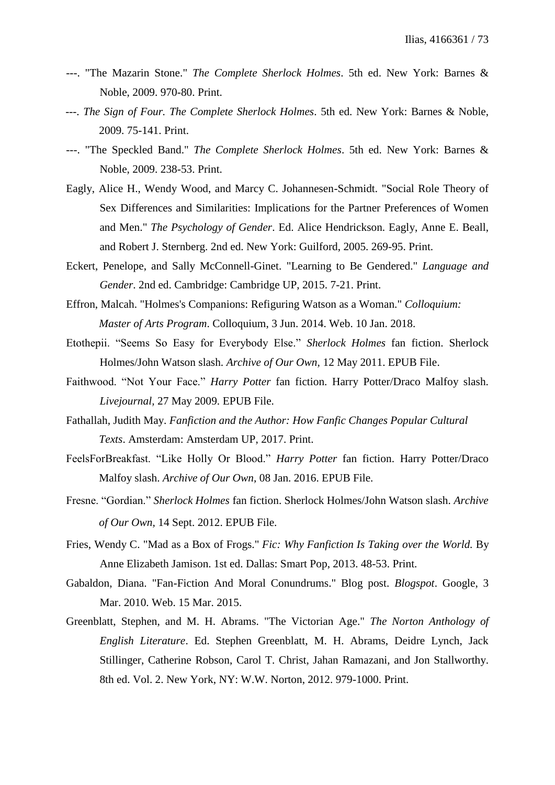- ---. "The Mazarin Stone." *The Complete Sherlock Holmes*. 5th ed. New York: Barnes & Noble, 2009. 970-80. Print.
- ---. *The Sign of Four. The Complete Sherlock Holmes*. 5th ed. New York: Barnes & Noble, 2009. 75-141. Print.
- ---. "The Speckled Band." *The Complete Sherlock Holmes*. 5th ed. New York: Barnes & Noble, 2009. 238-53. Print.
- Eagly, Alice H., Wendy Wood, and Marcy C. Johannesen-Schmidt. "Social Role Theory of Sex Differences and Similarities: Implications for the Partner Preferences of Women and Men." *The Psychology of Gender*. Ed. Alice Hendrickson. Eagly, Anne E. Beall, and Robert J. Sternberg. 2nd ed. New York: Guilford, 2005. 269-95. Print.
- Eckert, Penelope, and Sally McConnell-Ginet. "Learning to Be Gendered." *Language and Gender*. 2nd ed. Cambridge: Cambridge UP, 2015. 7-21. Print.
- Effron, Malcah. "Holmes's Companions: Refiguring Watson as a Woman." *Colloquium: Master of Arts Program*. Colloquium, 3 Jun. 2014. Web. 10 Jan. 2018.
- Etothepii. "Seems So Easy for Everybody Else." *Sherlock Holmes* fan fiction. Sherlock Holmes/John Watson slash. *Archive of Our Own,* 12 May 2011. EPUB File.
- Faithwood. "Not Your Face." *Harry Potter* fan fiction. Harry Potter/Draco Malfoy slash. *Livejournal,* 27 May 2009. EPUB File.
- Fathallah, Judith May. *Fanfiction and the Author: How Fanfic Changes Popular Cultural Texts*. Amsterdam: Amsterdam UP, 2017. Print.
- FeelsForBreakfast. "Like Holly Or Blood." *Harry Potter* fan fiction. Harry Potter/Draco Malfoy slash. *Archive of Our Own,* 08 Jan. 2016. EPUB File.
- Fresne. "Gordian." *Sherlock Holmes* fan fiction. Sherlock Holmes/John Watson slash. *Archive of Our Own,* 14 Sept. 2012. EPUB File.
- Fries, Wendy C. "Mad as a Box of Frogs." *Fic: Why Fanfiction Is Taking over the World.* By Anne Elizabeth Jamison. 1st ed. Dallas: Smart Pop, 2013. 48-53. Print.
- Gabaldon, Diana. "Fan-Fiction And Moral Conundrums." Blog post. *Blogspot*. Google, 3 Mar. 2010. Web. 15 Mar. 2015.
- Greenblatt, Stephen, and M. H. Abrams. "The Victorian Age." *The Norton Anthology of English Literature*. Ed. Stephen Greenblatt, M. H. Abrams, Deidre Lynch, Jack Stillinger, Catherine Robson, Carol T. Christ, Jahan Ramazani, and Jon Stallworthy. 8th ed. Vol. 2. New York, NY: W.W. Norton, 2012. 979-1000. Print.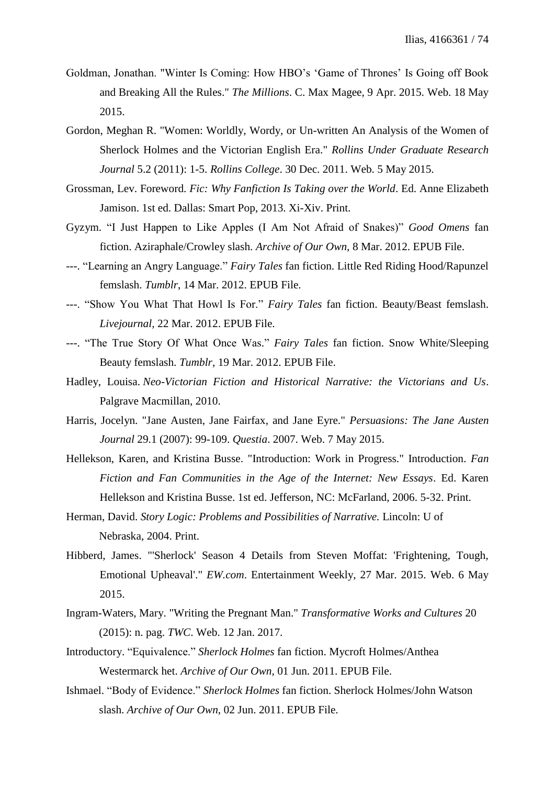- Goldman, Jonathan. "Winter Is Coming: How HBO's 'Game of Thrones' Is Going off Book and Breaking All the Rules." *The Millions*. C. Max Magee, 9 Apr. 2015. Web. 18 May 2015.
- Gordon, Meghan R. "Women: Worldly, Wordy, or Un-written An Analysis of the Women of Sherlock Holmes and the Victorian English Era." *Rollins Under Graduate Research Journal* 5.2 (2011): 1-5. *Rollins College*. 30 Dec. 2011. Web. 5 May 2015.
- Grossman, Lev. Foreword. *Fic: Why Fanfiction Is Taking over the World*. Ed. Anne Elizabeth Jamison. 1st ed. Dallas: Smart Pop, 2013. Xi-Xiv. Print.
- Gyzym. "I Just Happen to Like Apples (I Am Not Afraid of Snakes)" *Good Omens* fan fiction. Aziraphale/Crowley slash. *Archive of Our Own,* 8 Mar. 2012. EPUB File.
- ---. "Learning an Angry Language." *Fairy Tales* fan fiction. Little Red Riding Hood/Rapunzel femslash. *Tumblr*, 14 Mar. 2012. EPUB File.
- ---. "Show You What That Howl Is For." *Fairy Tales* fan fiction. Beauty/Beast femslash. *Livejournal,* 22 Mar. 2012. EPUB File.
- ---. "The True Story Of What Once Was." *Fairy Tales* fan fiction. Snow White/Sleeping Beauty femslash. *Tumblr,* 19 Mar. 2012. EPUB File.
- Hadley, Louisa. *Neo-Victorian Fiction and Historical Narrative: the Victorians and Us*. Palgrave Macmillan, 2010.
- Harris, Jocelyn. "Jane Austen, Jane Fairfax, and Jane Eyre." *Persuasions: The Jane Austen Journal* 29.1 (2007): 99-109. *Questia*. 2007. Web. 7 May 2015.
- Hellekson, Karen, and Kristina Busse. "Introduction: Work in Progress." Introduction. *Fan Fiction and Fan Communities in the Age of the Internet: New Essays*. Ed. Karen Hellekson and Kristina Busse. 1st ed. Jefferson, NC: McFarland, 2006. 5-32. Print.
- Herman, David. *Story Logic: Problems and Possibilities of Narrative.* Lincoln: U of Nebraska, 2004. Print.
- Hibberd, James. "'Sherlock' Season 4 Details from Steven Moffat: 'Frightening, Tough, Emotional Upheaval'." *EW.com*. Entertainment Weekly, 27 Mar. 2015. Web. 6 May 2015.
- Ingram-Waters, Mary. "Writing the Pregnant Man." *Transformative Works and Cultures* 20 (2015): n. pag. *TWC*. Web. 12 Jan. 2017.
- Introductory. "Equivalence." *Sherlock Holmes* fan fiction. Mycroft Holmes/Anthea Westermarck het. *Archive of Our Own*, 01 Jun. 2011. EPUB File.
- Ishmael. "Body of Evidence." *Sherlock Holmes* fan fiction. Sherlock Holmes/John Watson slash. *Archive of Our Own*, 02 Jun. 2011. EPUB File.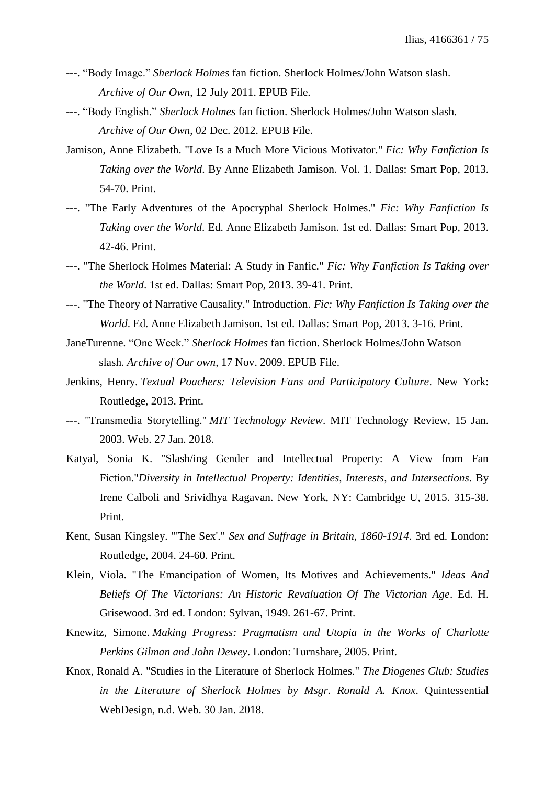- ---. "Body Image." *Sherlock Holmes* fan fiction. Sherlock Holmes/John Watson slash. *Archive of Our Own*, 12 July 2011. EPUB File.
- ---. "Body English." *Sherlock Holmes* fan fiction. Sherlock Holmes/John Watson slash. *Archive of Our Own*, 02 Dec. 2012. EPUB File.
- Jamison, Anne Elizabeth. "Love Is a Much More Vicious Motivator." *Fic: Why Fanfiction Is Taking over the World*. By Anne Elizabeth Jamison. Vol. 1. Dallas: Smart Pop, 2013. 54-70. Print.
- ---. "The Early Adventures of the Apocryphal Sherlock Holmes." *Fic: Why Fanfiction Is Taking over the World*. Ed. Anne Elizabeth Jamison. 1st ed. Dallas: Smart Pop, 2013. 42-46. Print.
- ---. "The Sherlock Holmes Material: A Study in Fanfic." *Fic: Why Fanfiction Is Taking over the World*. 1st ed. Dallas: Smart Pop, 2013. 39-41. Print.
- ---. "The Theory of Narrative Causality." Introduction. *Fic: Why Fanfiction Is Taking over the World*. Ed. Anne Elizabeth Jamison. 1st ed. Dallas: Smart Pop, 2013. 3-16. Print.
- JaneTurenne. "One Week." *Sherlock Holmes* fan fiction. Sherlock Holmes/John Watson slash. *Archive of Our own,* 17 Nov. 2009. EPUB File.
- Jenkins, Henry. *Textual Poachers: Television Fans and Participatory Culture*. New York: Routledge, 2013. Print.
- ---. "Transmedia Storytelling." *MIT Technology Review*. MIT Technology Review, 15 Jan. 2003. Web. 27 Jan. 2018.
- Katyal, Sonia K. "Slash/ing Gender and Intellectual Property: A View from Fan Fiction."*Diversity in Intellectual Property: Identities, Interests, and Intersections*. By Irene Calboli and Srividhya Ragavan. New York, NY: Cambridge U, 2015. 315-38. Print.
- Kent, Susan Kingsley. "'The Sex'." *Sex and Suffrage in Britain, 1860-1914*. 3rd ed. London: Routledge, 2004. 24-60. Print.
- Klein, Viola. "The Emancipation of Women, Its Motives and Achievements." *Ideas And Beliefs Of The Victorians: An Historic Revaluation Of The Victorian Age*. Ed. H. Grisewood. 3rd ed. London: Sylvan, 1949. 261-67. Print.
- Knewitz, Simone. *Making Progress: Pragmatism and Utopia in the Works of Charlotte Perkins Gilman and John Dewey*. London: Turnshare, 2005. Print.
- Knox, Ronald A. "Studies in the Literature of Sherlock Holmes." *The Diogenes Club: Studies in the Literature of Sherlock Holmes by Msgr. Ronald A. Knox*. Quintessential WebDesign, n.d. Web. 30 Jan. 2018.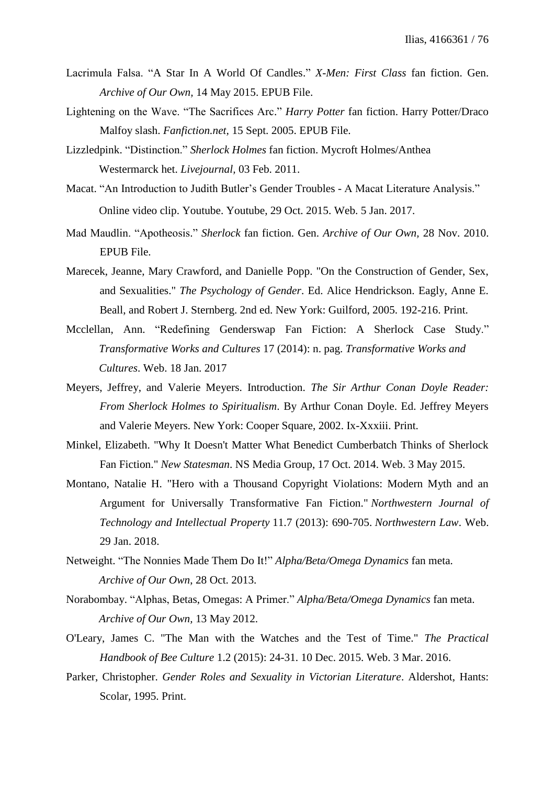- Lacrimula Falsa. "A Star In A World Of Candles." *X-Men: First Class* fan fiction. Gen. *Archive of Our Own,* 14 May 2015. EPUB File.
- Lightening on the Wave. "The Sacrifices Arc." *Harry Potter* fan fiction. Harry Potter/Draco Malfoy slash. *Fanfiction.net,* 15 Sept. 2005. EPUB File.
- Lizzledpink. "Distinction." *Sherlock Holmes* fan fiction. Mycroft Holmes/Anthea Westermarck het. *Livejournal,* 03 Feb. 2011.
- Macat. "An Introduction to Judith Butler's Gender Troubles A Macat Literature Analysis." Online video clip. Youtube. Youtube, 29 Oct. 2015. Web. 5 Jan. 2017.
- Mad Maudlin. "Apotheosis." *Sherlock* fan fiction. Gen. *Archive of Our Own,* 28 Nov. 2010. EPUB File.
- Marecek, Jeanne, Mary Crawford, and Danielle Popp. "On the Construction of Gender, Sex, and Sexualities." *The Psychology of Gender*. Ed. Alice Hendrickson. Eagly, Anne E. Beall, and Robert J. Sternberg. 2nd ed. New York: Guilford, 2005. 192-216. Print.
- Mcclellan, Ann. "Redefining Genderswap Fan Fiction: A Sherlock Case Study." *Transformative Works and Cultures* 17 (2014): n. pag. *Transformative Works and Cultures*. Web. 18 Jan. 2017
- Meyers, Jeffrey, and Valerie Meyers. Introduction. *The Sir Arthur Conan Doyle Reader: From Sherlock Holmes to Spiritualism*. By Arthur Conan Doyle. Ed. Jeffrey Meyers and Valerie Meyers. New York: Cooper Square, 2002. Ix-Xxxiii. Print.
- Minkel, Elizabeth. "Why It Doesn't Matter What Benedict Cumberbatch Thinks of Sherlock Fan Fiction." *New Statesman*. NS Media Group, 17 Oct. 2014. Web. 3 May 2015.
- Montano, Natalie H. "Hero with a Thousand Copyright Violations: Modern Myth and an Argument for Universally Transformative Fan Fiction." *Northwestern Journal of Technology and Intellectual Property* 11.7 (2013): 690-705. *Northwestern Law*. Web. 29 Jan. 2018.
- Netweight. "The Nonnies Made Them Do It!" *Alpha/Beta/Omega Dynamics* fan meta. *Archive of Our Own*, 28 Oct. 2013.
- Norabombay. "Alphas, Betas, Omegas: A Primer." *Alpha/Beta/Omega Dynamics* fan meta. *Archive of Our Own,* 13 May 2012.
- O'Leary, James C. "The Man with the Watches and the Test of Time." *The Practical Handbook of Bee Culture* 1.2 (2015): 24-31. 10 Dec. 2015. Web. 3 Mar. 2016.
- Parker, Christopher. *Gender Roles and Sexuality in Victorian Literature*. Aldershot, Hants: Scolar, 1995. Print.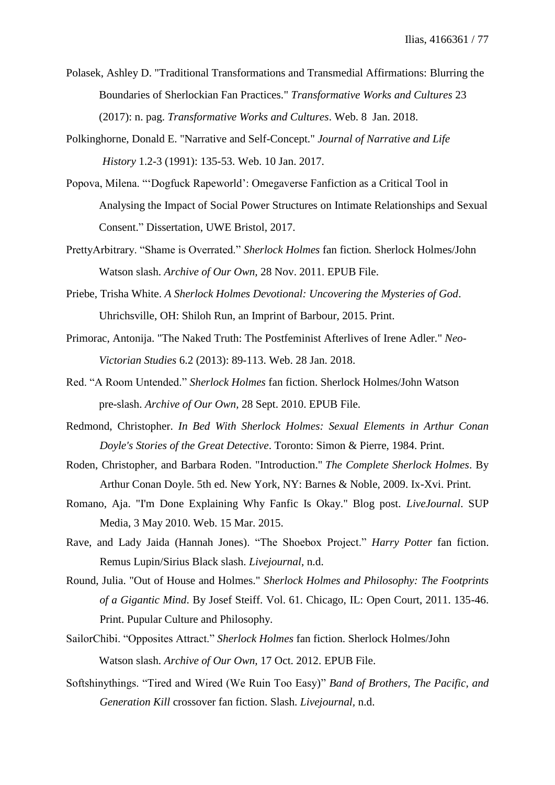- Polasek, Ashley D. "Traditional Transformations and Transmedial Affirmations: Blurring the Boundaries of Sherlockian Fan Practices." *Transformative Works and Cultures* 23 (2017): n. pag. *Transformative Works and Cultures*. Web. 8 Jan. 2018.
- Polkinghorne, Donald E. "Narrative and Self-Concept." *Journal of Narrative and Life History* 1.2-3 (1991): 135-53. Web. 10 Jan. 2017.
- Popova, Milena. "'Dogfuck Rapeworld': Omegaverse Fanfiction as a Critical Tool in Analysing the Impact of Social Power Structures on Intimate Relationships and Sexual Consent." Dissertation, UWE Bristol, 2017.
- PrettyArbitrary. "Shame is Overrated." *Sherlock Holmes* fan fiction*.* Sherlock Holmes/John Watson slash. *Archive of Our Own,* 28 Nov. 2011. EPUB File.
- Priebe, Trisha White. *A Sherlock Holmes Devotional: Uncovering the Mysteries of God*. Uhrichsville, OH: Shiloh Run, an Imprint of Barbour, 2015. Print.
- Primorac, Antonija. "The Naked Truth: The Postfeminist Afterlives of Irene Adler." *Neo-Victorian Studies* 6.2 (2013): 89-113. Web. 28 Jan. 2018.
- Red. "A Room Untended." *Sherlock Holmes* fan fiction. Sherlock Holmes/John Watson pre-slash. *Archive of Our Own,* 28 Sept. 2010. EPUB File.
- Redmond, Christopher. *In Bed With Sherlock Holmes: Sexual Elements in Arthur Conan Doyle's Stories of the Great Detective*. Toronto: Simon & Pierre, 1984. Print.
- Roden, Christopher, and Barbara Roden. "Introduction." *The Complete Sherlock Holmes*. By Arthur Conan Doyle. 5th ed. New York, NY: Barnes & Noble, 2009. Ix-Xvi. Print.
- Romano, Aja. "I'm Done Explaining Why Fanfic Is Okay." Blog post. *LiveJournal*. SUP Media, 3 May 2010. Web. 15 Mar. 2015.
- Rave, and Lady Jaida (Hannah Jones). "The Shoebox Project." *Harry Potter* fan fiction. Remus Lupin/Sirius Black slash. *Livejournal*, n.d.
- Round, Julia. "Out of House and Holmes." *Sherlock Holmes and Philosophy: The Footprints of a Gigantic Mind*. By Josef Steiff. Vol. 61. Chicago, IL: Open Court, 2011. 135-46. Print. Pupular Culture and Philosophy.
- SailorChibi. "Opposites Attract." *Sherlock Holmes* fan fiction. Sherlock Holmes/John Watson slash. *Archive of Our Own,* 17 Oct. 2012. EPUB File.
- Softshinythings. "Tired and Wired (We Ruin Too Easy)" *Band of Brothers, The Pacific, and Generation Kill* crossover fan fiction. Slash. *Livejournal,* n.d.